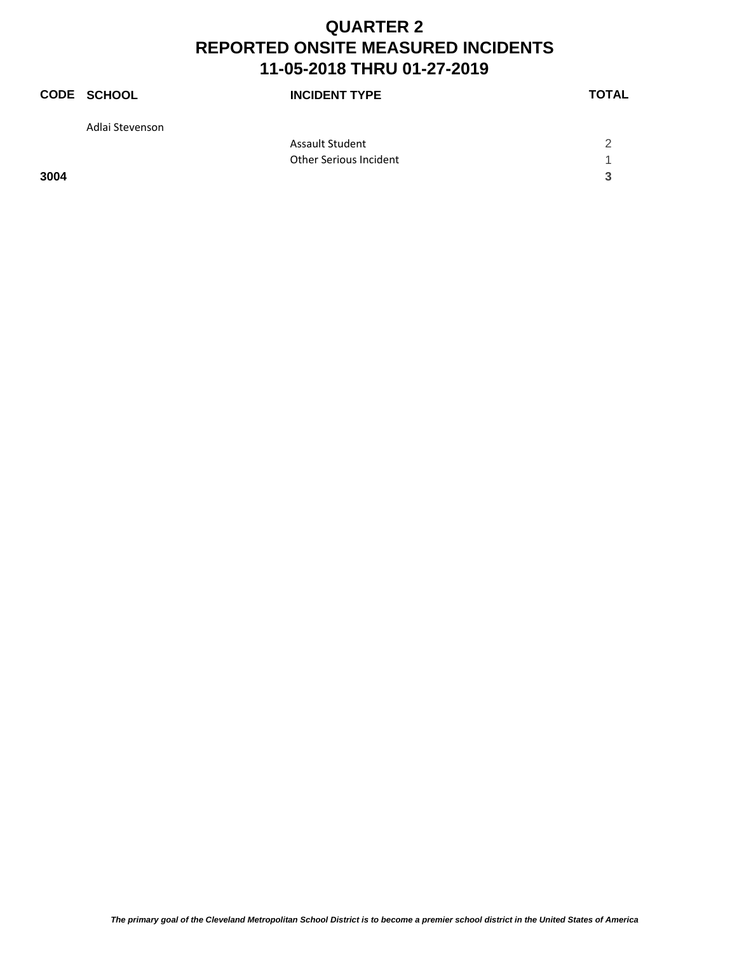|      | <b>CODE SCHOOL</b> | <b>INCIDENT TYPE</b>   | <b>TOTAL</b> |
|------|--------------------|------------------------|--------------|
|      | Adlai Stevenson    |                        |              |
|      |                    | Assault Student        | 2            |
|      |                    | Other Serious Incident |              |
| 3004 |                    |                        | 3            |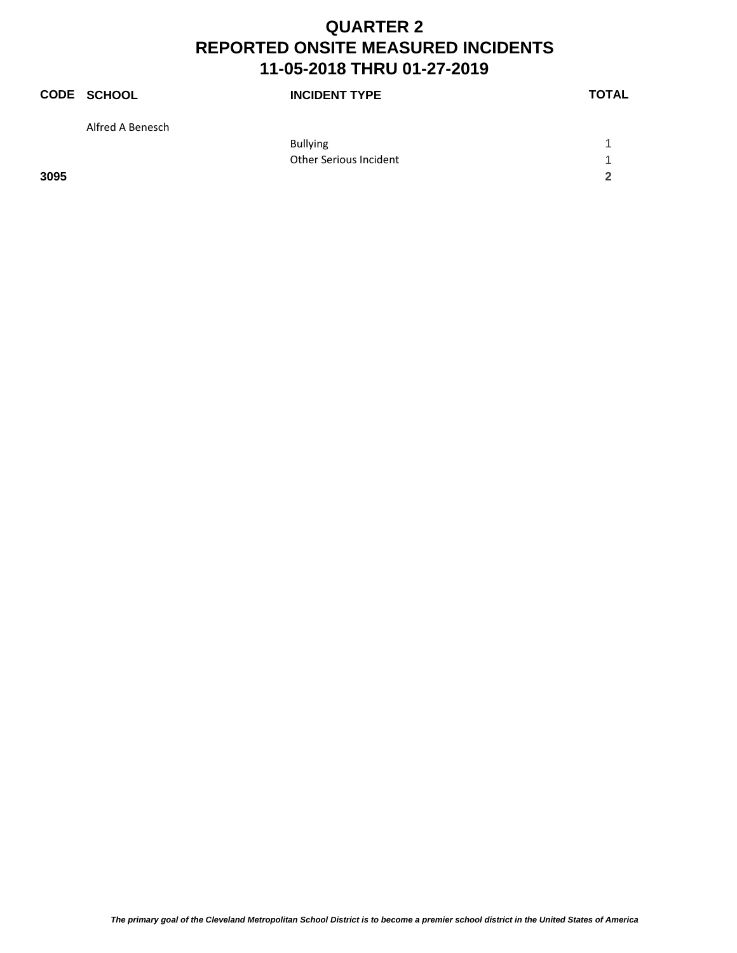|      | <b>CODE SCHOOL</b> | <b>INCIDENT TYPE</b>   | <b>TOTAL</b> |
|------|--------------------|------------------------|--------------|
|      | Alfred A Benesch   |                        |              |
|      |                    | <b>Bullying</b>        |              |
|      |                    | Other Serious Incident |              |
| 3095 |                    |                        | 2            |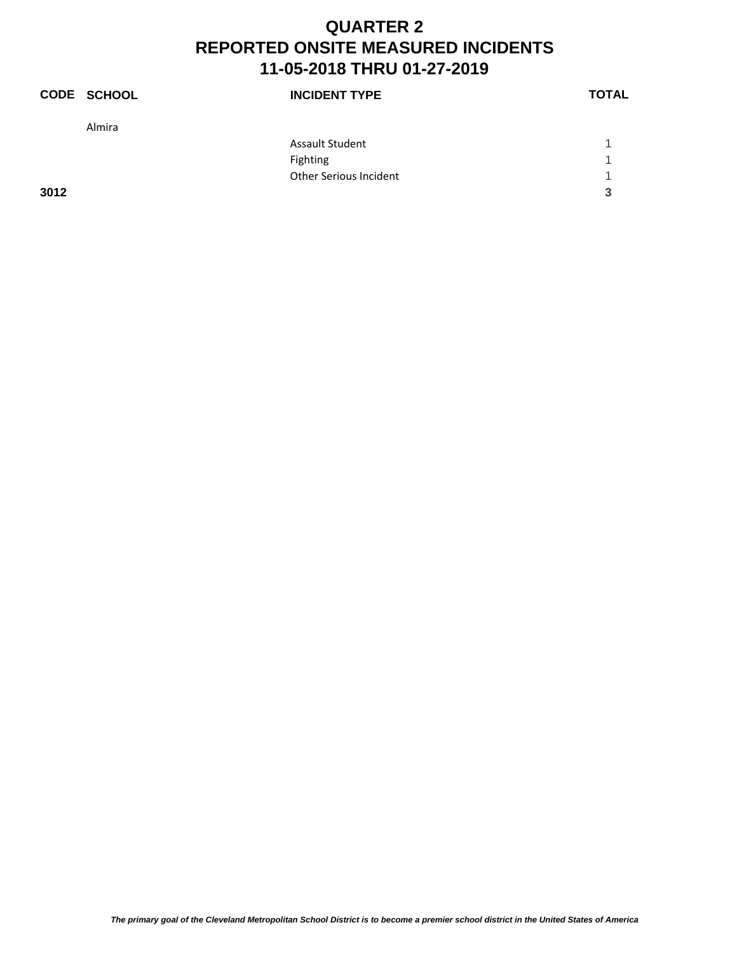|      | <b>CODE SCHOOL</b> | <b>INCIDENT TYPE</b>   | <b>TOTAL</b> |
|------|--------------------|------------------------|--------------|
|      | Almira             |                        |              |
|      |                    | <b>Assault Student</b> |              |
|      |                    | Fighting               | -1           |
|      |                    | Other Serious Incident | 4            |
| 3012 |                    |                        | 3            |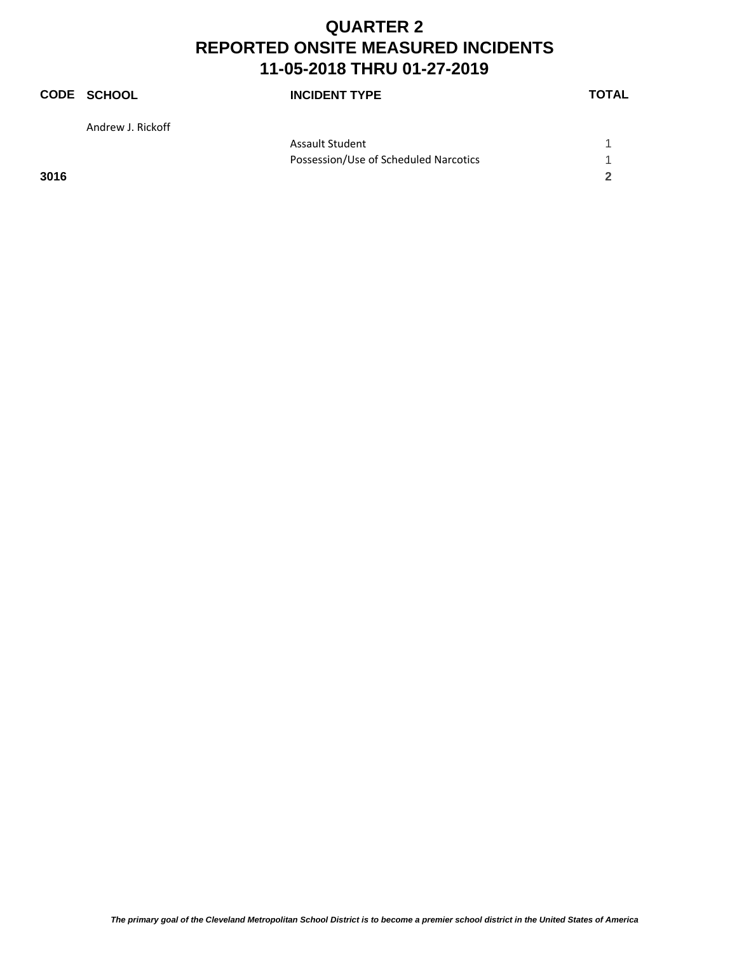|      | <b>CODE SCHOOL</b> | <b>INCIDENT TYPE</b>                  | <b>TOTAL</b> |
|------|--------------------|---------------------------------------|--------------|
|      | Andrew J. Rickoff  |                                       |              |
|      |                    | <b>Assault Student</b>                |              |
|      |                    | Possession/Use of Scheduled Narcotics | 1            |
| 3016 |                    |                                       | 2            |
|      |                    |                                       |              |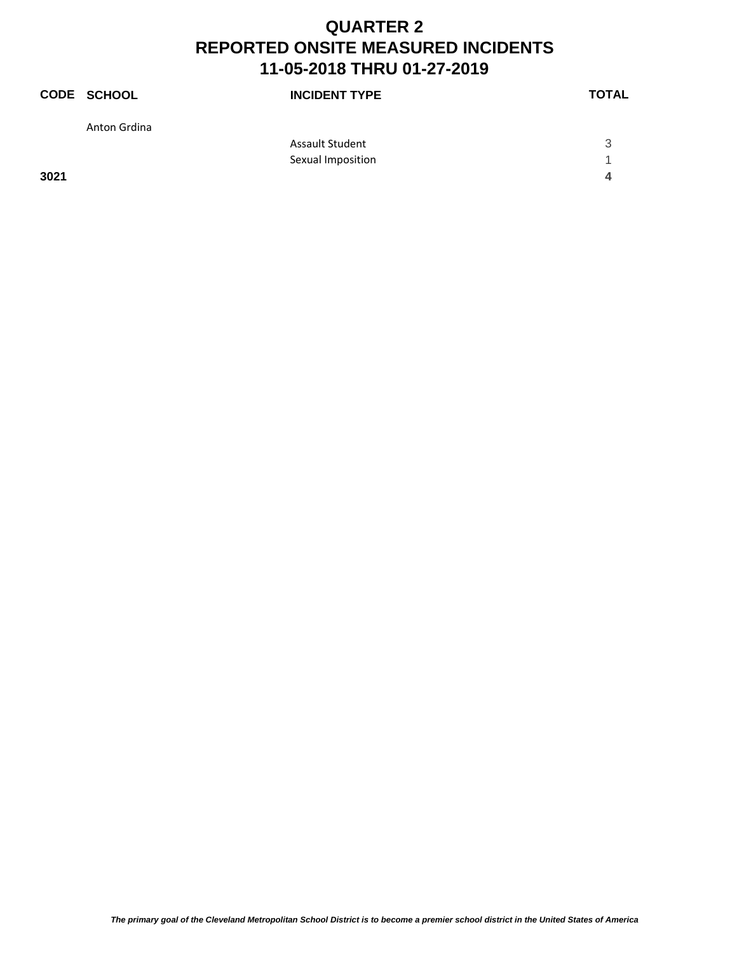|      | CODE SCHOOL  | <b>INCIDENT TYPE</b> | <b>TOTAL</b> |
|------|--------------|----------------------|--------------|
|      | Anton Grdina |                      |              |
|      |              | Assault Student      | 3            |
|      |              | Sexual Imposition    | -1           |
| 3021 |              |                      | 4            |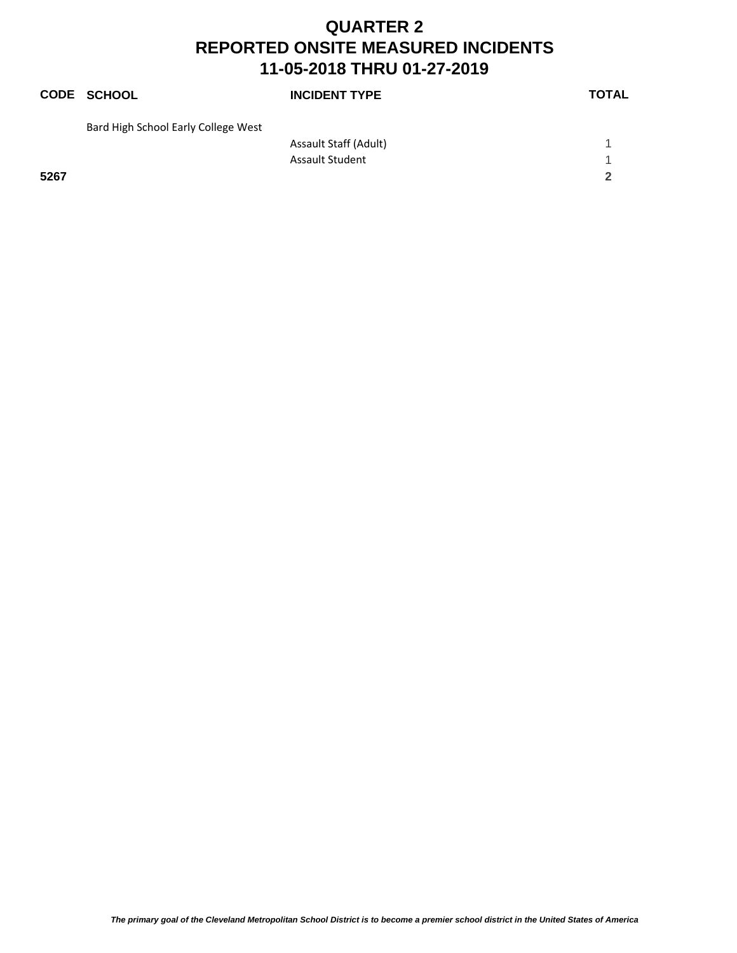|      | <b>CODE SCHOOL</b>                  | <b>INCIDENT TYPE</b>   | <b>TOTAL</b> |
|------|-------------------------------------|------------------------|--------------|
|      | Bard High School Early College West |                        |              |
|      |                                     | Assault Staff (Adult)  |              |
|      |                                     | <b>Assault Student</b> |              |
| 5267 |                                     |                        | $\mathbf{z}$ |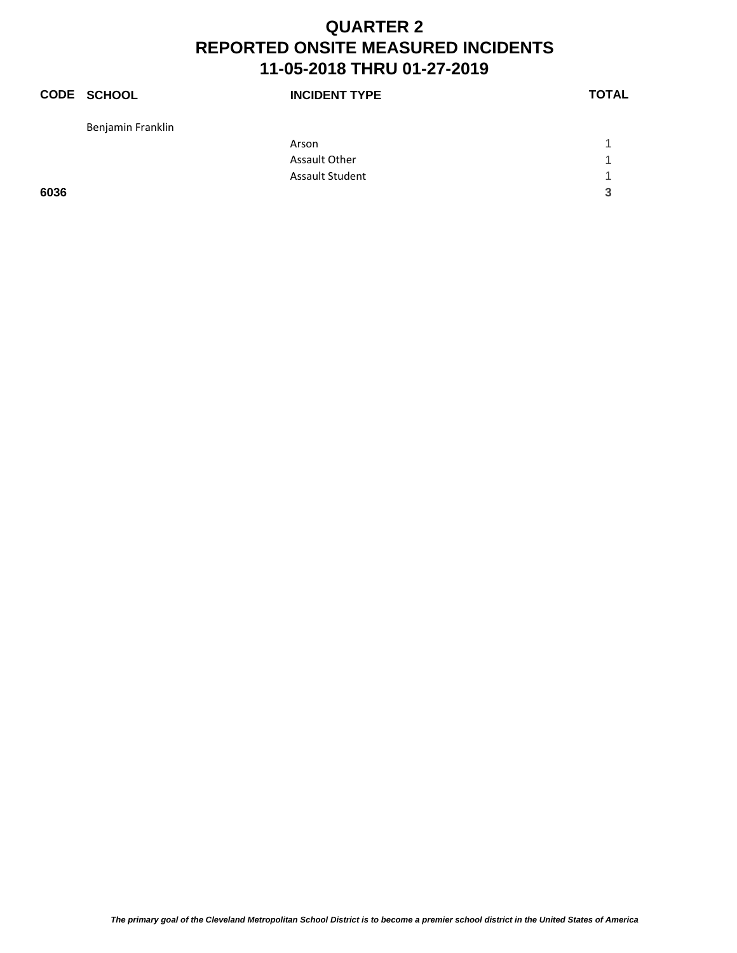|      | <b>CODE SCHOOL</b> | <b>INCIDENT TYPE</b> | <b>TOTAL</b> |
|------|--------------------|----------------------|--------------|
|      | Benjamin Franklin  |                      |              |
|      |                    | Arson                |              |
|      |                    | Assault Other        | 1            |
|      |                    | Assault Student      | 1            |
| 6036 |                    |                      | 3            |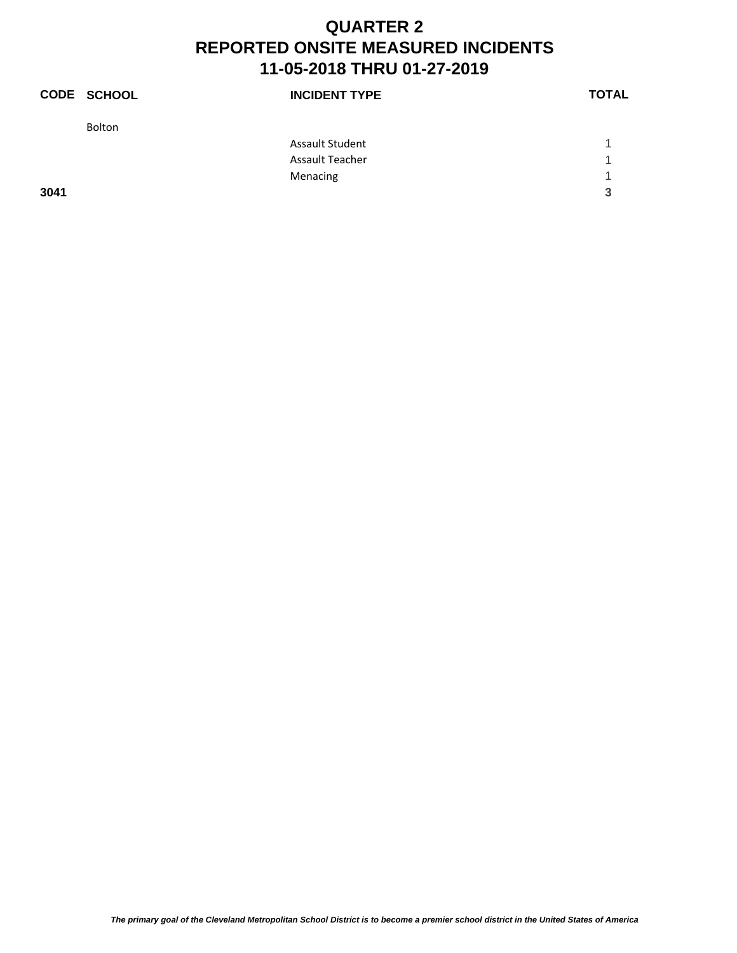|      | <b>CODE SCHOOL</b> | <b>INCIDENT TYPE</b> | <b>TOTAL</b> |
|------|--------------------|----------------------|--------------|
|      | Bolton             |                      |              |
|      |                    | Assault Student      |              |
|      |                    | Assault Teacher      | ◀            |
|      |                    | Menacing             | и            |
| 3041 |                    |                      | 3            |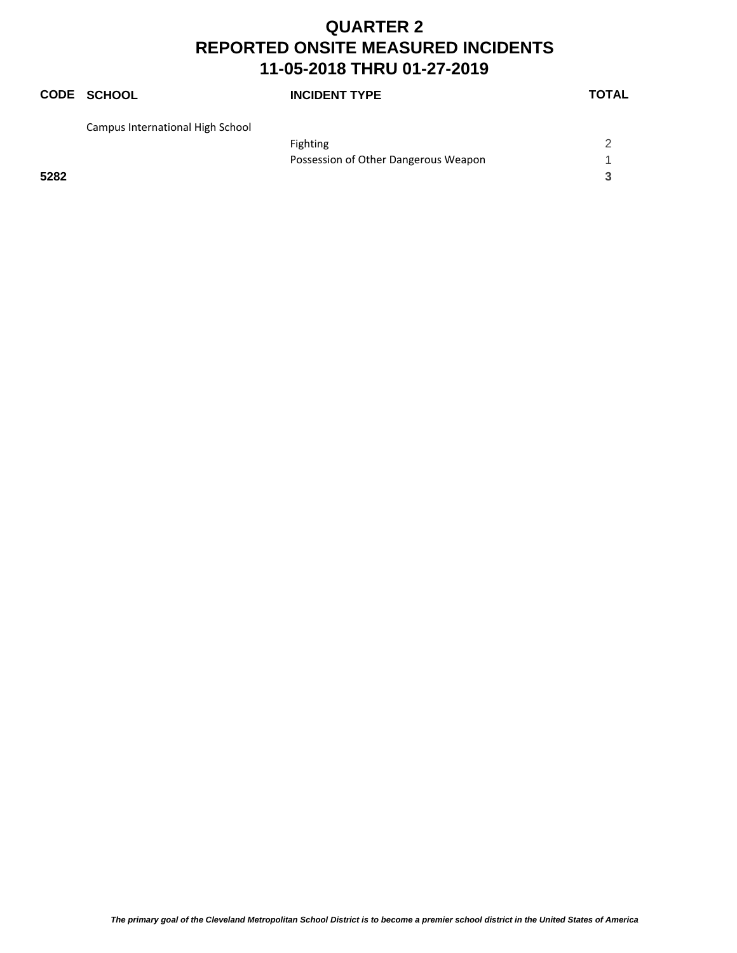# **CODE SCHOOL INCIDENT TYPE TOTAL**

| Campus International High School |                                      |  |
|----------------------------------|--------------------------------------|--|
|                                  | Fighting                             |  |
|                                  | Possession of Other Dangerous Weapon |  |
| 5282                             |                                      |  |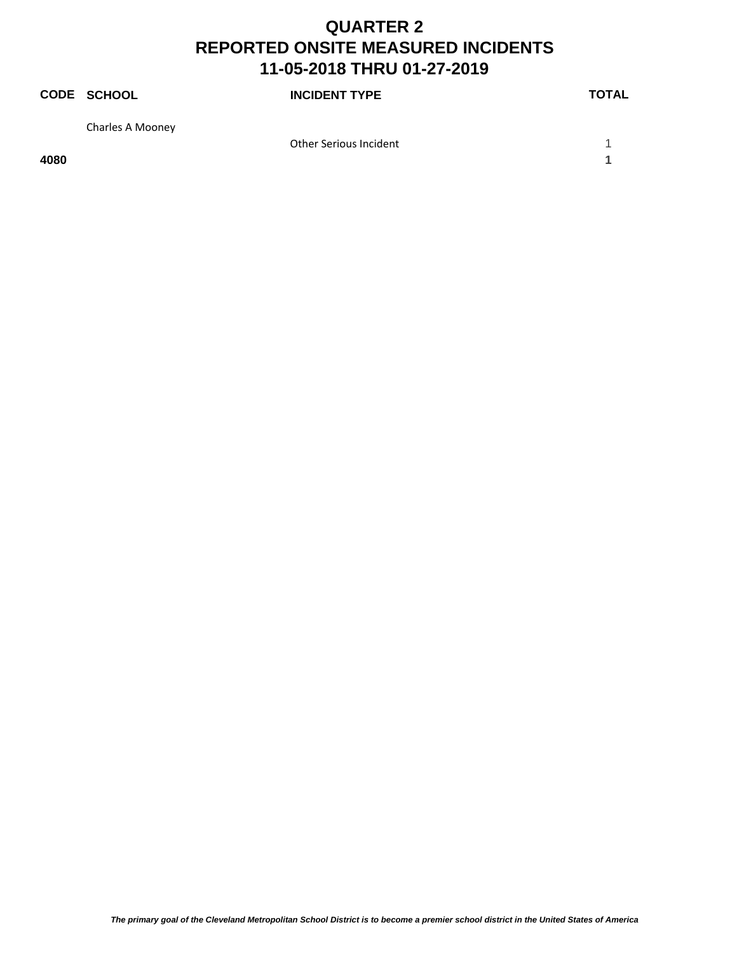|      | <b>CODE SCHOOL</b> | <b>INCIDENT TYPE</b>   | <b>TOTAL</b> |
|------|--------------------|------------------------|--------------|
|      | Charles A Mooney   |                        |              |
|      |                    | Other Serious Incident |              |
| 4080 |                    |                        |              |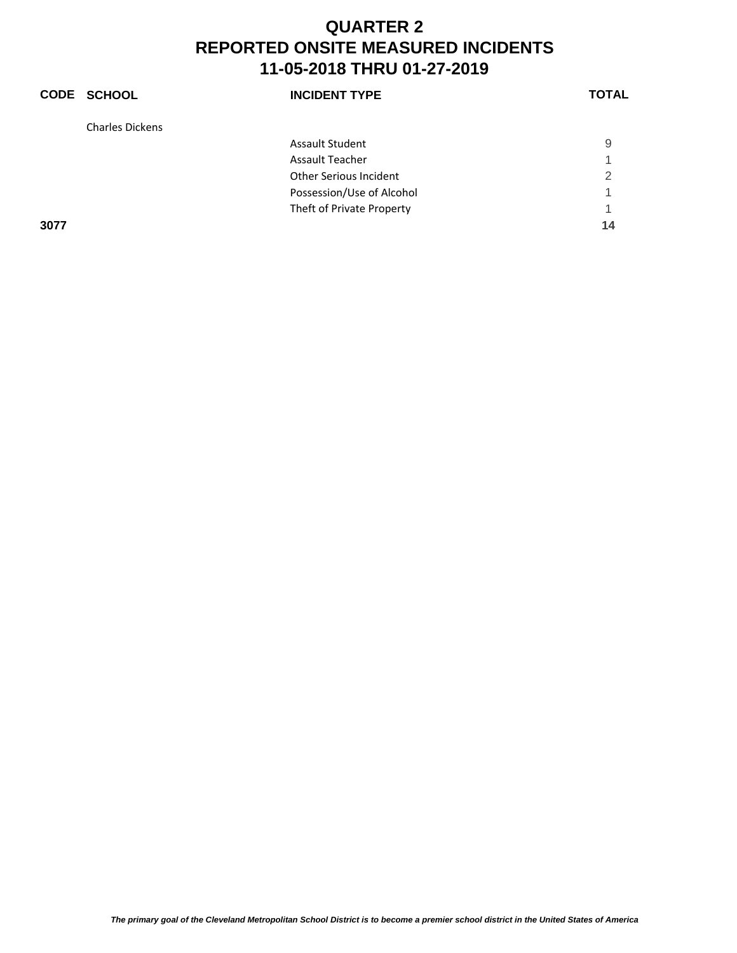|      | CODE SCHOOL            | <b>INCIDENT TYPE</b>      | <b>TOTAL</b> |
|------|------------------------|---------------------------|--------------|
|      | <b>Charles Dickens</b> |                           |              |
|      |                        | <b>Assault Student</b>    | 9            |
|      |                        | <b>Assault Teacher</b>    | 1            |
|      |                        | Other Serious Incident    | 2            |
|      |                        | Possession/Use of Alcohol | 1            |
|      |                        | Theft of Private Property | 1            |
| 3077 |                        |                           | 14           |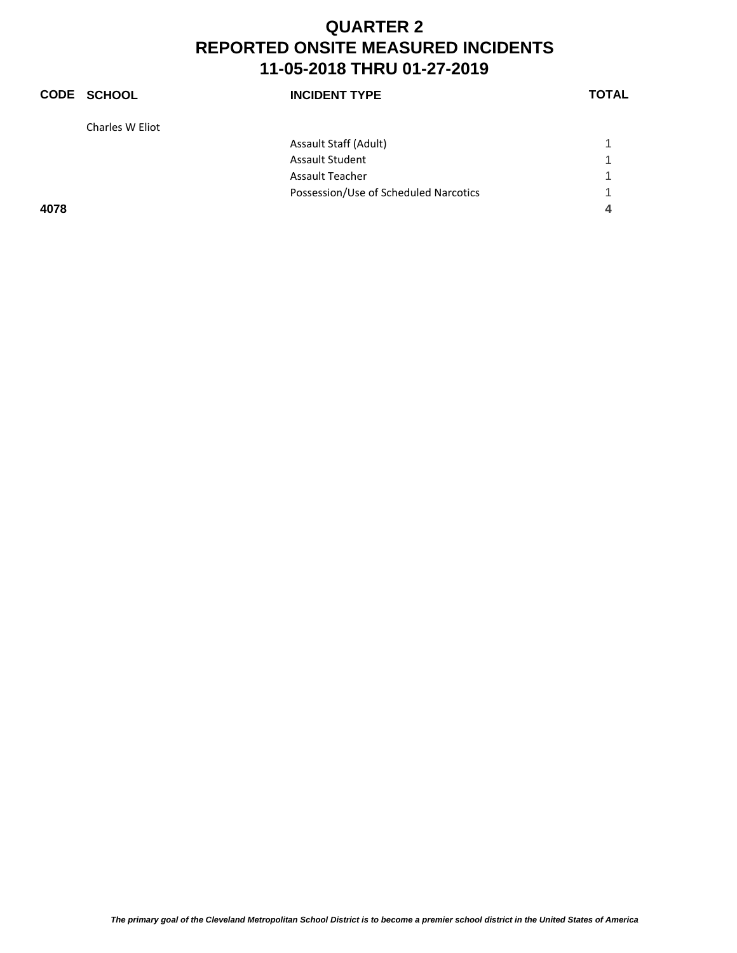|      | <b>CODE SCHOOL</b> | <b>INCIDENT TYPE</b>                  | <b>TOTAL</b> |
|------|--------------------|---------------------------------------|--------------|
|      | Charles W Eliot    |                                       |              |
|      |                    | Assault Staff (Adult)                 |              |
|      |                    | <b>Assault Student</b>                |              |
|      |                    | <b>Assault Teacher</b>                |              |
|      |                    | Possession/Use of Scheduled Narcotics | 1            |
| 4078 |                    |                                       | 4            |
|      |                    |                                       |              |

*The primary goal of the Cleveland Metropolitan School District is to become a premier school district in the United States of America*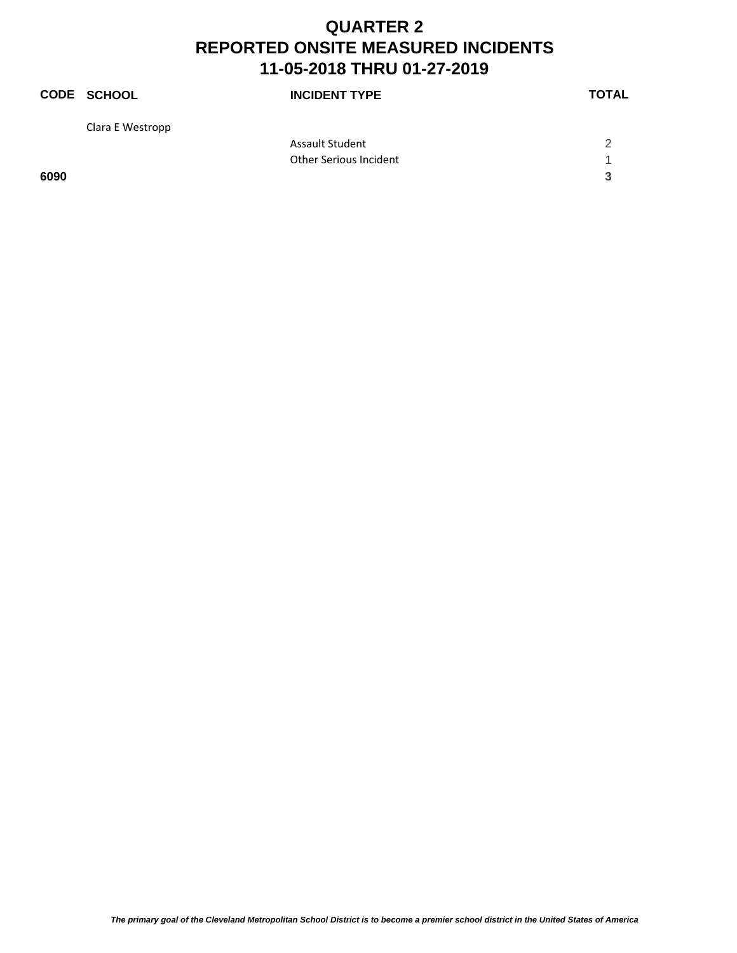|      | <b>CODE SCHOOL</b> | <b>INCIDENT TYPE</b>   | <b>TOTAL</b> |
|------|--------------------|------------------------|--------------|
|      | Clara E Westropp   |                        |              |
|      |                    | <b>Assault Student</b> | 2            |
|      |                    | Other Serious Incident |              |
| 6090 |                    |                        | 3            |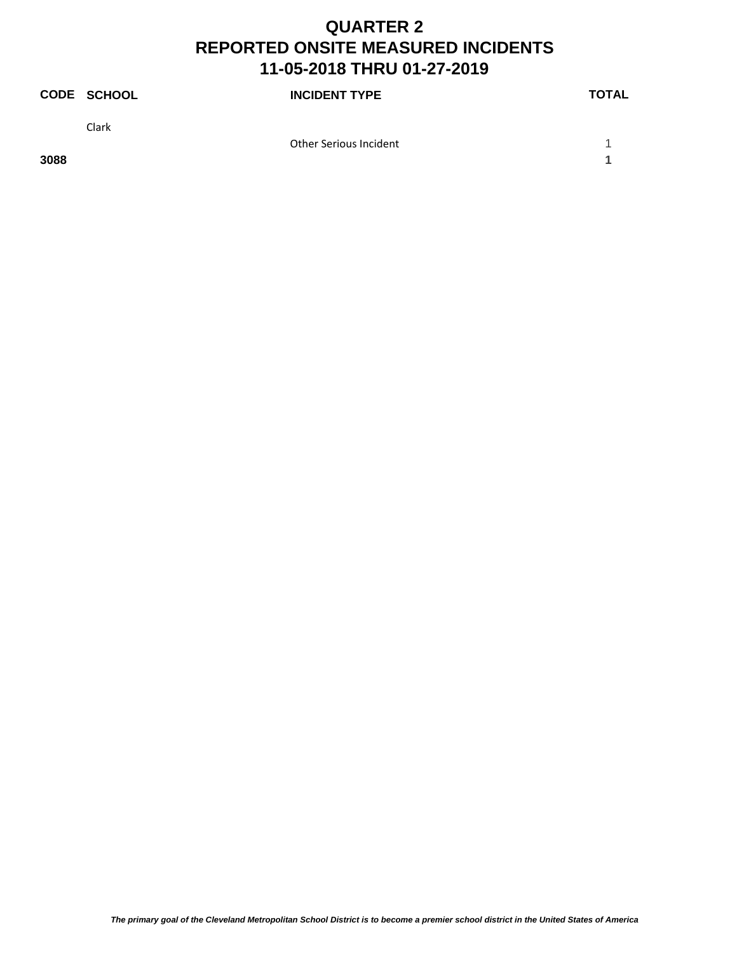|      | <b>CODE SCHOOL</b> | <b>INCIDENT TYPE</b>   | <b>TOTAL</b> |
|------|--------------------|------------------------|--------------|
|      | Clark              |                        |              |
|      |                    | Other Serious Incident |              |
| 3088 |                    |                        |              |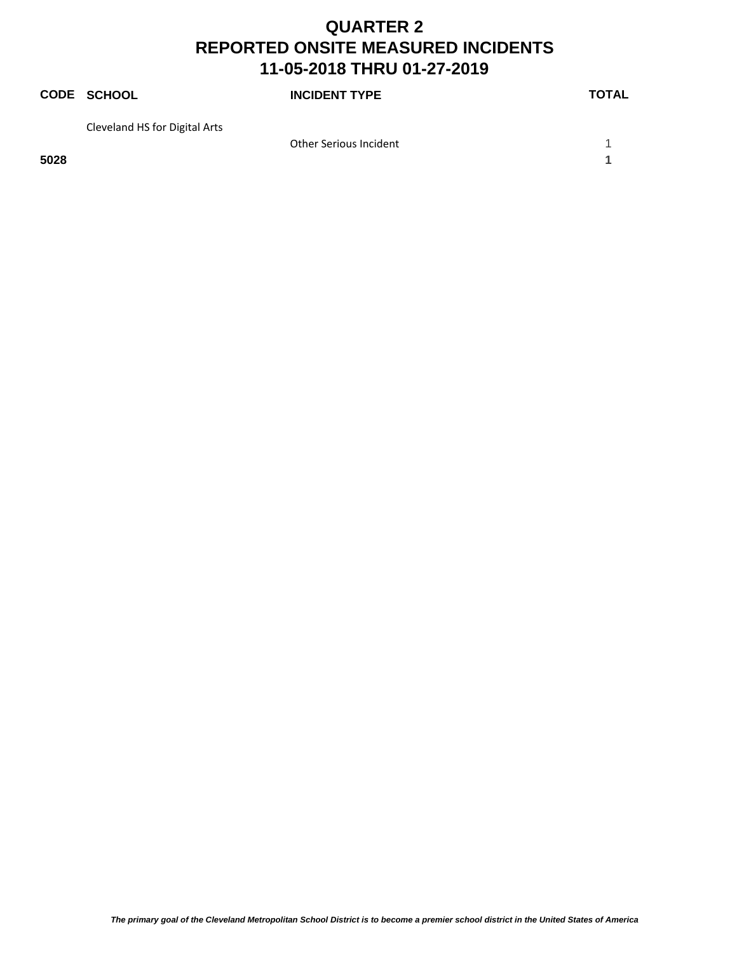|      | <b>CODE SCHOOL</b>            | <b>INCIDENT TYPE</b>   | <b>TOTAL</b> |
|------|-------------------------------|------------------------|--------------|
|      | Cleveland HS for Digital Arts |                        |              |
|      |                               | Other Serious Incident |              |
| 5028 |                               |                        |              |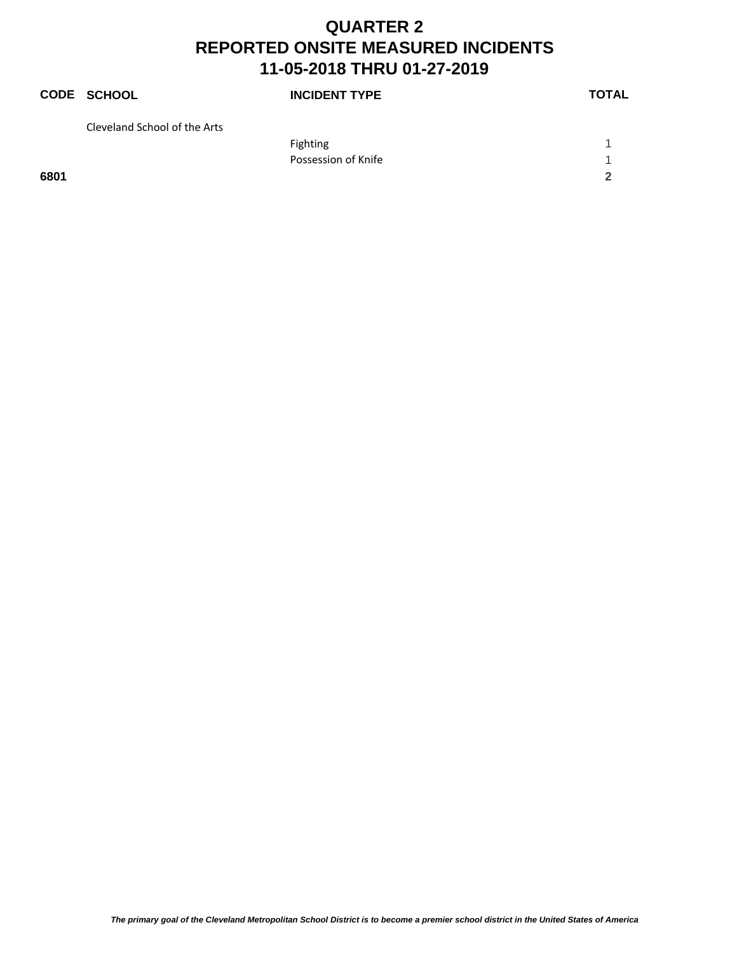|      | <b>CODE SCHOOL</b>           | <b>INCIDENT TYPE</b> | <b>TOTAL</b> |
|------|------------------------------|----------------------|--------------|
|      | Cleveland School of the Arts |                      |              |
|      |                              | <b>Fighting</b>      |              |
|      |                              | Possession of Knife  |              |
| 6801 |                              |                      |              |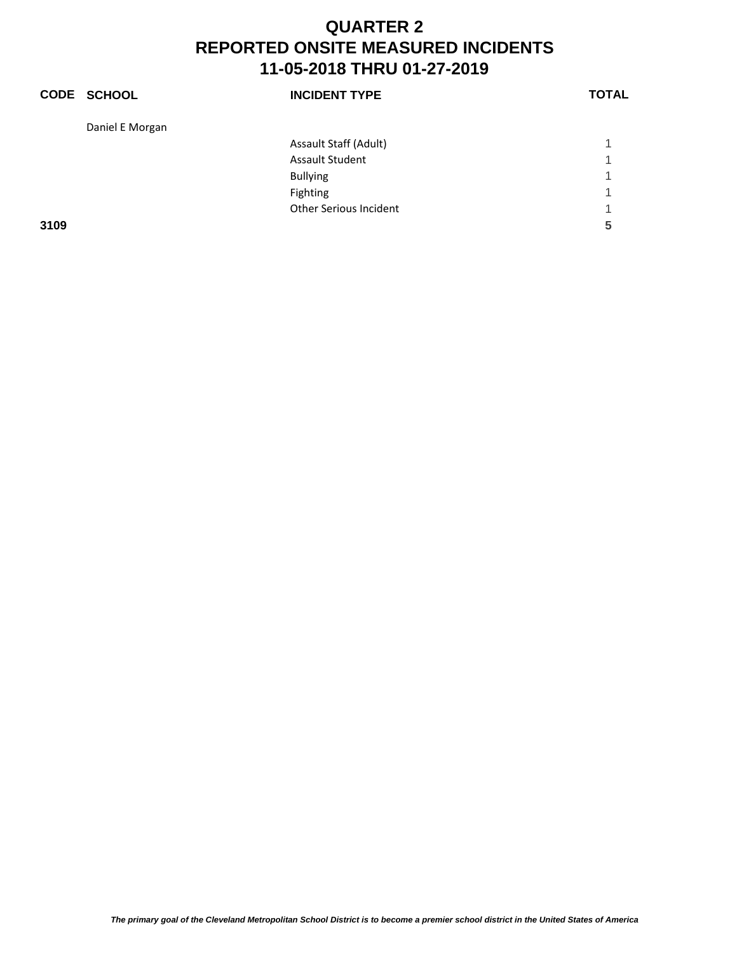|      | <b>CODE SCHOOL</b> | <b>INCIDENT TYPE</b>          | <b>TOTAL</b> |
|------|--------------------|-------------------------------|--------------|
|      | Daniel E Morgan    |                               |              |
|      |                    | Assault Staff (Adult)         |              |
|      |                    | <b>Assault Student</b>        |              |
|      |                    | <b>Bullying</b>               | 1            |
|      |                    | Fighting                      | 1            |
|      |                    | <b>Other Serious Incident</b> | и            |
| 3109 |                    |                               | 5            |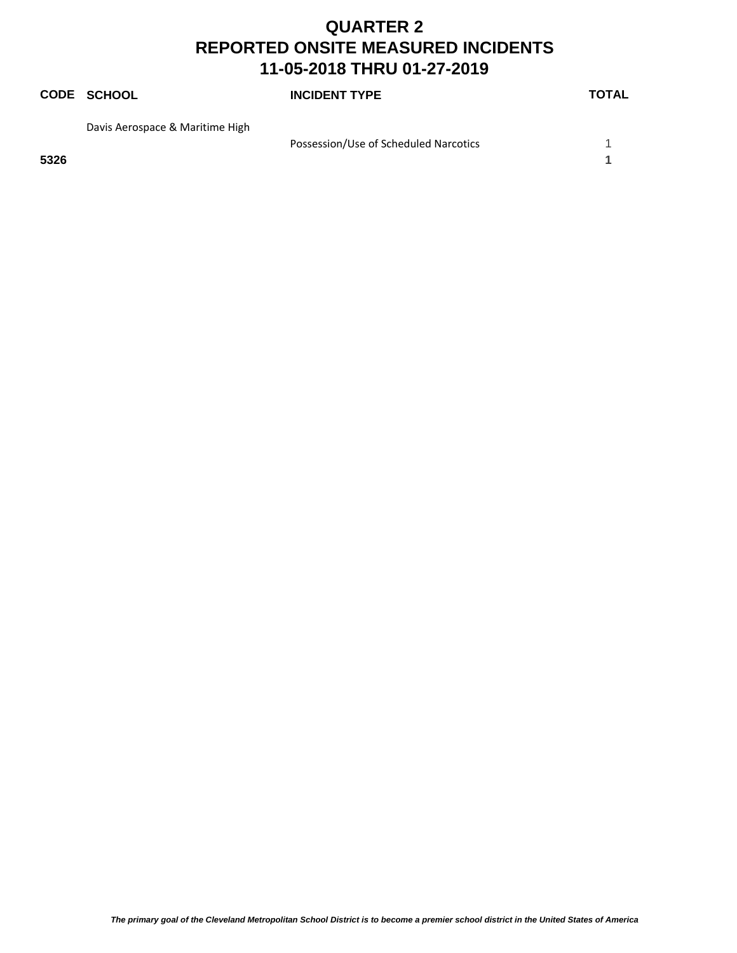# **CODE SCHOOL INCIDENT TYPE TOTAL** Davis Aerospace & Maritime High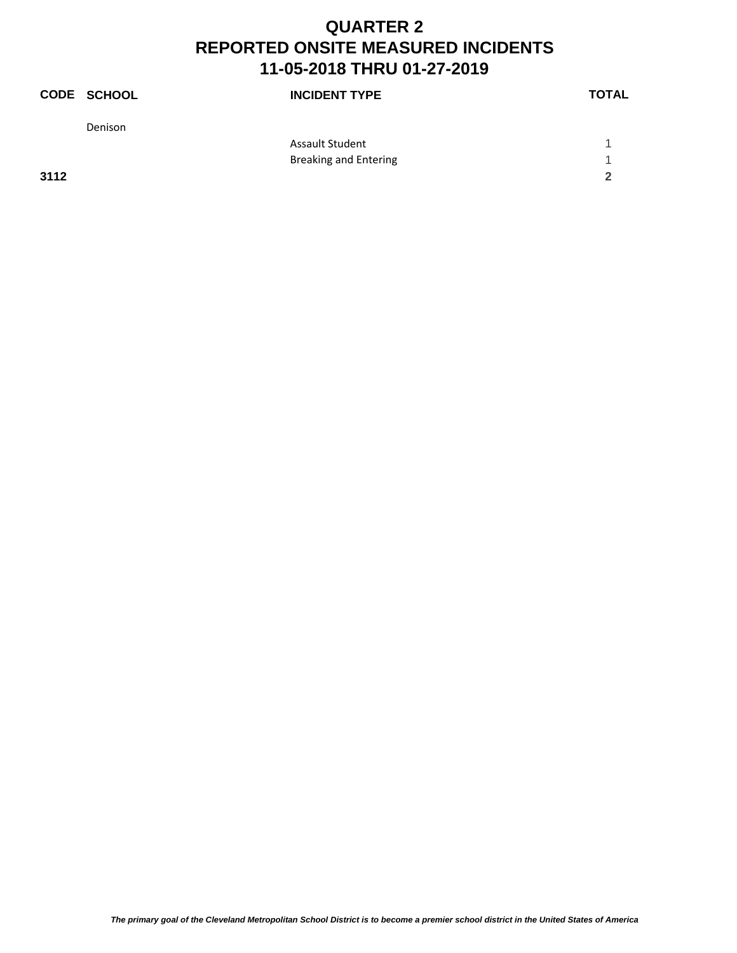|      | <b>CODE SCHOOL</b> | <b>INCIDENT TYPE</b>         | <b>TOTAL</b> |
|------|--------------------|------------------------------|--------------|
|      | Denison            |                              |              |
|      |                    | <b>Assault Student</b>       |              |
|      |                    | <b>Breaking and Entering</b> |              |
| 3112 |                    |                              | 2            |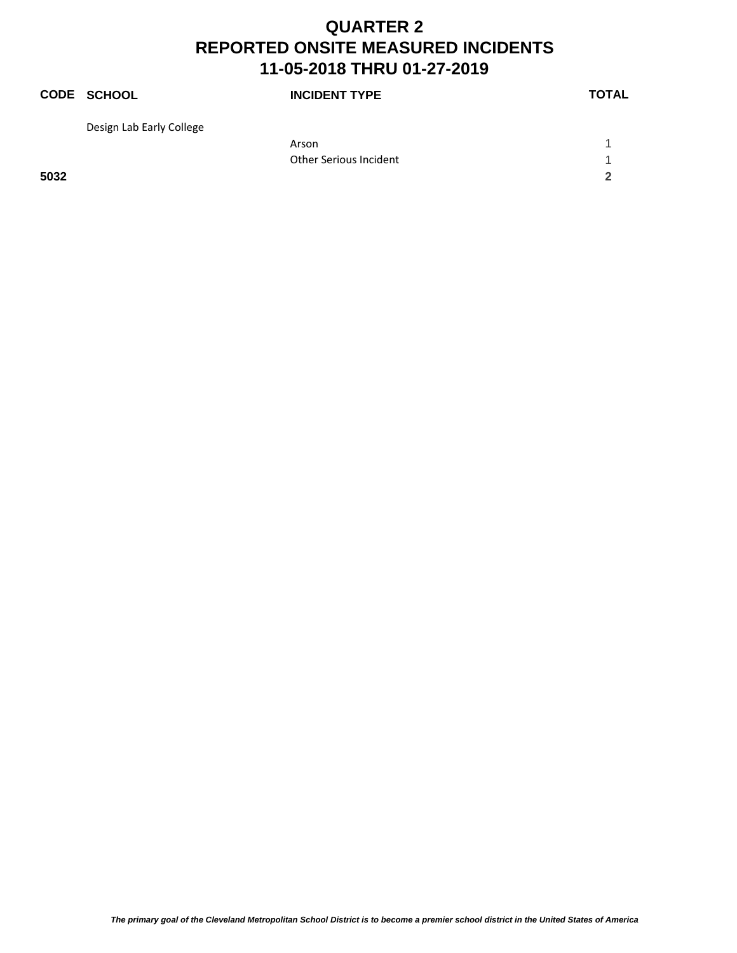|      | <b>CODE SCHOOL</b>       | <b>INCIDENT TYPE</b>   | <b>TOTAL</b> |
|------|--------------------------|------------------------|--------------|
|      | Design Lab Early College |                        |              |
|      |                          | Arson                  |              |
|      |                          | Other Serious Incident |              |
| 5032 |                          |                        | 2            |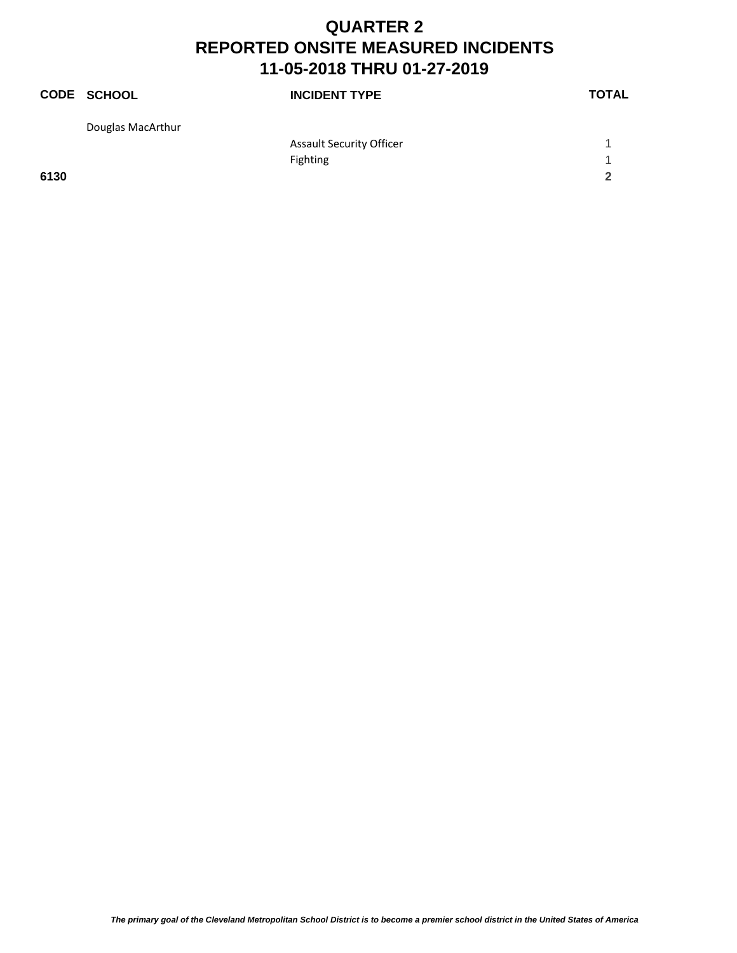|      | CODE SCHOOL       | <b>INCIDENT TYPE</b>            | <b>TOTAL</b> |
|------|-------------------|---------------------------------|--------------|
|      | Douglas MacArthur |                                 |              |
|      |                   | <b>Assault Security Officer</b> |              |
|      |                   | <b>Fighting</b>                 | -1           |
| 6130 |                   |                                 | $\mathbf{2}$ |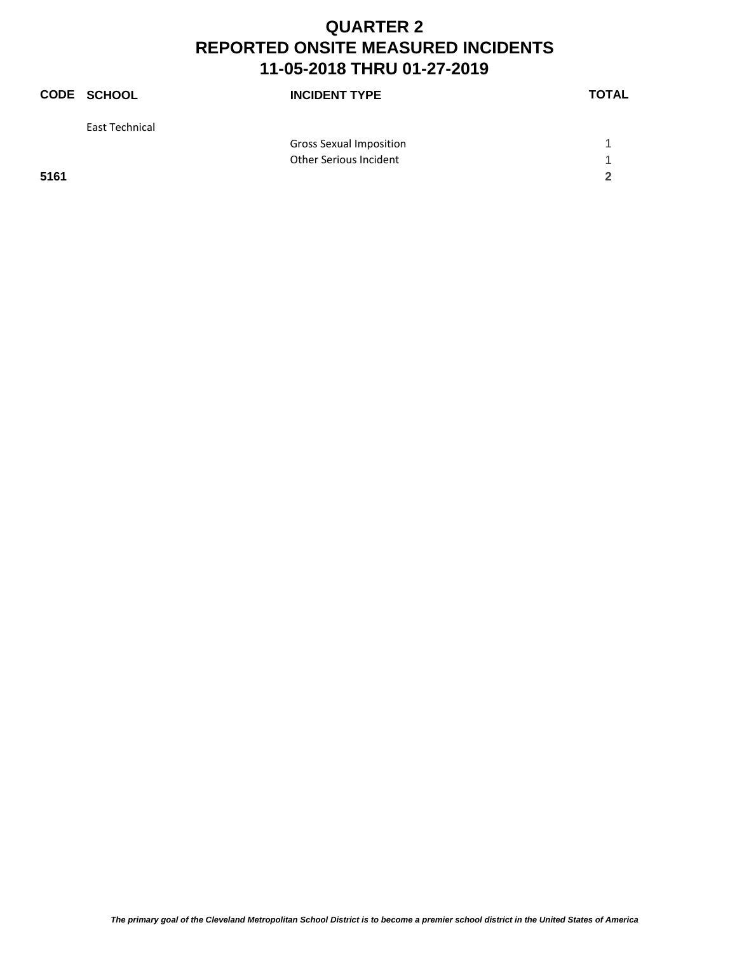|      | <b>CODE SCHOOL</b> | <b>INCIDENT TYPE</b>           | <b>TOTAL</b> |
|------|--------------------|--------------------------------|--------------|
|      | East Technical     |                                |              |
|      |                    | <b>Gross Sexual Imposition</b> |              |
|      |                    | Other Serious Incident         |              |
| 5161 |                    |                                |              |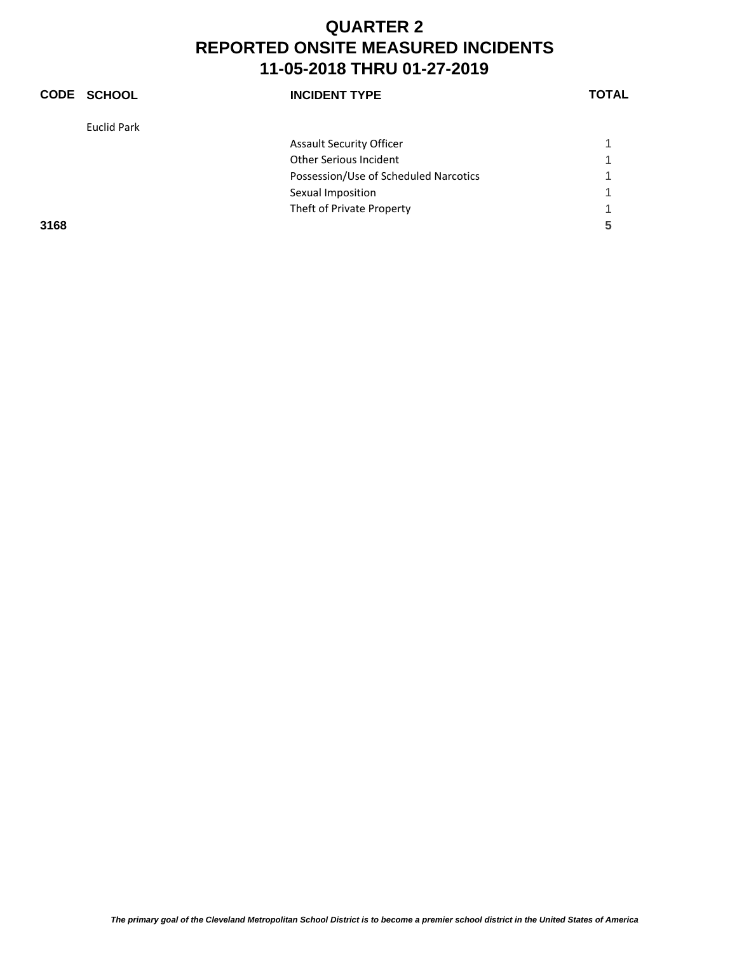|      | CODE SCHOOL | <b>INCIDENT TYPE</b>                  | <b>TOTAL</b> |
|------|-------------|---------------------------------------|--------------|
|      | Euclid Park |                                       |              |
|      |             | <b>Assault Security Officer</b>       |              |
|      |             | <b>Other Serious Incident</b>         |              |
|      |             | Possession/Use of Scheduled Narcotics |              |
|      |             | Sexual Imposition                     |              |
|      |             | Theft of Private Property             |              |
| 3168 |             |                                       | 5            |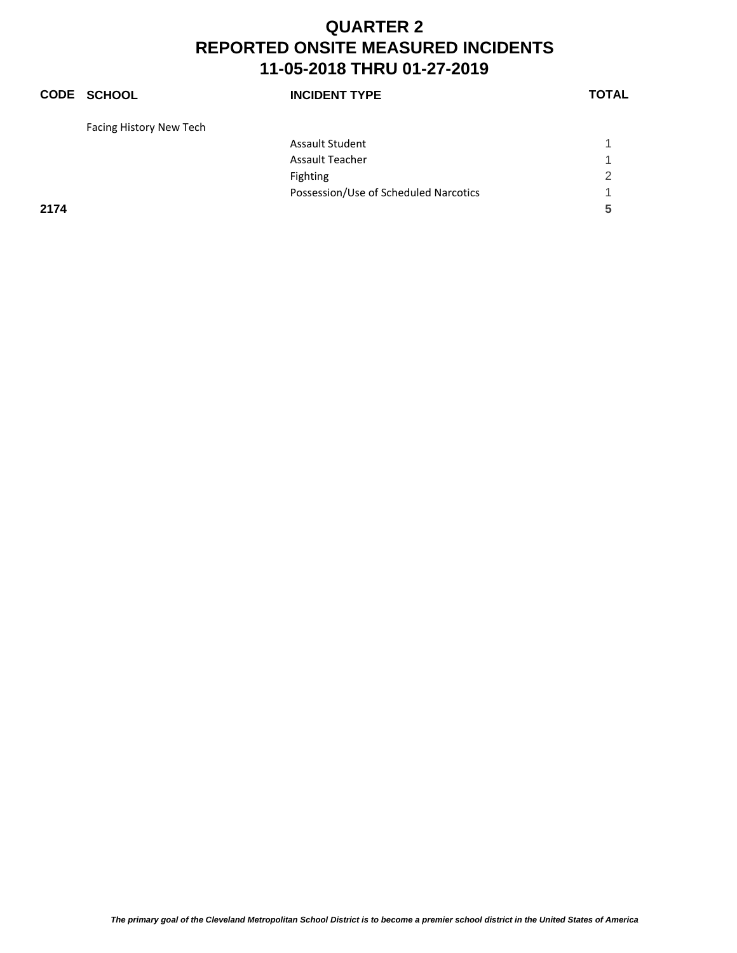## **CODE SCHOOL INCIDENT TYPE TOTAL** Facing History New Tech Assault Student 1 and 1 and 1 and 1 and 1 and 1 and 1 and 1 and 1 and 1 and 1 and 1 and 1 and 1 and 1 and 1 and 1 and 1 and 1 and 1 and 1 and 1 and 1 and 1 and 1 and 1 and 1 and 1 and 1 and 1 and 1 and 1 and 1 and 1 and 1 Assault Teacher 1999 and 1999 and 1999 and 1999 and 1999 and 1999 and 1999 and 1999 and 1999 and 1999 and 1999 Fighting 2 Possession/Use of Scheduled Narcotics 1 **2174 5**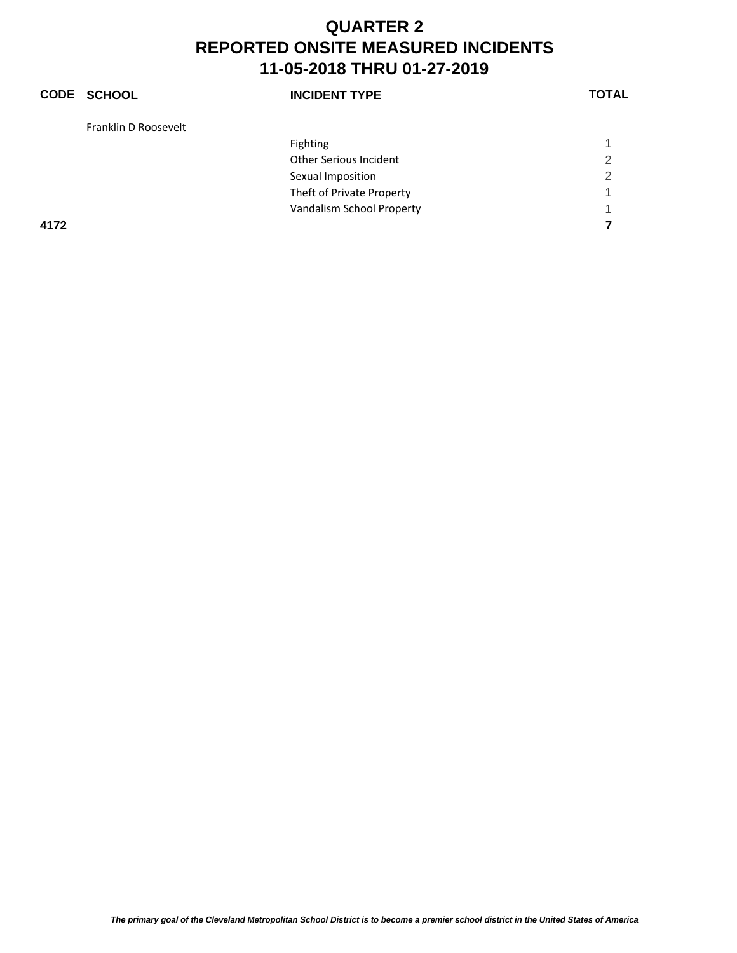#### **CODE SCHOOL INCIDENT TYPE TOTAL** Franklin D Roosevelt Fighting the contract of the contract of the contract of the contract of the contract of the contract of the contract of the contract of the contract of the contract of the contract of the contract of the contract of the c Other Serious Incident 2 Sexual Imposition 2 Theft of Private Property 1 Vandalism School Property 1 **4172 7**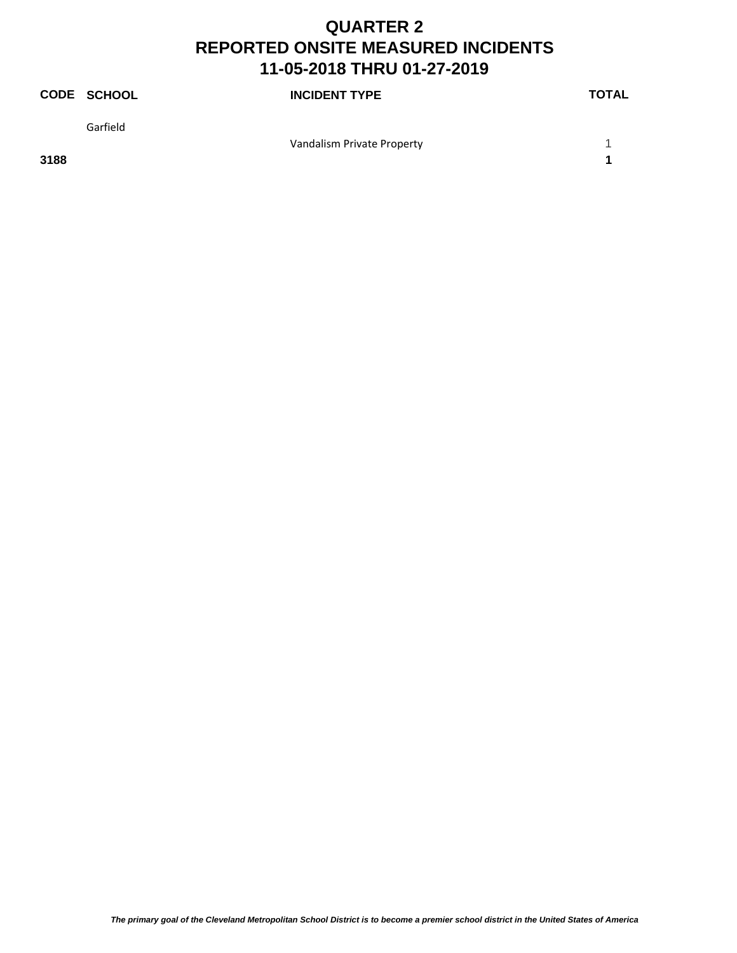|          | <b>INCIDENT TYPE</b> | <b>TOTAL</b>               |
|----------|----------------------|----------------------------|
| Garfield |                      |                            |
|          |                      |                            |
|          | <b>CODE SCHOOL</b>   | Vandalism Private Property |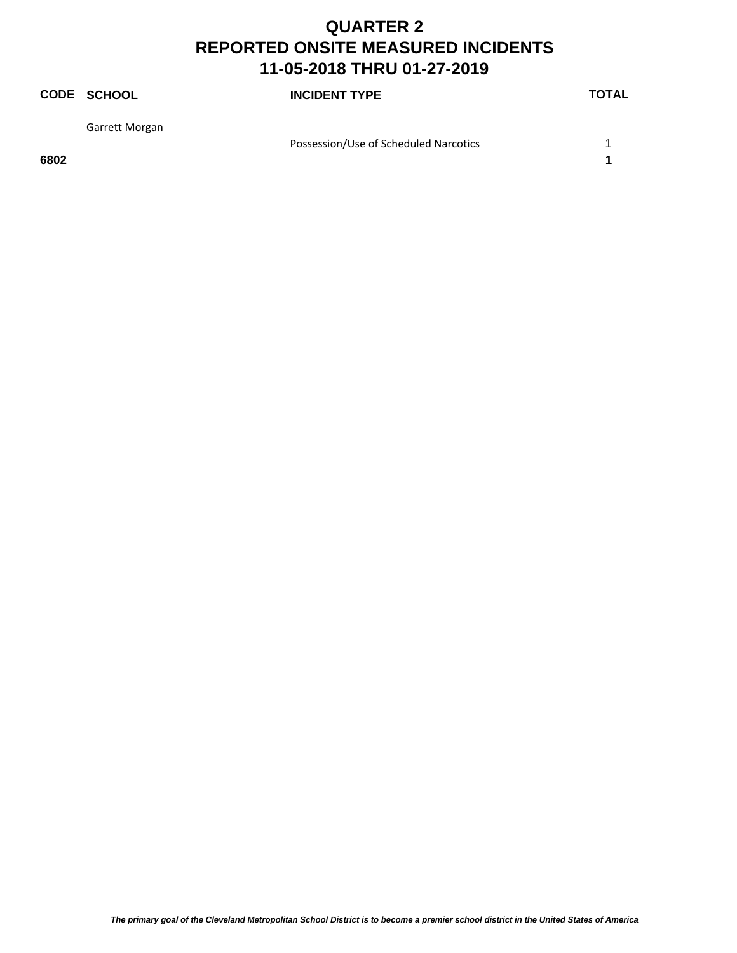|      | <b>CODE SCHOOL</b> | <b>INCIDENT TYPE</b>                  | <b>TOTAL</b> |
|------|--------------------|---------------------------------------|--------------|
|      | Garrett Morgan     |                                       |              |
|      |                    | Possession/Use of Scheduled Narcotics |              |
| 6802 |                    |                                       |              |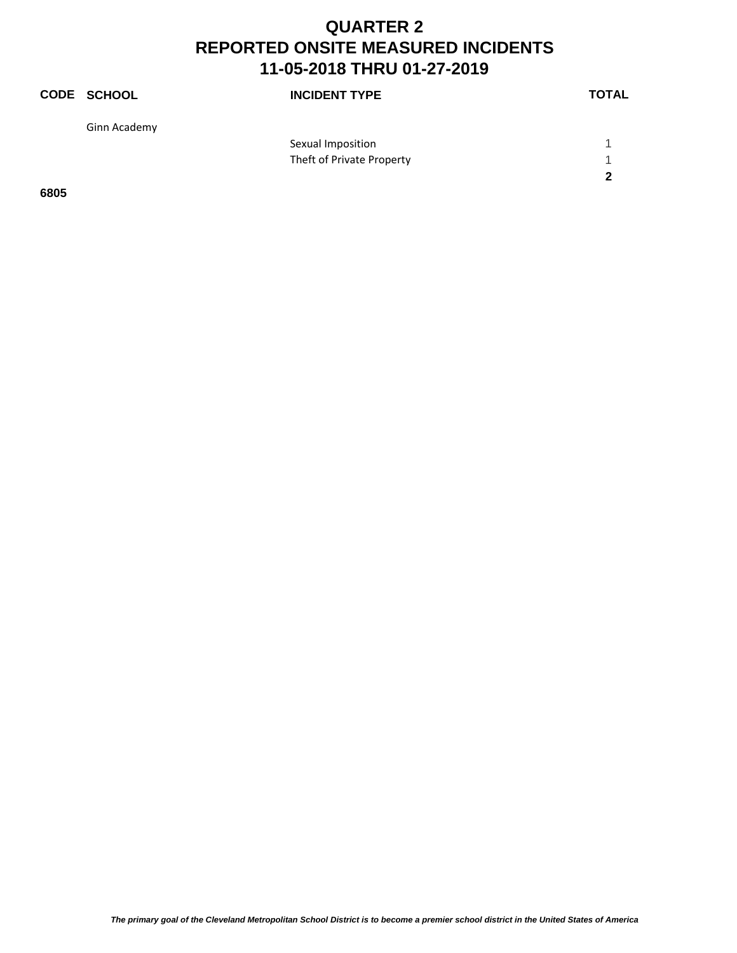|      | <b>CODE SCHOOL</b> | <b>INCIDENT TYPE</b>      | <b>TOTAL</b> |
|------|--------------------|---------------------------|--------------|
|      | Ginn Academy       |                           |              |
|      |                    | Sexual Imposition         |              |
|      |                    | Theft of Private Property | -1           |
|      |                    |                           | 2            |
| 6805 |                    |                           |              |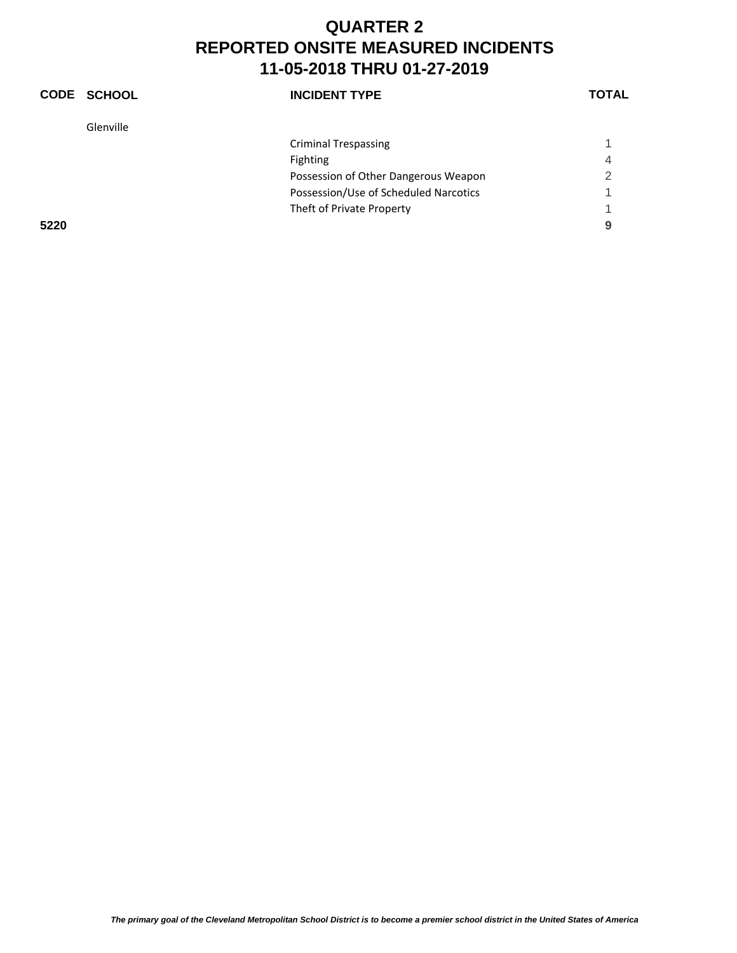|      | CODE SCHOOL | <b>INCIDENT TYPE</b>                  | <b>TOTAL</b> |
|------|-------------|---------------------------------------|--------------|
|      | Glenville   |                                       |              |
|      |             | <b>Criminal Trespassing</b>           |              |
|      |             | Fighting                              | 4            |
|      |             | Possession of Other Dangerous Weapon  | っ            |
|      |             | Possession/Use of Scheduled Narcotics |              |
|      |             | Theft of Private Property             |              |
| 5220 |             |                                       | 9            |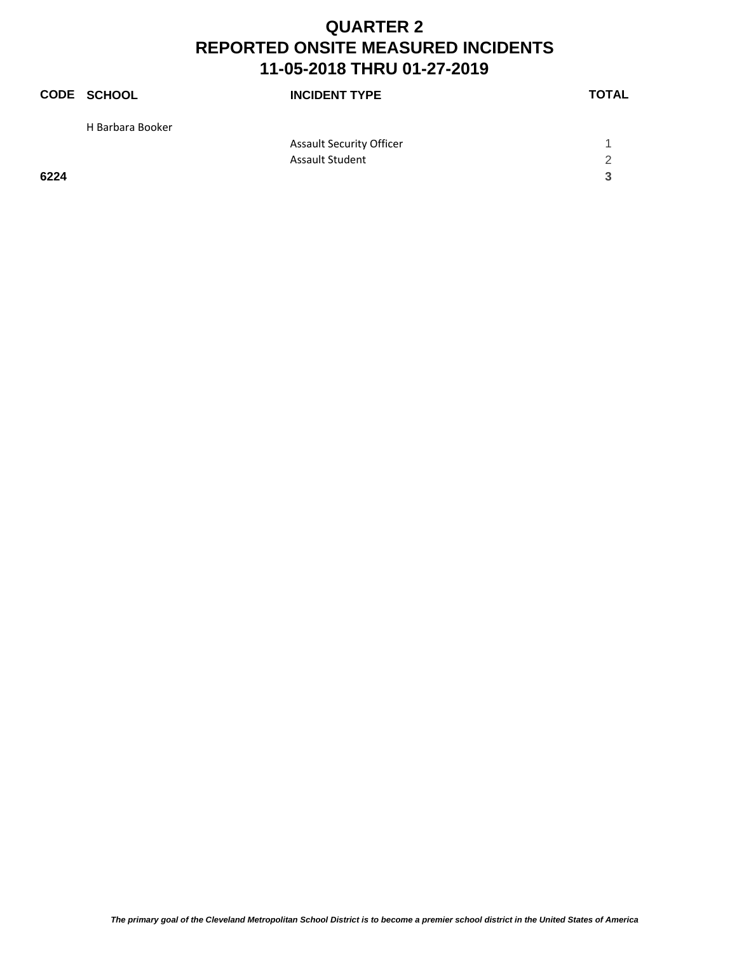|      | CODE SCHOOL      | <b>INCIDENT TYPE</b>            | <b>TOTAL</b> |
|------|------------------|---------------------------------|--------------|
|      | H Barbara Booker |                                 |              |
|      |                  | <b>Assault Security Officer</b> |              |
|      |                  | <b>Assault Student</b>          | 2            |
| 6224 |                  |                                 | 3            |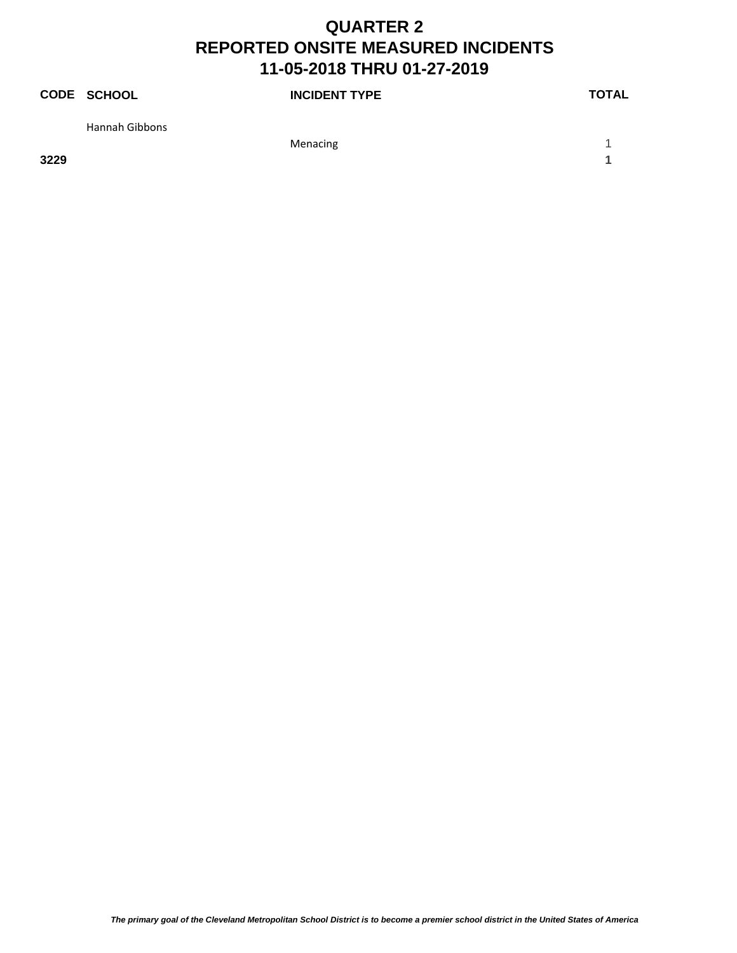|      | CODE SCHOOL           | <b>INCIDENT TYPE</b> | <b>TOTAL</b> |
|------|-----------------------|----------------------|--------------|
|      | <b>Hannah Gibbons</b> |                      |              |
|      |                       | Menacing             |              |
| 3229 |                       |                      |              |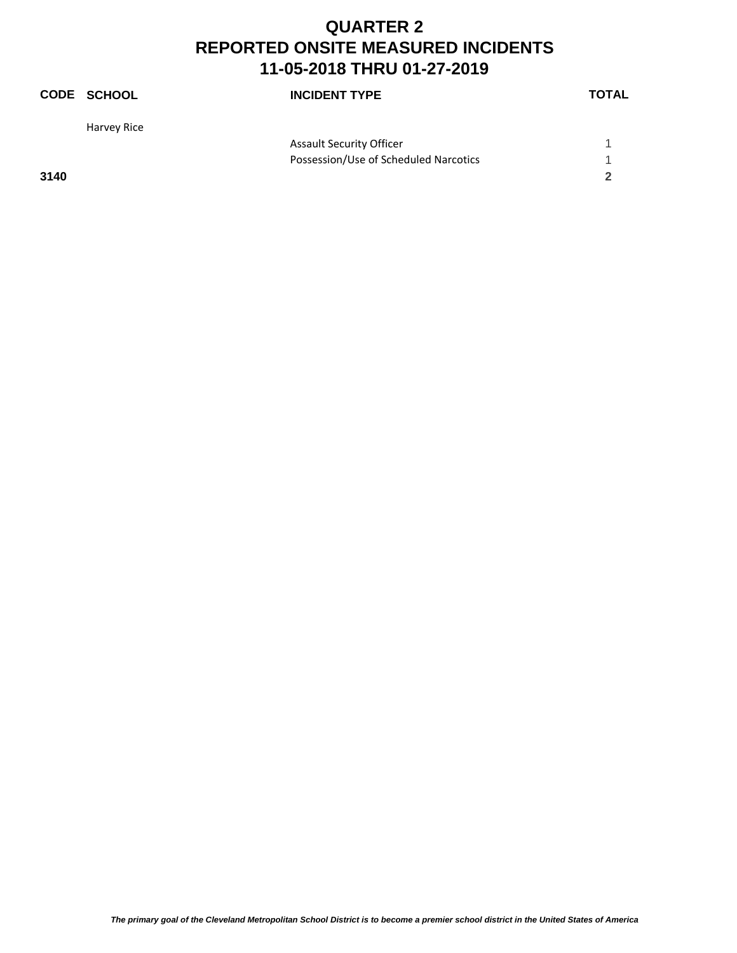|      | <b>CODE SCHOOL</b> | <b>INCIDENT TYPE</b>                  | <b>TOTAL</b> |
|------|--------------------|---------------------------------------|--------------|
|      | Harvey Rice        |                                       |              |
|      |                    | <b>Assault Security Officer</b>       |              |
|      |                    | Possession/Use of Scheduled Narcotics | 1            |
| 3140 |                    |                                       | $\mathbf{2}$ |
|      |                    |                                       |              |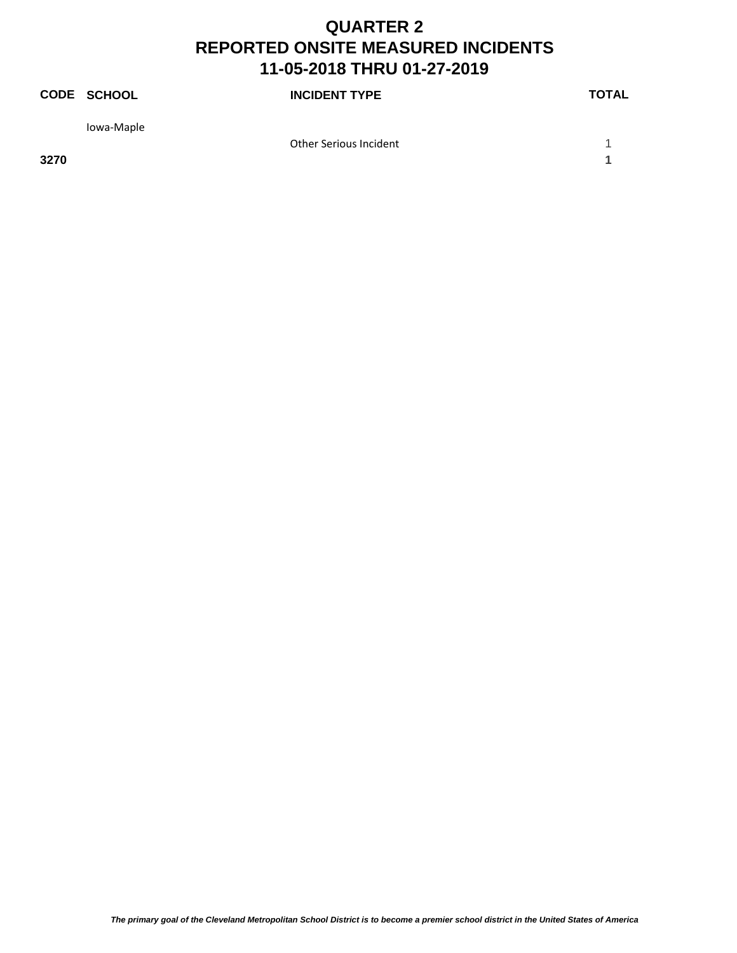|      | <b>CODE SCHOOL</b> | <b>INCIDENT TYPE</b>   | <b>TOTAL</b> |
|------|--------------------|------------------------|--------------|
|      | Iowa-Maple         |                        |              |
|      |                    | Other Serious Incident |              |
| 3270 |                    |                        |              |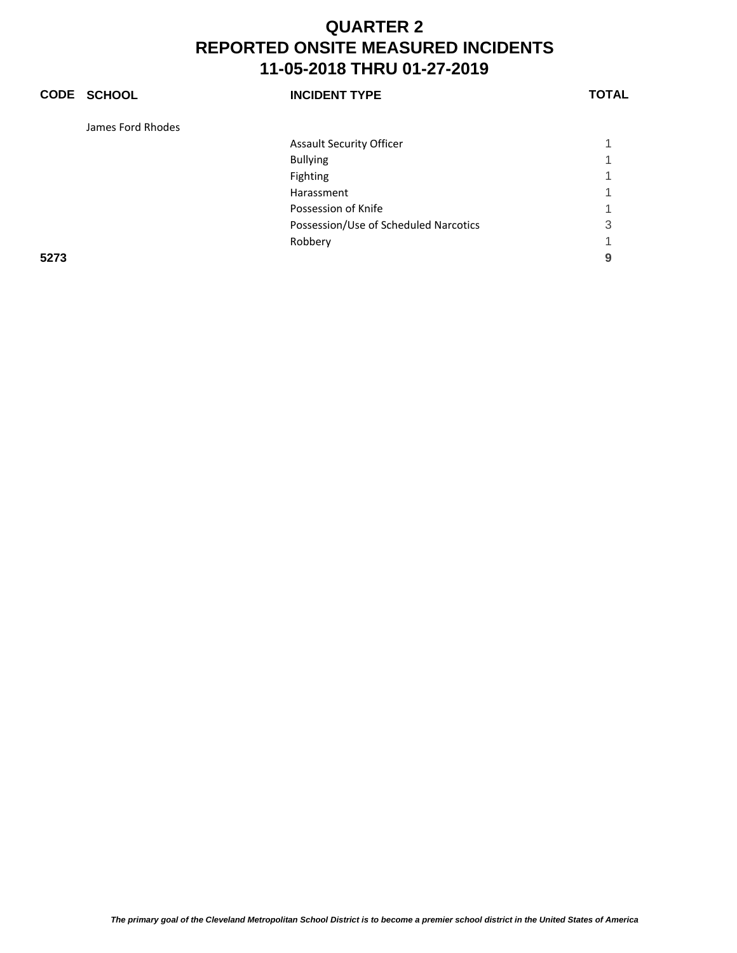#### **CODE SCHOOL INCIDENT TYPE TOTAL** James Ford Rhodes Assault Security Officer 1 1 2008 1 2008 1 2008 1 2008 1 2008 1 2008 1 2008 1 2008 1 2008 1 2008 1 2008 1 2008 1 2008 1 2008 1 2008 1 2008 1 2008 1 2008 1 2008 1 2008 1 2008 1 2008 1 2008 1 2008 1 2008 1 2008 1 2008 1 2008 Bullying the contract of the contract of the contract of the contract of the contract of the contract of the contract of the contract of the contract of the contract of the contract of the contract of the contract of the c Fighting the contract of the contract of the contract of the contract of the contract of the contract of the contract of the contract of the contract of the contract of the contract of the contract of the contract of the c Harassment 1 Possession of Knife 1 and 2008 and 2008 and 2008 and 2008 and 2008 and 2008 and 2008 and 2008 and 2008 and 200 Possession/Use of Scheduled Narcotics 3 Robbery 1 and 1 and 1 and 1 and 1 and 1 and 1 and 1 and 1 and 1 and 1 and 1 and 1 and 1 and 1 and 1 and 1 and 1 **5273 9**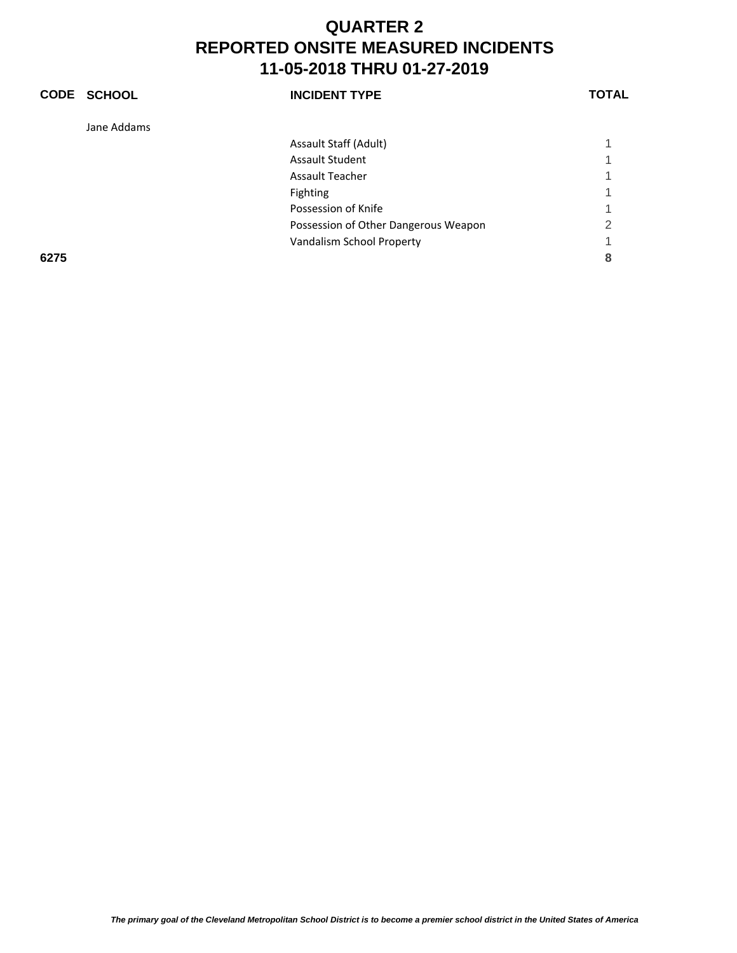|      | CODE SCHOOL | <b>INCIDENT TYPE</b>                 | TOTAL |
|------|-------------|--------------------------------------|-------|
|      | Jane Addams |                                      |       |
|      |             | Assault Staff (Adult)                |       |
|      |             | <b>Assault Student</b>               |       |
|      |             | <b>Assault Teacher</b>               |       |
|      |             | <b>Fighting</b>                      |       |
|      |             | Possession of Knife                  |       |
|      |             | Possession of Other Dangerous Weapon | 2     |
|      |             | Vandalism School Property            |       |
| 6275 |             |                                      | 8     |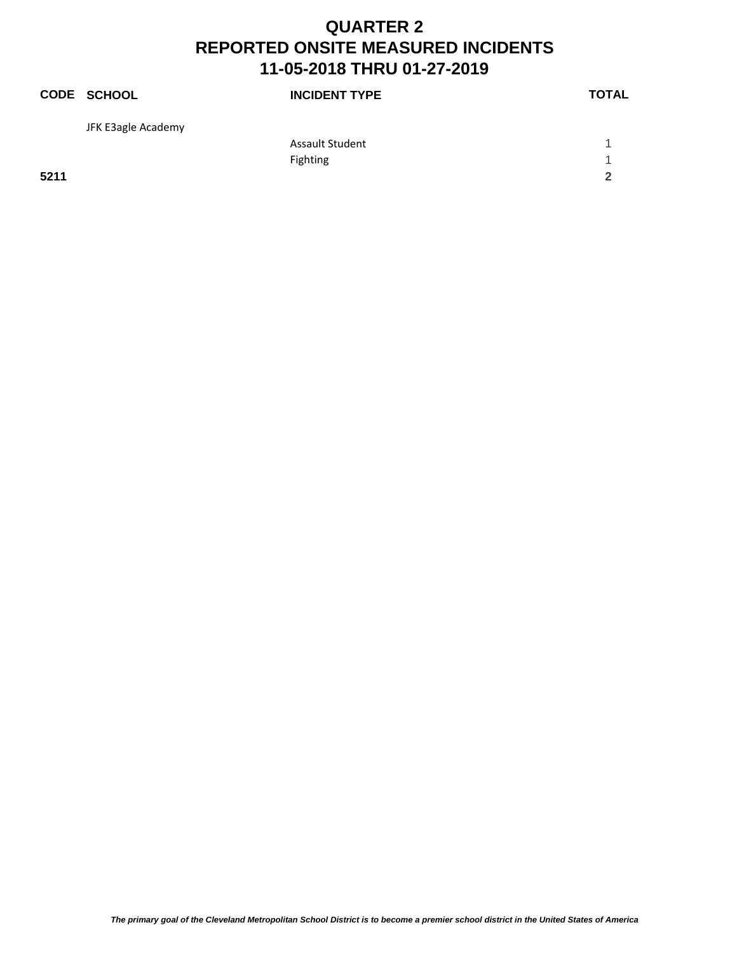|      | CODE SCHOOL        | <b>INCIDENT TYPE</b>   | <b>TOTAL</b> |
|------|--------------------|------------------------|--------------|
|      | JFK E3agle Academy |                        |              |
|      |                    | <b>Assault Student</b> |              |
|      |                    | Fighting               | 1            |
| 5211 |                    |                        | $\mathbf{2}$ |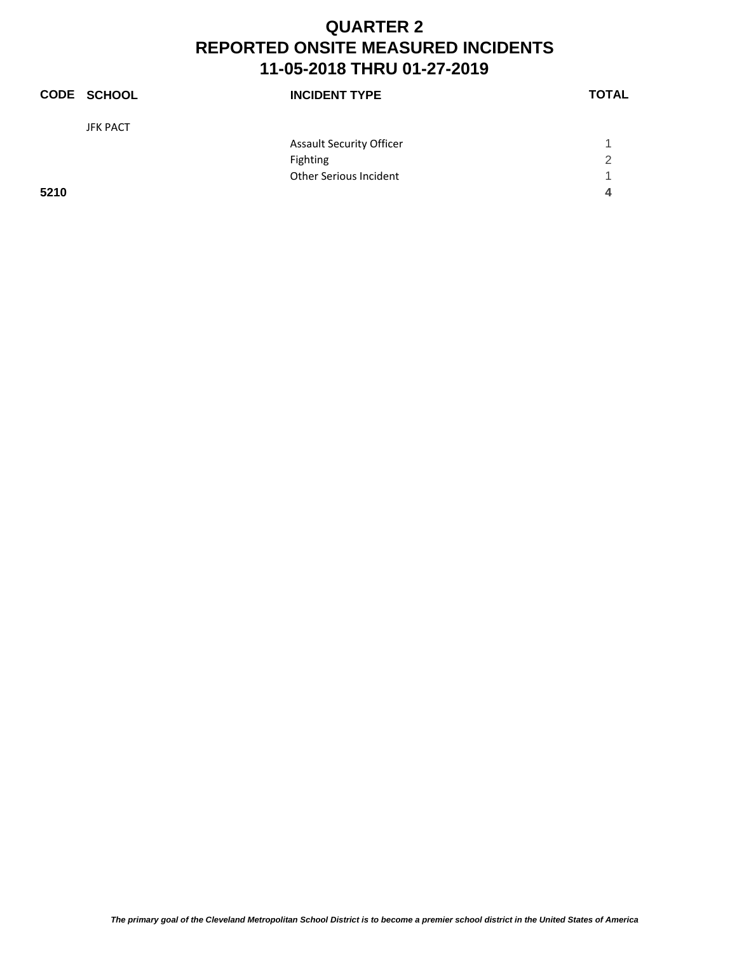|      | <b>CODE SCHOOL</b> | <b>INCIDENT TYPE</b>            | <b>TOTAL</b> |
|------|--------------------|---------------------------------|--------------|
|      | <b>JFK PACT</b>    |                                 |              |
|      |                    | <b>Assault Security Officer</b> |              |
|      |                    | Fighting                        | 2            |
|      |                    | <b>Other Serious Incident</b>   | 1            |
| 5210 |                    |                                 | 4            |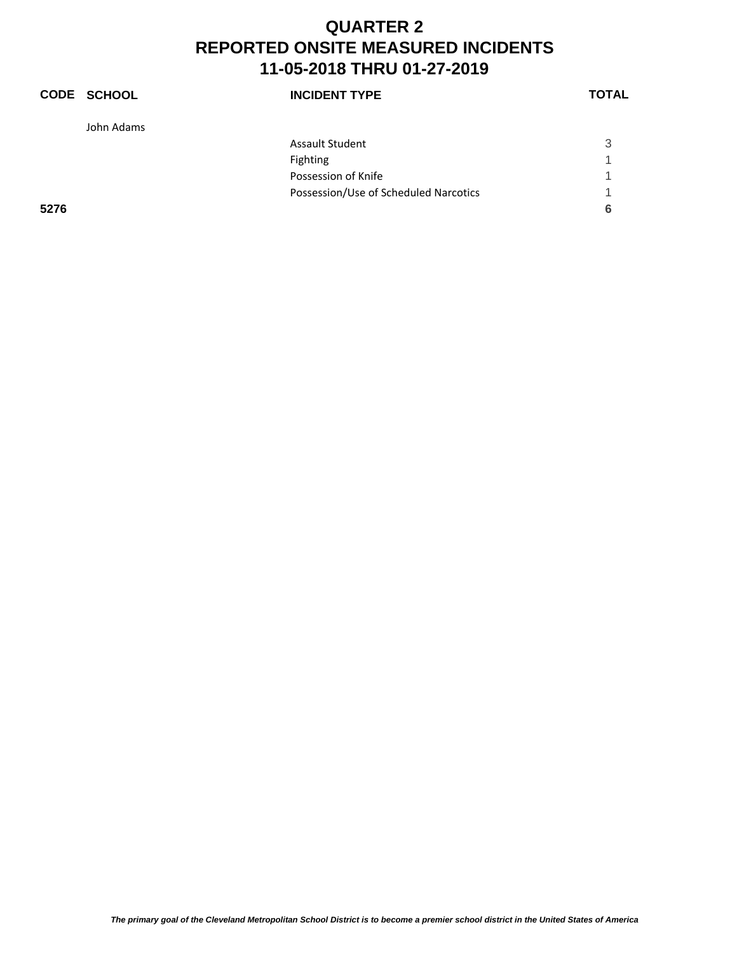|      | <b>CODE SCHOOL</b> | <b>INCIDENT TYPE</b>                  | <b>TOTAL</b> |
|------|--------------------|---------------------------------------|--------------|
|      | John Adams         |                                       |              |
|      |                    | <b>Assault Student</b>                | 3            |
|      |                    | <b>Fighting</b>                       | 1            |
|      |                    | Possession of Knife                   |              |
|      |                    | Possession/Use of Scheduled Narcotics | ◀            |
| 5276 |                    |                                       | 6            |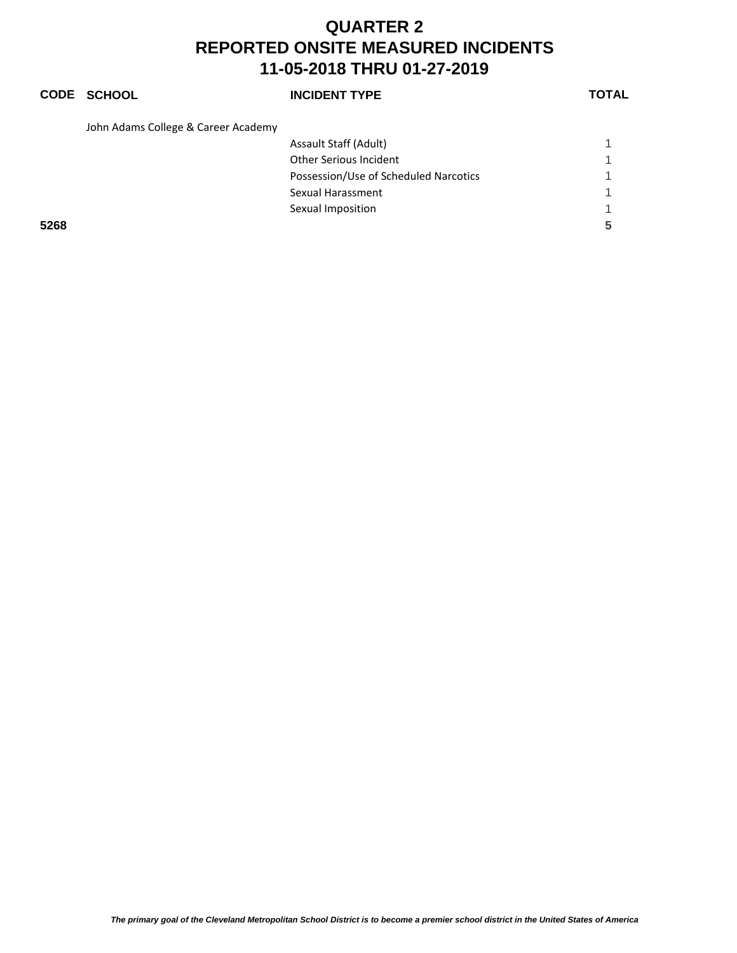#### **CODE SCHOOL INCIDENT TYPE TOTAL**

John Adams College & Career Academy

| 5268 |                                       |  |
|------|---------------------------------------|--|
|      | Sexual Imposition                     |  |
|      | Sexual Harassment                     |  |
|      | Possession/Use of Scheduled Narcotics |  |
|      | Other Serious Incident                |  |
|      | Assault Staff (Adult)                 |  |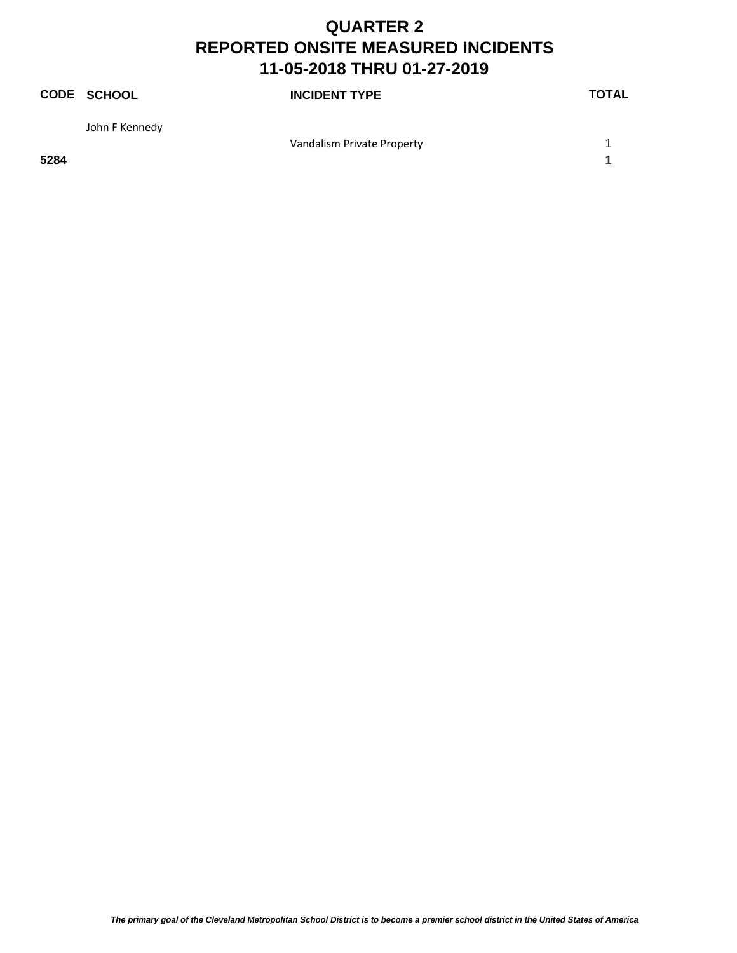|      | <b>CODE SCHOOL</b> | <b>INCIDENT TYPE</b>       | <b>TOTAL</b> |
|------|--------------------|----------------------------|--------------|
|      | John F Kennedy     |                            |              |
|      |                    | Vandalism Private Property |              |
| 5284 |                    |                            |              |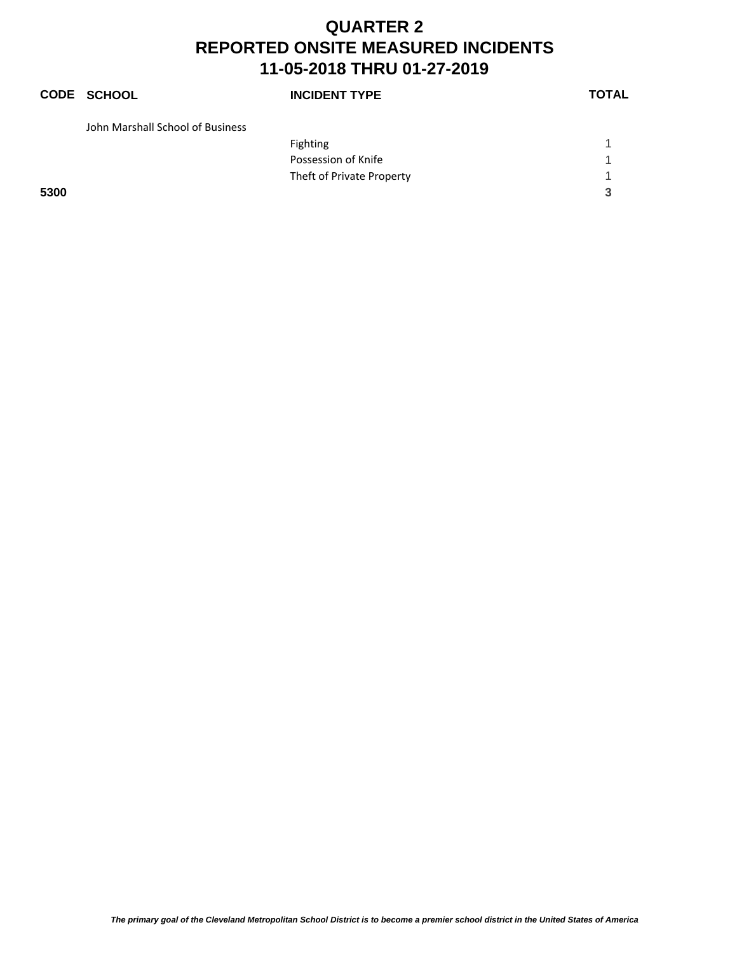## **CODE SCHOOL INCIDENT TYPE TOTAL** John Marshall School of Business Fighting the contract of the contract of the contract of the contract of the contract of the contract of the contract of the contract of the contract of the contract of the contract of the contract of the contract of the c

Possession of Knife 1 and 2008 and 2008 and 2008 and 2008 and 2008 and 2008 and 2008 and 2008 and 2008 and 200 Theft of Private Property 1 **5300 3**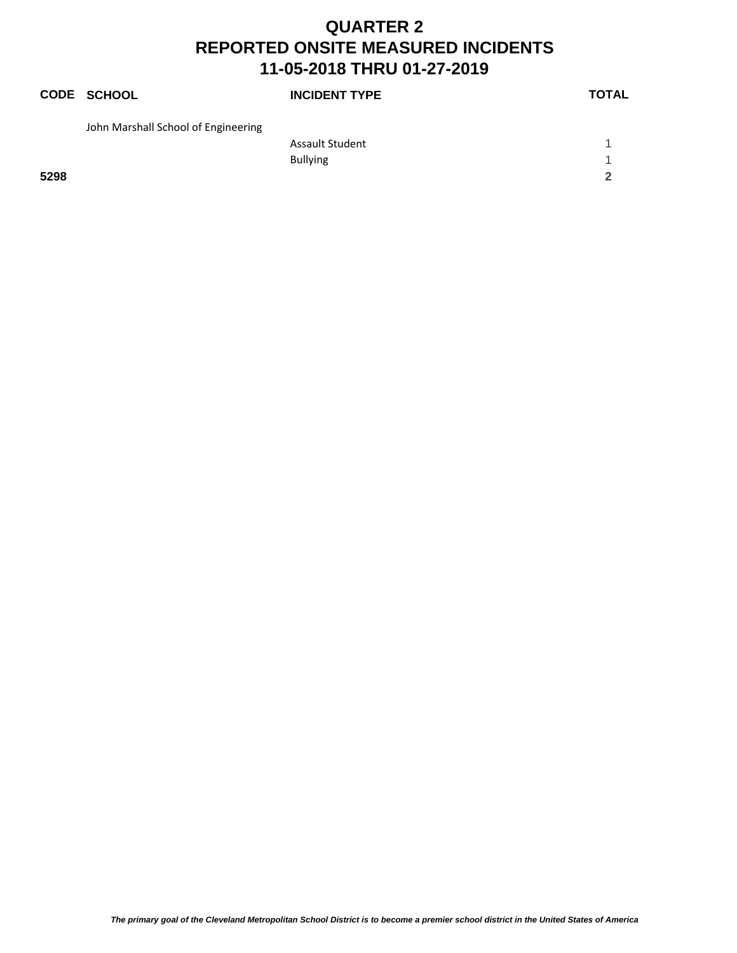|      | CODE SCHOOL                         | <b>INCIDENT TYPE</b>   | <b>TOTAL</b> |
|------|-------------------------------------|------------------------|--------------|
|      | John Marshall School of Engineering |                        |              |
|      |                                     | <b>Assault Student</b> |              |
|      |                                     | <b>Bullying</b>        |              |
| 5298 |                                     |                        | 2            |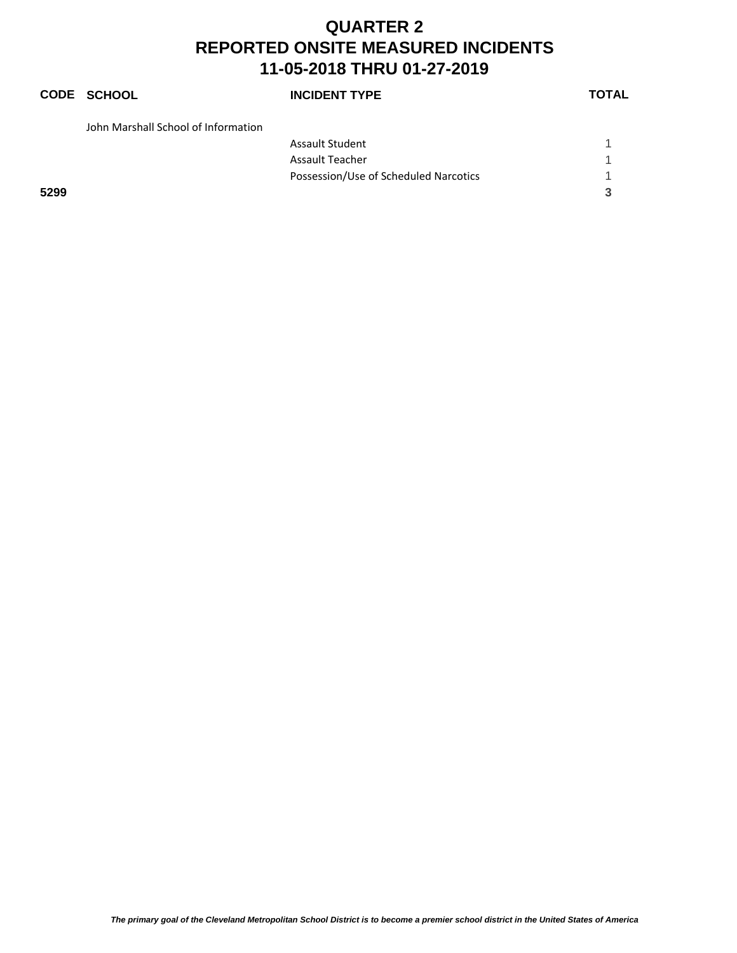# **CODE SCHOOL INCIDENT TYPE TOTAL**

| John Marshall School of Information |                                       |  |
|-------------------------------------|---------------------------------------|--|
|                                     | <b>Assault Student</b>                |  |
|                                     | Assault Teacher                       |  |
|                                     | Possession/Use of Scheduled Narcotics |  |
| 5299                                |                                       |  |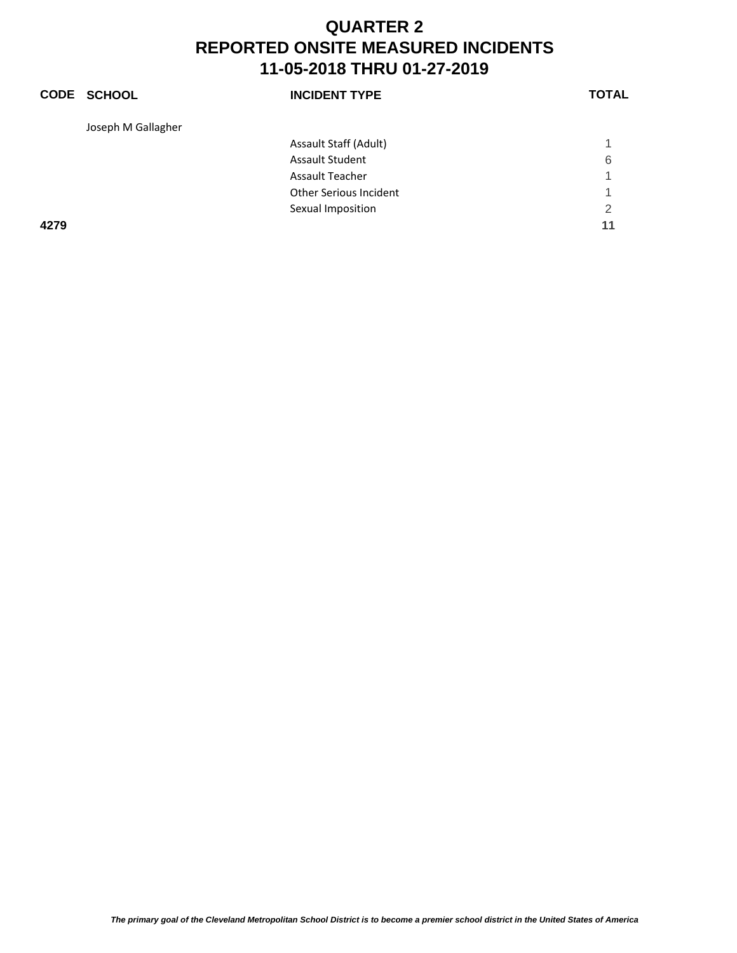|      | <b>CODE SCHOOL</b> | <b>INCIDENT TYPE</b>   | <b>TOTAL</b> |
|------|--------------------|------------------------|--------------|
|      | Joseph M Gallagher |                        |              |
|      |                    | Assault Staff (Adult)  |              |
|      |                    | <b>Assault Student</b> | 6            |
|      |                    | <b>Assault Teacher</b> | 1            |
|      |                    | Other Serious Incident | 1            |
|      |                    | Sexual Imposition      | 2            |
| 4279 |                    |                        | 11           |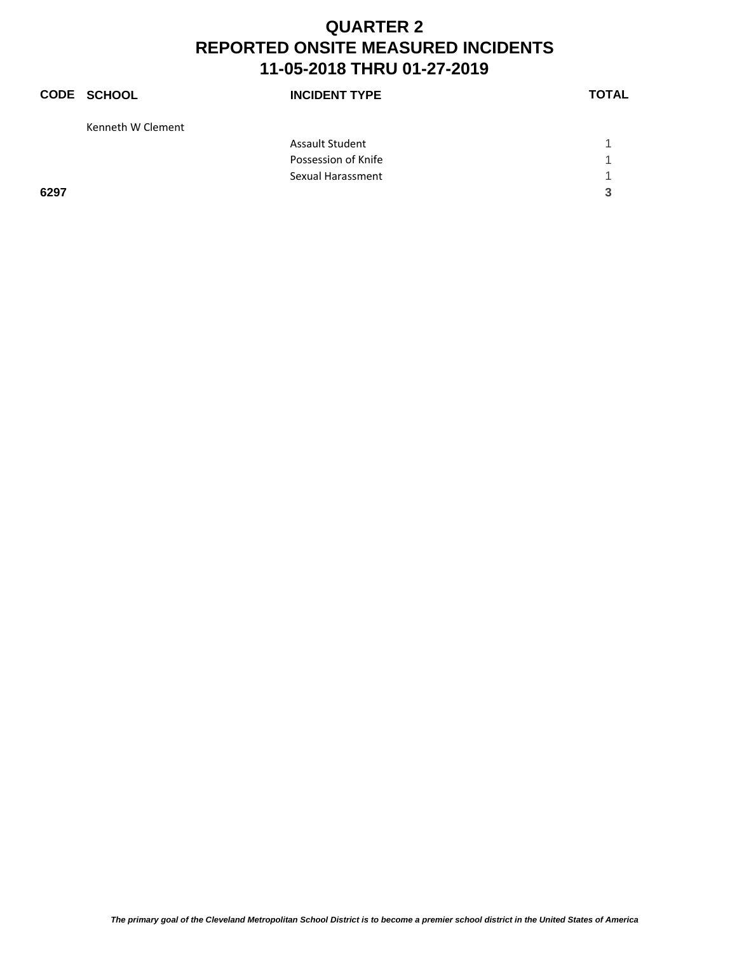|      | <b>CODE SCHOOL</b> | <b>INCIDENT TYPE</b>   | <b>TOTAL</b> |
|------|--------------------|------------------------|--------------|
|      | Kenneth W Clement  |                        |              |
|      |                    | <b>Assault Student</b> |              |
|      |                    | Possession of Knife    |              |
|      |                    | Sexual Harassment      | 1            |
| 6297 |                    |                        | 3            |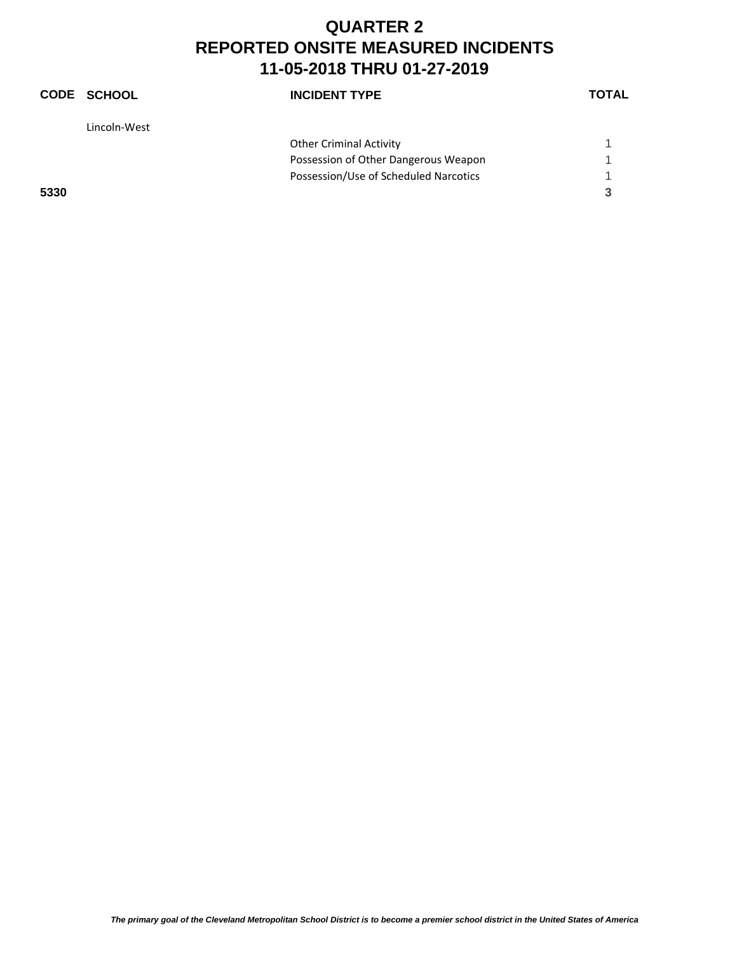|      | CODE SCHOOL  | <b>INCIDENT TYPE</b>                  | <b>TOTAL</b> |
|------|--------------|---------------------------------------|--------------|
|      | Lincoln-West |                                       |              |
|      |              | <b>Other Criminal Activity</b>        |              |
|      |              | Possession of Other Dangerous Weapon  |              |
|      |              | Possession/Use of Scheduled Narcotics | 1            |
| 5330 |              |                                       | 3            |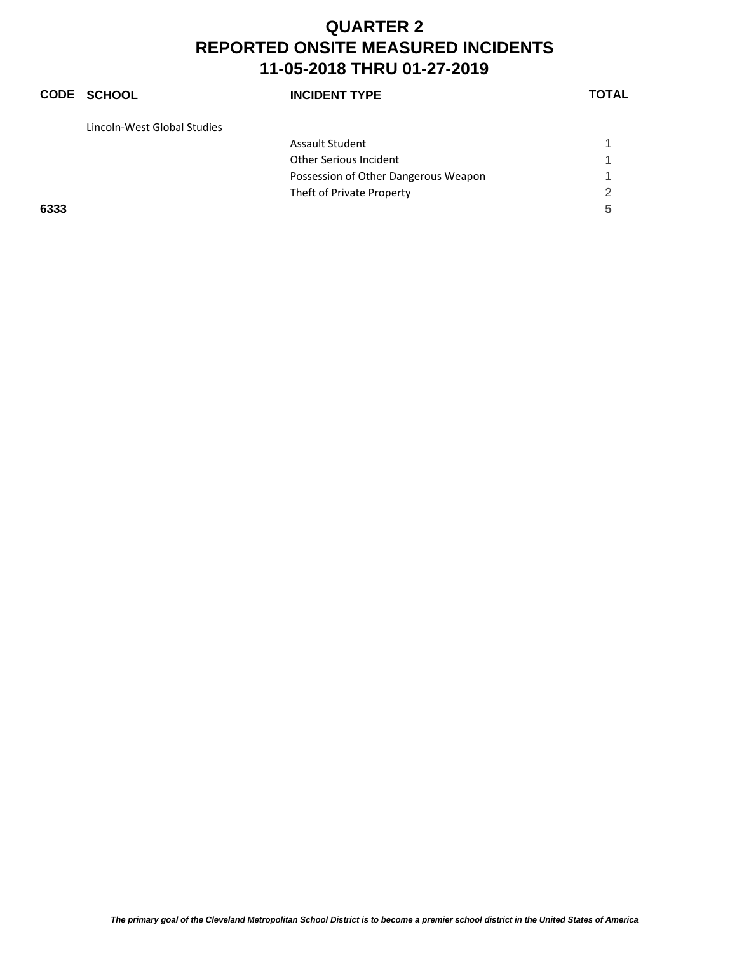#### **CODE SCHOOL INCIDENT TYPE TOTAL** Lincoln‐West Global Studies Assault Student 1 and 1 and 1 and 1 and 1 and 1 and 1 and 1 and 1 and 1 and 1 and 1 and 1 and 1 and 1 and 1 and 1 and 1 and 1 and 1 and 1 and 1 and 1 and 1 and 1 and 1 and 1 and 1 and 1 and 1 and 1 and 1 and 1 and 1 and 1 Other Serious Incident 1 Possession of Other Dangerous Weapon 1 Theft of Private Property 2 **6333 5**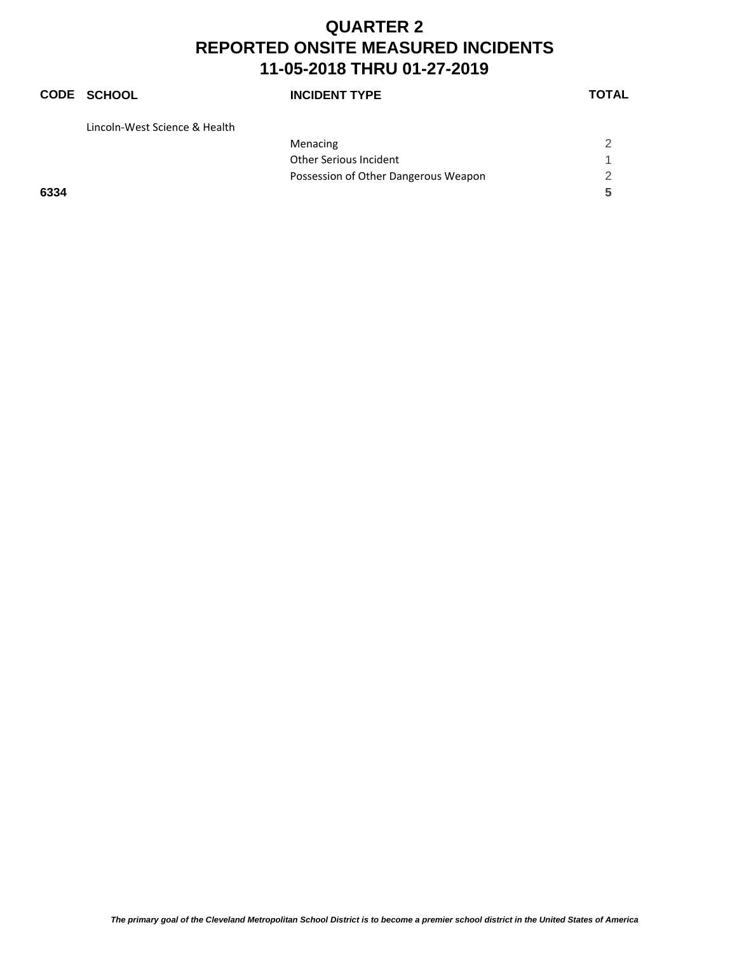### **CODE SCHOOL INCIDENT TYPE TOTAL** Lincoln‐West Science & Health Menacing 2 Other Serious Incident 1 Possession of Other Dangerous Weapon 2 **6334 5**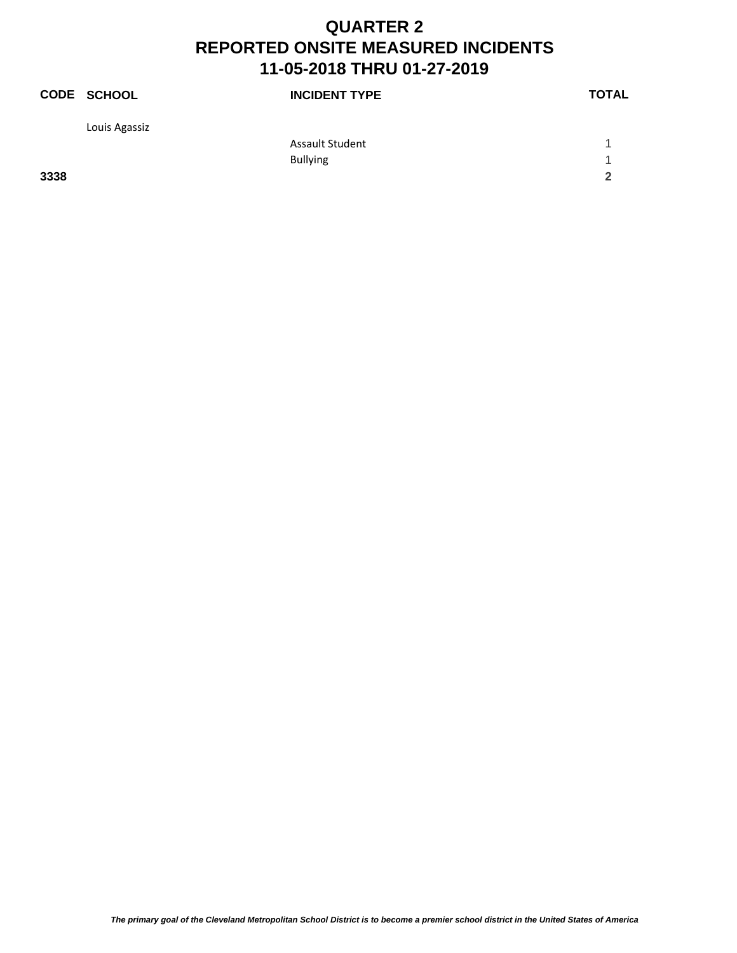|      | CODE SCHOOL   | <b>INCIDENT TYPE</b>   | <b>TOTAL</b> |
|------|---------------|------------------------|--------------|
|      | Louis Agassiz |                        |              |
|      |               | <b>Assault Student</b> |              |
|      |               | <b>Bullying</b>        | и            |
| 3338 |               |                        | 2            |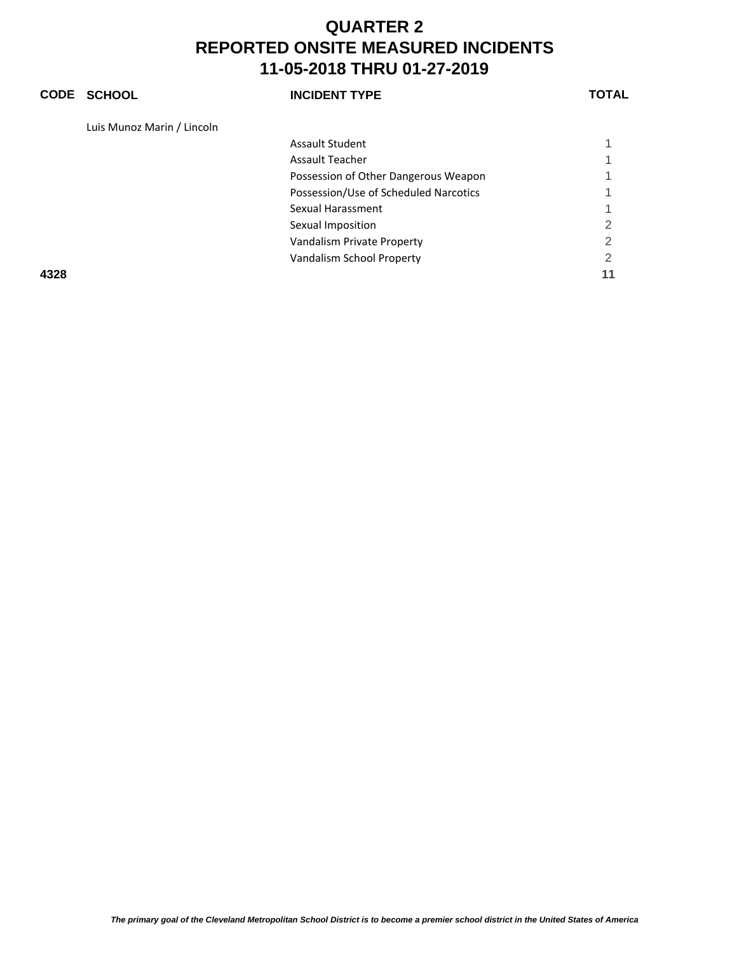#### **CODE SCHOOL INCIDENT TYPE TOTAL**

Luis Munoz Marin / Lincoln

|      | Assault Student                       |   |
|------|---------------------------------------|---|
|      | <b>Assault Teacher</b>                |   |
|      | Possession of Other Dangerous Weapon  |   |
|      | Possession/Use of Scheduled Narcotics |   |
|      | Sexual Harassment                     |   |
|      | Sexual Imposition                     | 2 |
|      | Vandalism Private Property            | 2 |
|      | Vandalism School Property             | 2 |
| 4328 |                                       |   |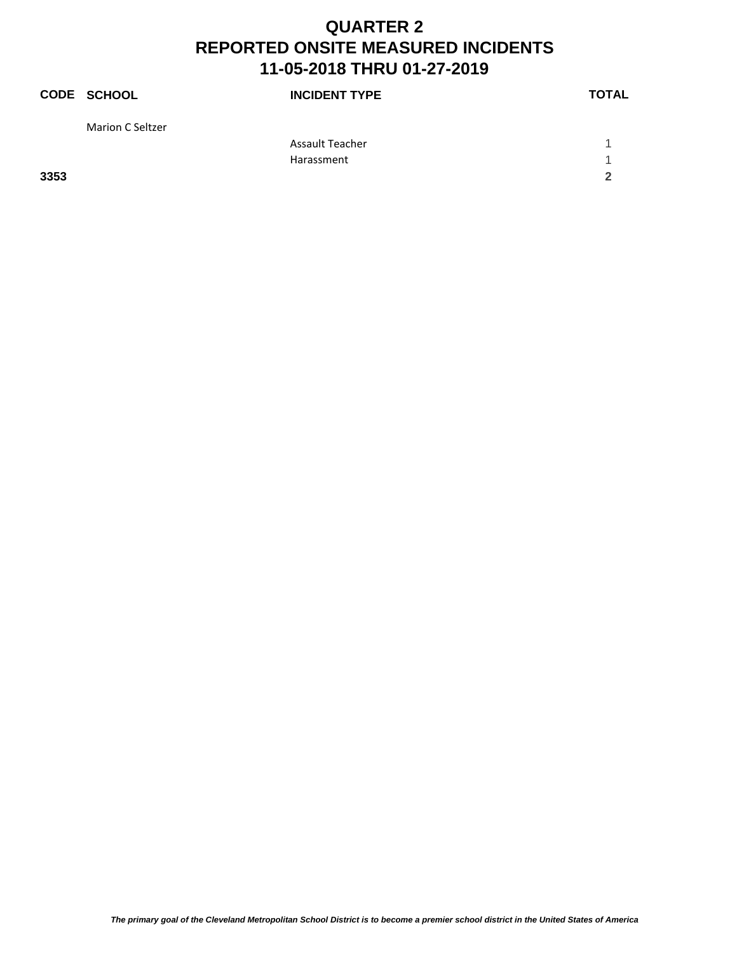|      | CODE SCHOOL             | <b>INCIDENT TYPE</b>   | <b>TOTAL</b> |
|------|-------------------------|------------------------|--------------|
|      | <b>Marion C Seltzer</b> |                        |              |
|      |                         | <b>Assault Teacher</b> |              |
|      |                         | Harassment             |              |
| 3353 |                         |                        | 2            |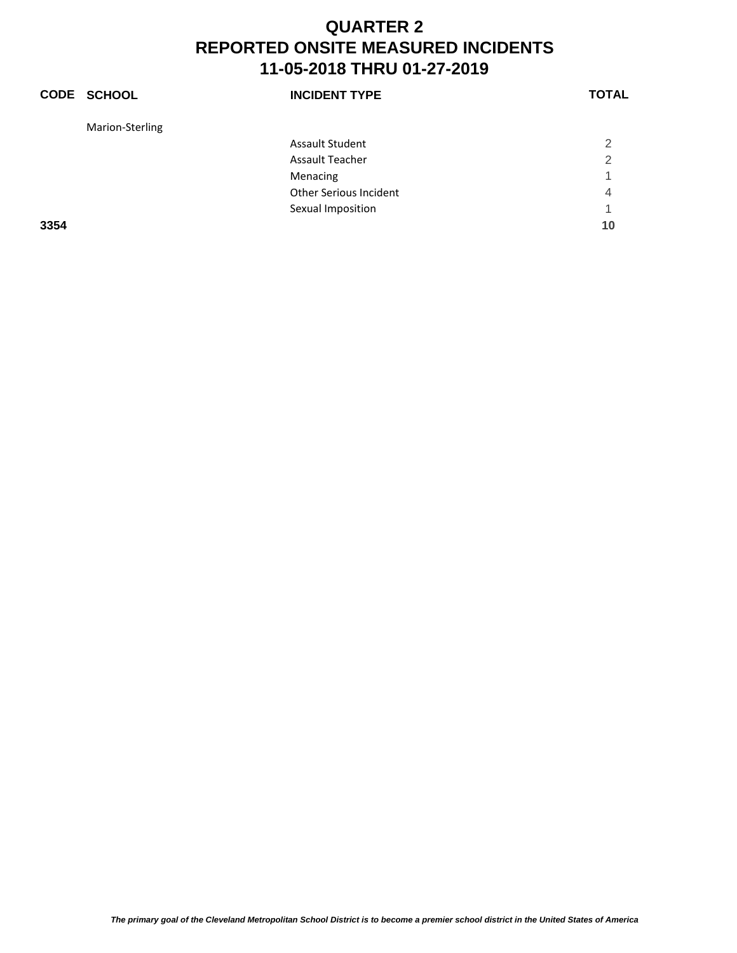|      | <b>CODE SCHOOL</b> | <b>INCIDENT TYPE</b>          | <b>TOTAL</b>   |
|------|--------------------|-------------------------------|----------------|
|      | Marion-Sterling    |                               |                |
|      |                    | Assault Student               | $\overline{2}$ |
|      |                    | <b>Assault Teacher</b>        | $\mathfrak{p}$ |
|      |                    | Menacing                      | 1              |
|      |                    | <b>Other Serious Incident</b> | 4              |
|      |                    | Sexual Imposition             | 1              |
| 3354 |                    |                               | 10             |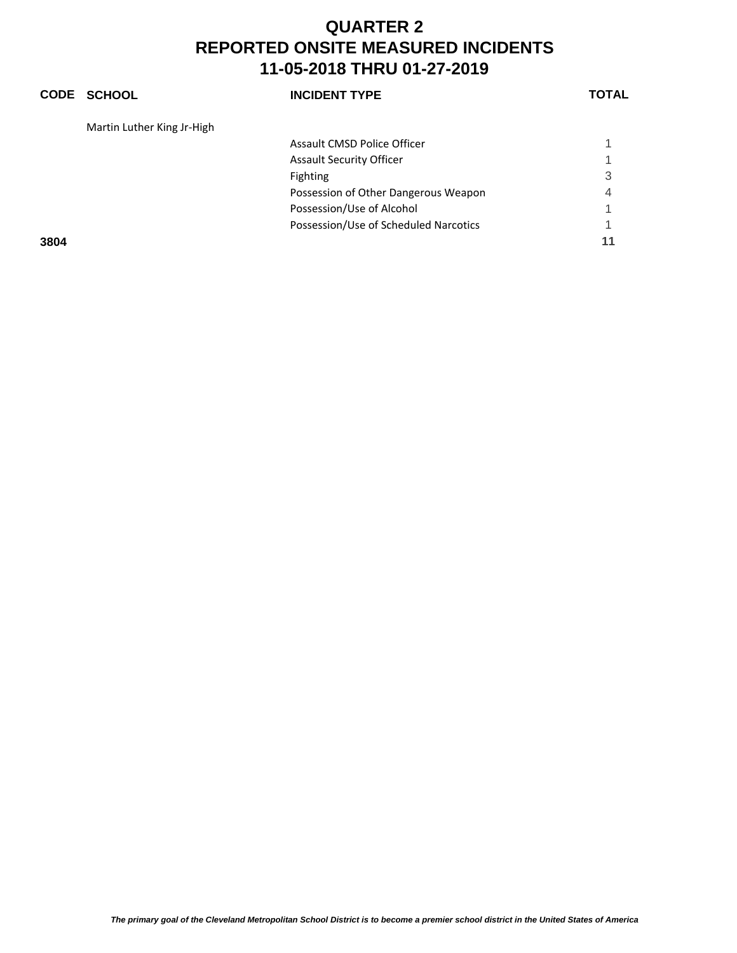Possession/Use of Scheduled Narcotics 1

#### **CODE SCHOOL INCIDENT TYPE TOTAL** Martin Luther King Jr‐High Assault CMSD Police Officer 1 Assault Security Officer 1 1 2022 1 2022 1 2022 1 2022 1 2022 1 2022 1 2022 1 2022 1 2022 1 2022 1 2022 1 2022 1 2022 1 2022 1 2022 1 2022 1 2022 1 2022 1 2022 1 2022 1 2022 1 2022 1 2022 1 2022 1 2022 1 2022 1 2022 1 2022 Fighting 3 Possession of Other Dangerous Weapon 4 Possession/Use of Alcohol 1

**3804 11**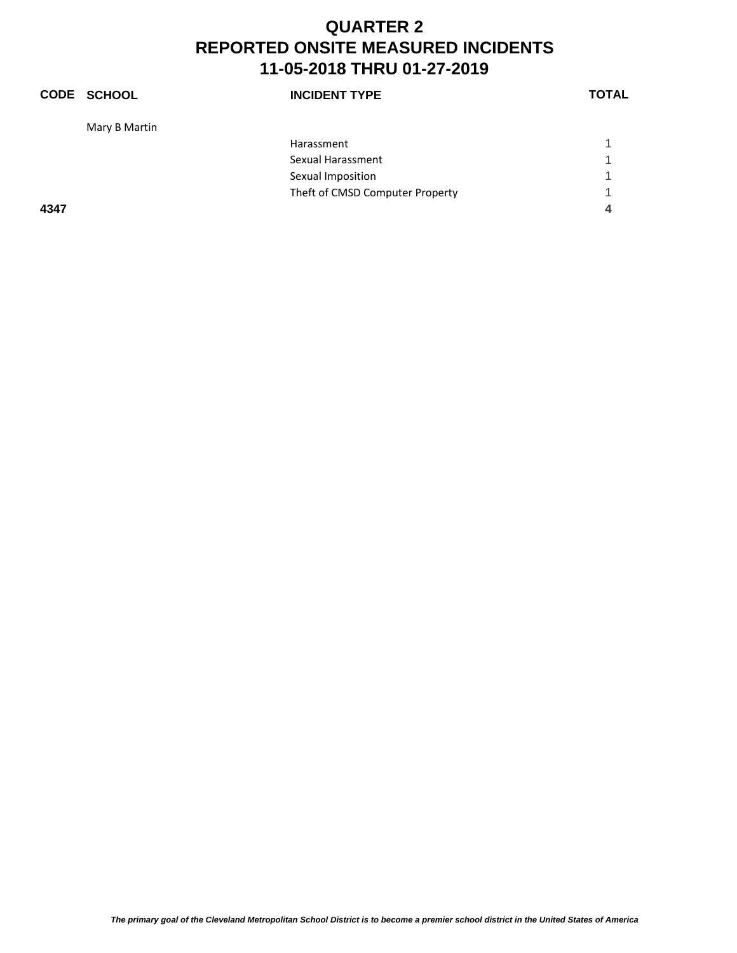|      | <b>CODE SCHOOL</b> | <b>INCIDENT TYPE</b>            | <b>TOTAL</b> |
|------|--------------------|---------------------------------|--------------|
|      | Mary B Martin      |                                 |              |
|      |                    | Harassment                      |              |
|      |                    | Sexual Harassment               | 1            |
|      |                    | Sexual Imposition               | 1            |
|      |                    | Theft of CMSD Computer Property | 1            |
| 4347 |                    |                                 | 4            |
|      |                    |                                 |              |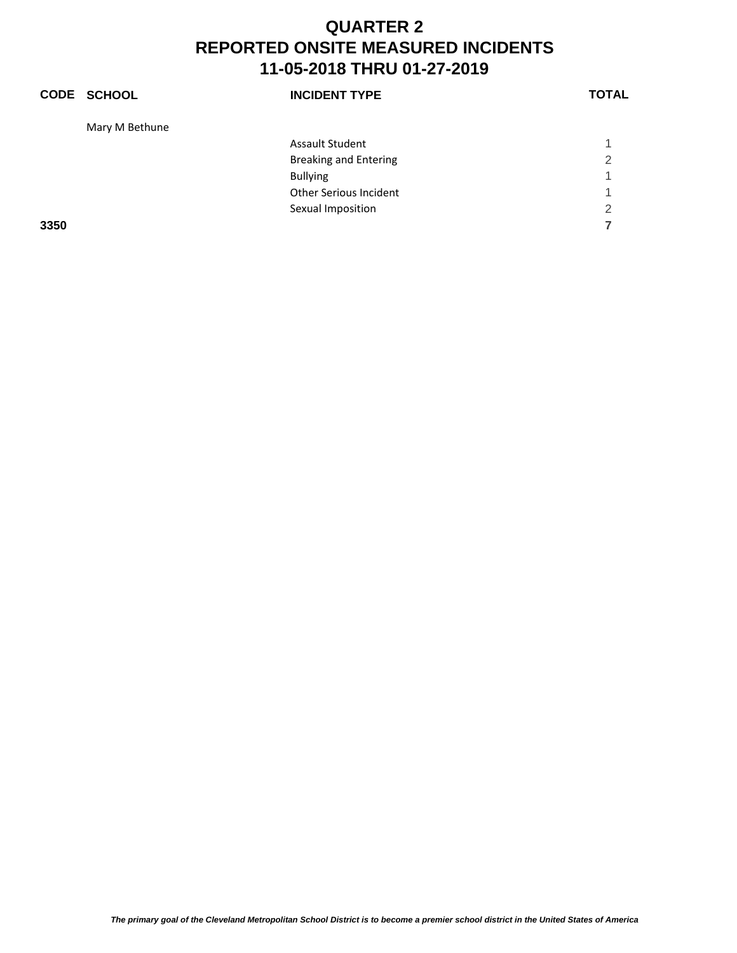|      | <b>CODE SCHOOL</b> | <b>INCIDENT TYPE</b>         | <b>TOTAL</b>   |
|------|--------------------|------------------------------|----------------|
|      | Mary M Bethune     |                              |                |
|      |                    | <b>Assault Student</b>       |                |
|      |                    | <b>Breaking and Entering</b> | 2              |
|      |                    | <b>Bullying</b>              |                |
|      |                    | Other Serious Incident       | 1              |
|      |                    | Sexual Imposition            | $\overline{2}$ |
| 3350 |                    |                              |                |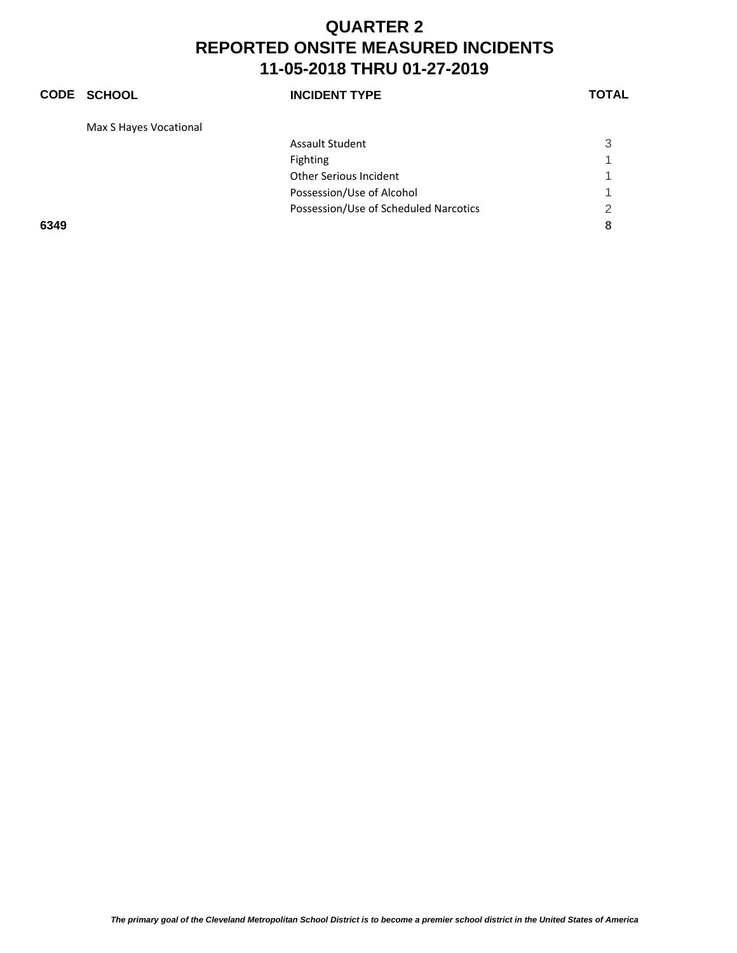#### **CODE SCHOOL INCIDENT TYPE TOTAL** Max S Hayes Vocational Assault Student 3 Fighting the contract of the contract of the contract of the contract of the contract of the contract of the contract of the contract of the contract of the contract of the contract of the contract of the contract of the c Other Serious Incident 1 Possession/Use of Alcohol 1 Possession/Use of Scheduled Narcotics 2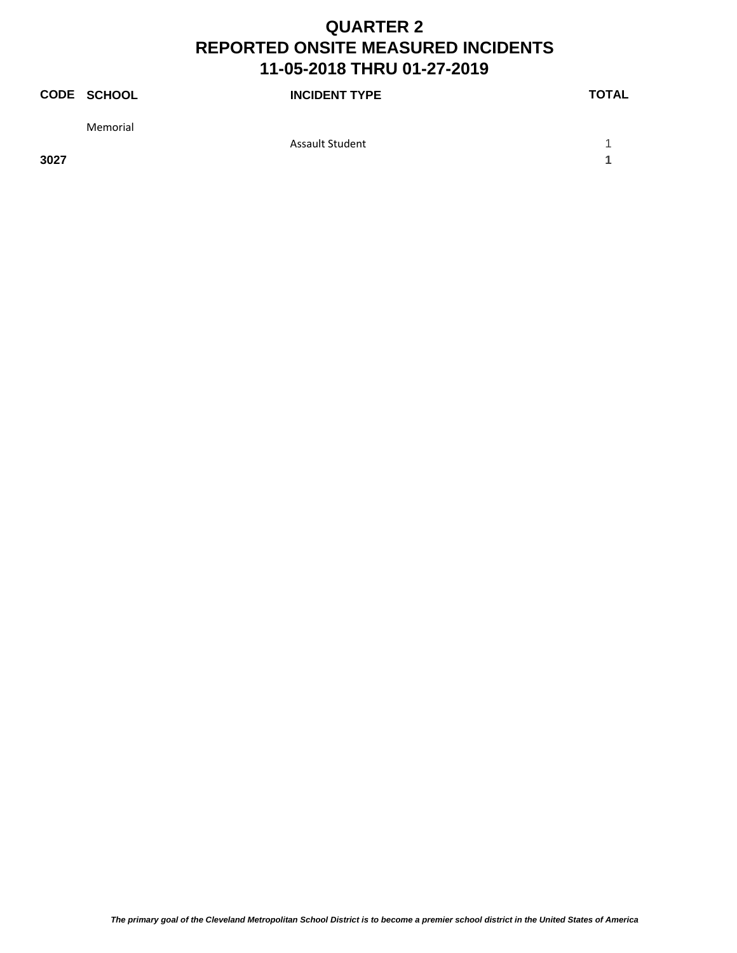|      | <b>CODE SCHOOL</b> | <b>INCIDENT TYPE</b>   | <b>TOTAL</b> |
|------|--------------------|------------------------|--------------|
|      | Memorial           |                        |              |
|      |                    | <b>Assault Student</b> |              |
| 3027 |                    |                        |              |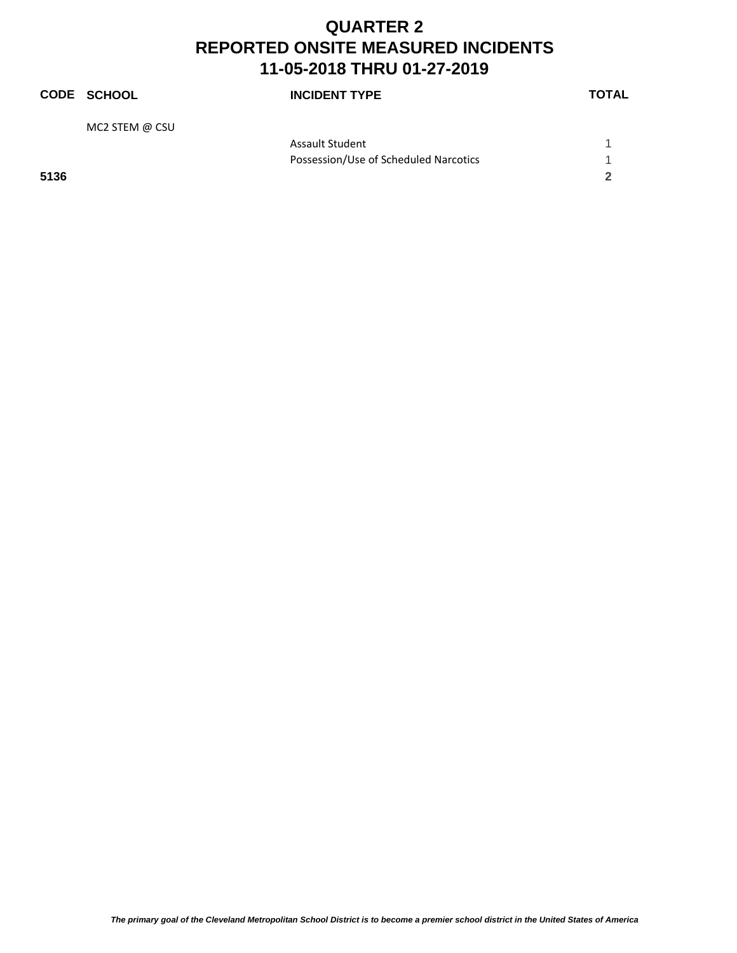|      | <b>CODE SCHOOL</b> | <b>INCIDENT TYPE</b>                  | <b>TOTAL</b> |
|------|--------------------|---------------------------------------|--------------|
|      | MC2 STEM @ CSU     |                                       |              |
|      |                    | <b>Assault Student</b>                |              |
|      |                    | Possession/Use of Scheduled Narcotics |              |
| 5136 |                    |                                       | 2            |
|      |                    |                                       |              |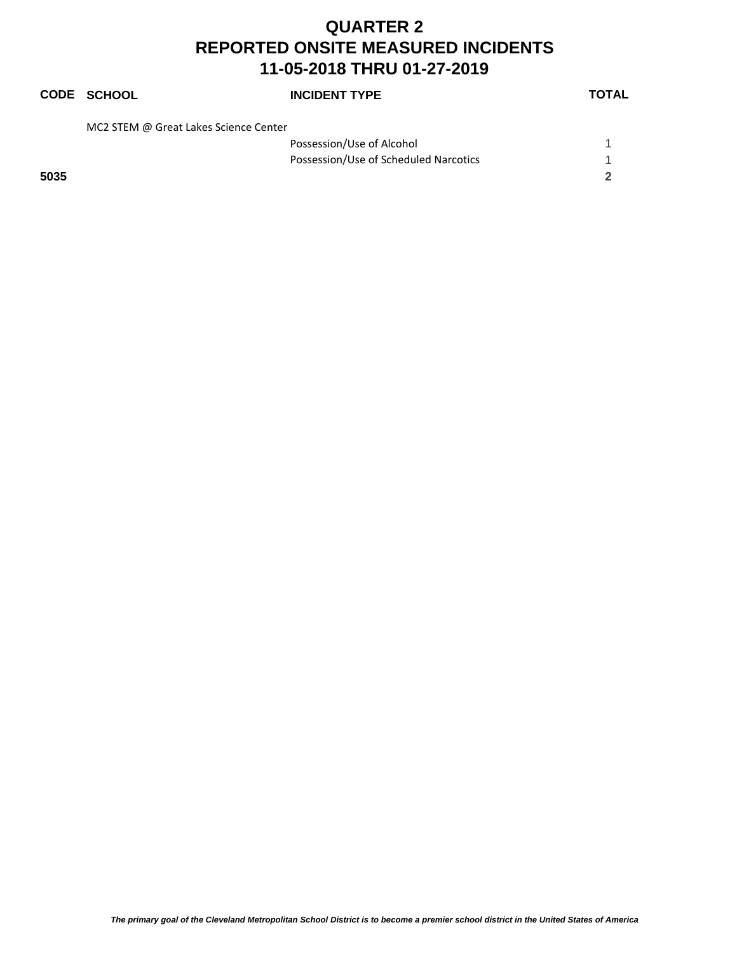# **CODE SCHOOL INCIDENT TYPE TOTAL**

MC2 STEM @ Great Lakes Science Center

|      | Possession/Use of Alcohol             |  |
|------|---------------------------------------|--|
|      | Possession/Use of Scheduled Narcotics |  |
| 5035 |                                       |  |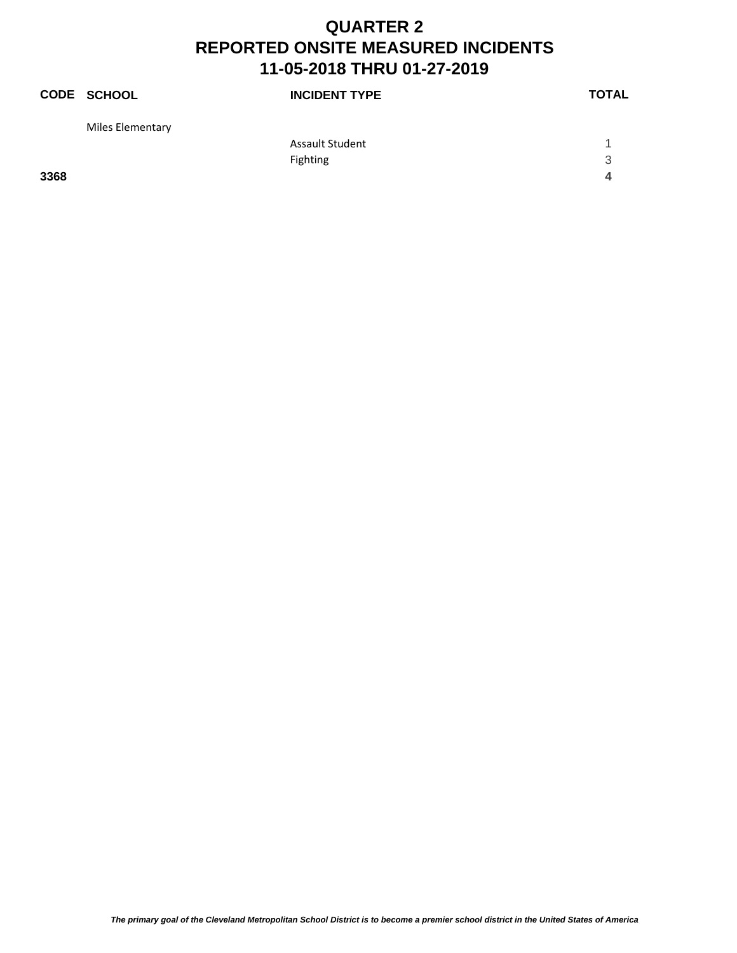|      | CODE SCHOOL      | <b>INCIDENT TYPE</b> | <b>TOTAL</b> |
|------|------------------|----------------------|--------------|
|      | Miles Elementary |                      |              |
|      |                  | Assault Student      |              |
|      |                  | Fighting             | 3            |
| 3368 |                  |                      | 4            |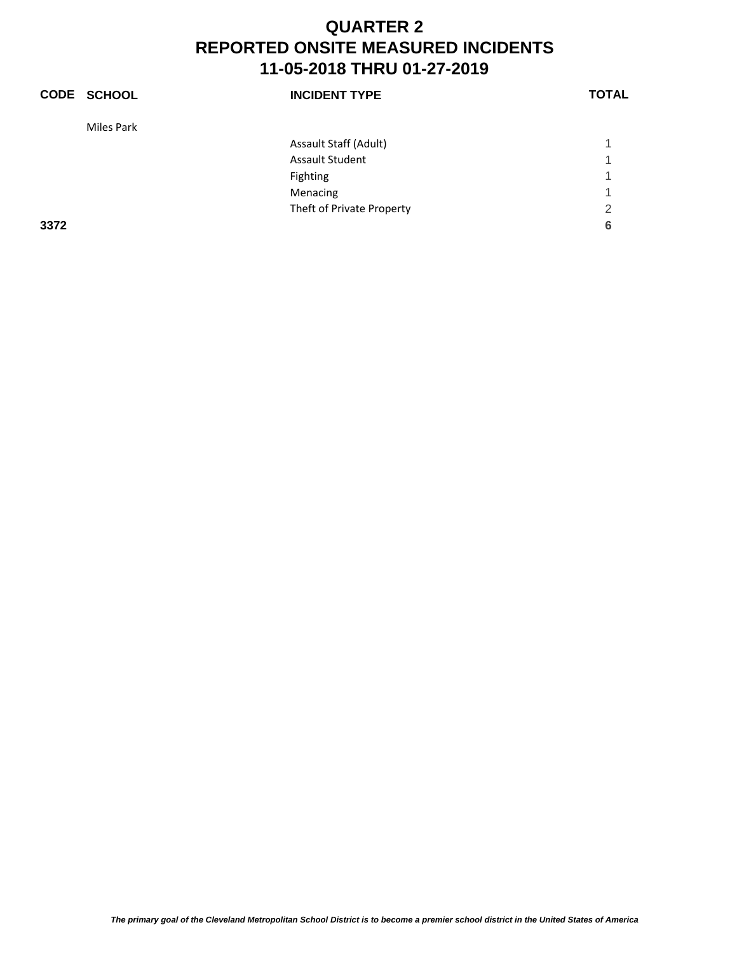|      | <b>CODE SCHOOL</b> | <b>INCIDENT TYPE</b>      | <b>TOTAL</b> |
|------|--------------------|---------------------------|--------------|
|      | Miles Park         |                           |              |
|      |                    | Assault Staff (Adult)     | 1            |
|      |                    | <b>Assault Student</b>    | -1           |
|      |                    | Fighting                  | 1            |
|      |                    | Menacing                  | 1            |
|      |                    | Theft of Private Property | 2            |
| 3372 |                    |                           | 6            |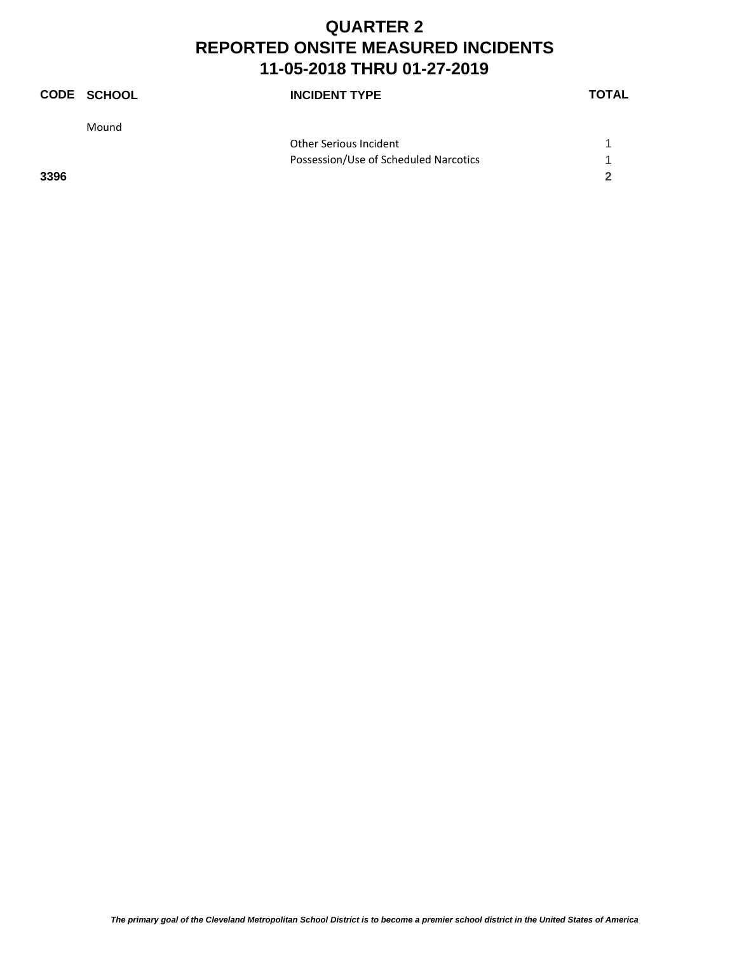|      | <b>CODE SCHOOL</b> | <b>INCIDENT TYPE</b>                  | <b>TOTAL</b> |
|------|--------------------|---------------------------------------|--------------|
|      | Mound              |                                       |              |
|      |                    | Other Serious Incident                |              |
|      |                    | Possession/Use of Scheduled Narcotics | 1            |
| 3396 |                    |                                       | 2            |
|      |                    |                                       |              |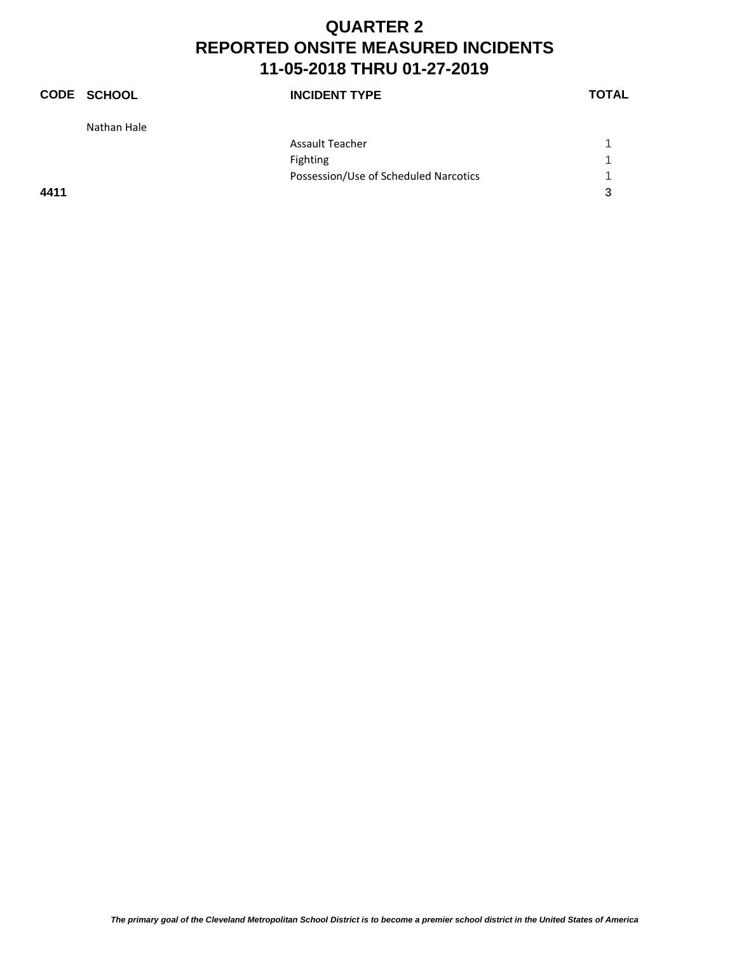|      | <b>CODE SCHOOL</b> | <b>INCIDENT TYPE</b>                  | <b>TOTAL</b> |
|------|--------------------|---------------------------------------|--------------|
|      | Nathan Hale        |                                       |              |
|      |                    | <b>Assault Teacher</b>                |              |
|      |                    | Fighting                              | 1            |
|      |                    | Possession/Use of Scheduled Narcotics | 1            |
| 4411 |                    |                                       | 3            |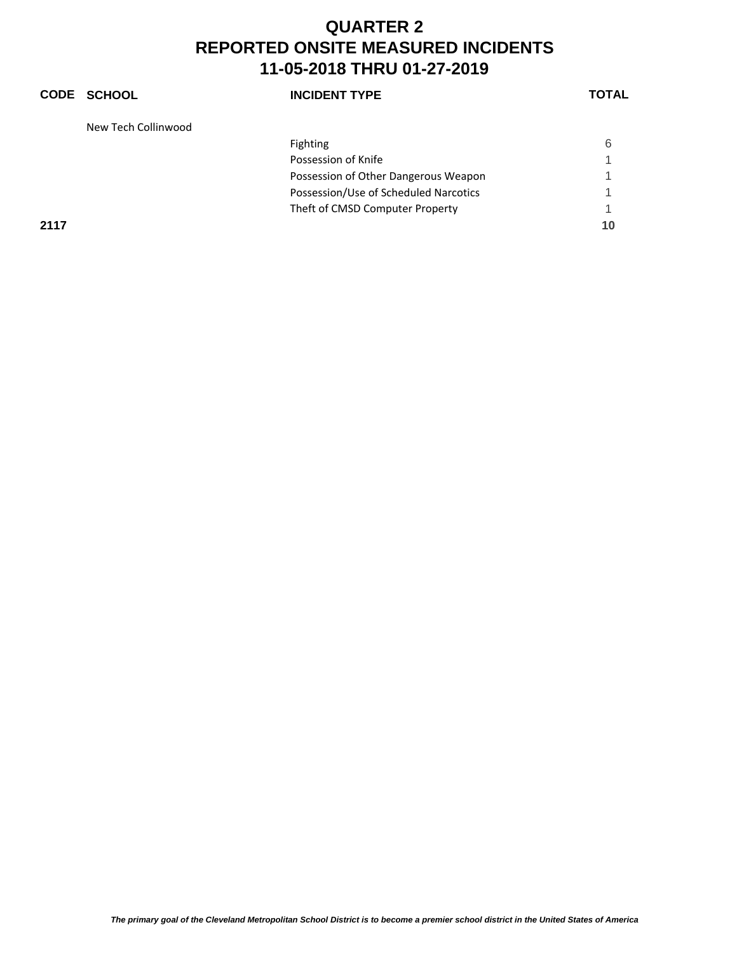#### **CODE SCHOOL INCIDENT TYPE TOTAL** New Tech Collinwood Fighting 6 Possession of Knife 1 and 1 and 1 and 1 and 1 and 1 and 1 and 1 and 1 and 1 and 1 and 1 and 1 and 1 and 1 and 1 Possession of Other Dangerous Weapon 1 Possession/Use of Scheduled Narcotics 1 Theft of CMSD Computer Property 1 **2117 10**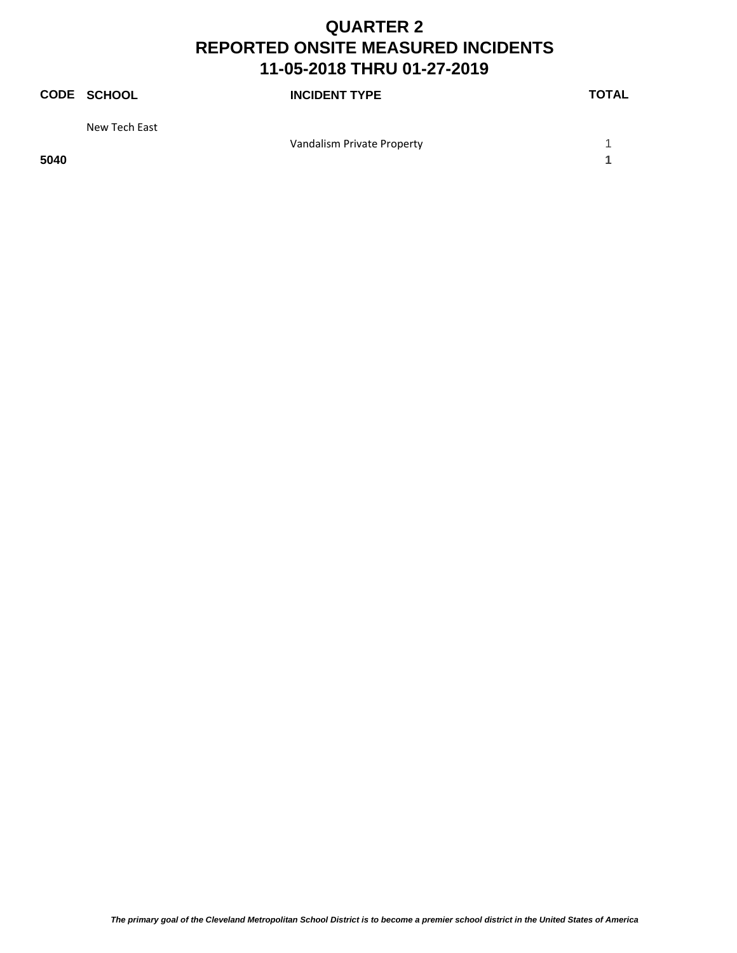|      | <b>CODE SCHOOL</b> | <b>INCIDENT TYPE</b>       | <b>TOTAL</b> |
|------|--------------------|----------------------------|--------------|
|      | New Tech East      |                            |              |
|      |                    | Vandalism Private Property |              |
| 5040 |                    |                            |              |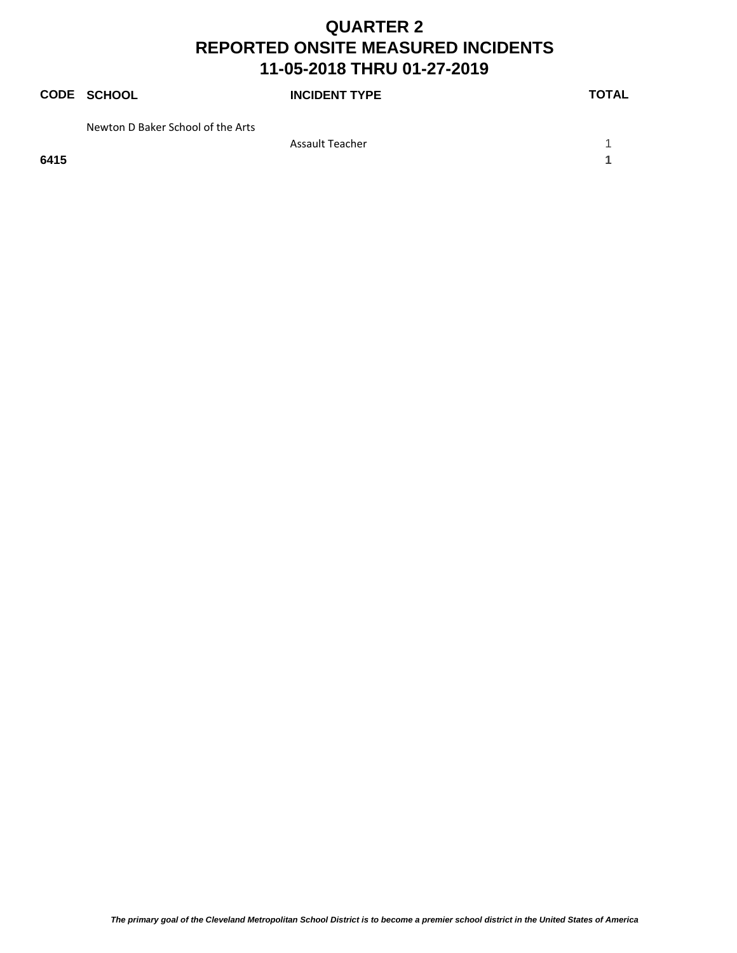|      | <b>CODE SCHOOL</b>                | <b>INCIDENT TYPE</b> | <b>TOTAL</b> |
|------|-----------------------------------|----------------------|--------------|
|      | Newton D Baker School of the Arts |                      |              |
|      |                                   | Assault Teacher      |              |
| 6415 |                                   |                      |              |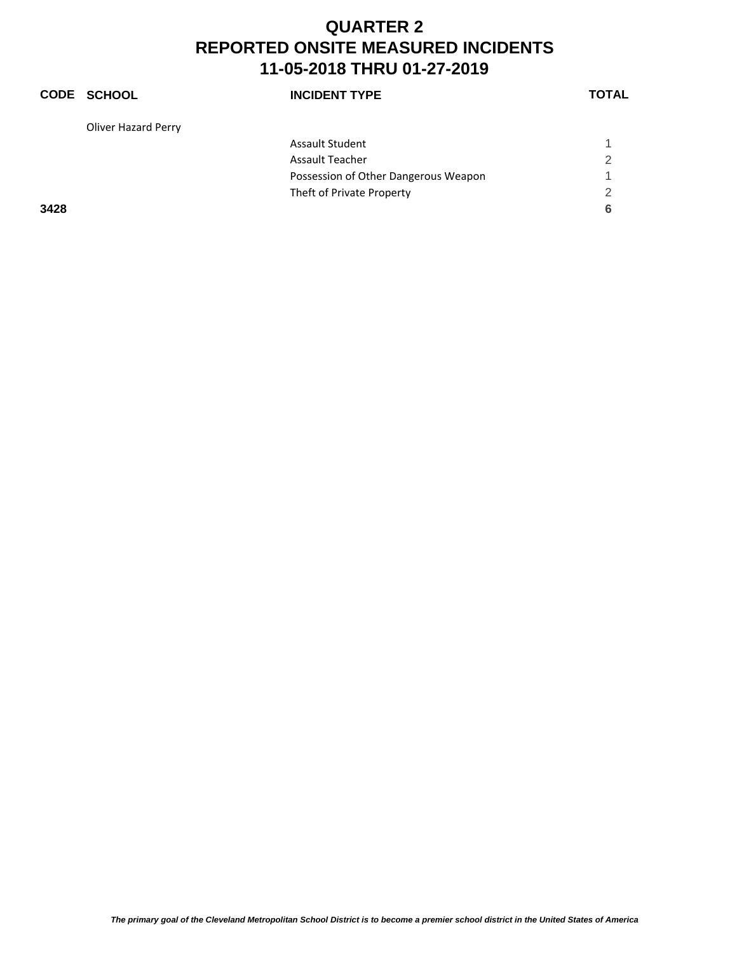#### **CODE SCHOOL INCIDENT TYPE TOTAL** Oliver Hazard Perry Assault Student 1 and 1 and 1 and 1 and 1 and 1 and 1 and 1 and 1 and 1 and 1 and 1 and 1 and 1 and 1 and 1 and 1 and 1 and 1 and 1 and 1 and 1 and 1 and 1 and 1 and 1 and 1 and 1 and 1 and 1 and 1 and 1 and 1 and 1 and 1 Assault Teacher 2012 Possession of Other Dangerous Weapon 1 Theft of Private Property 2 **3428 6**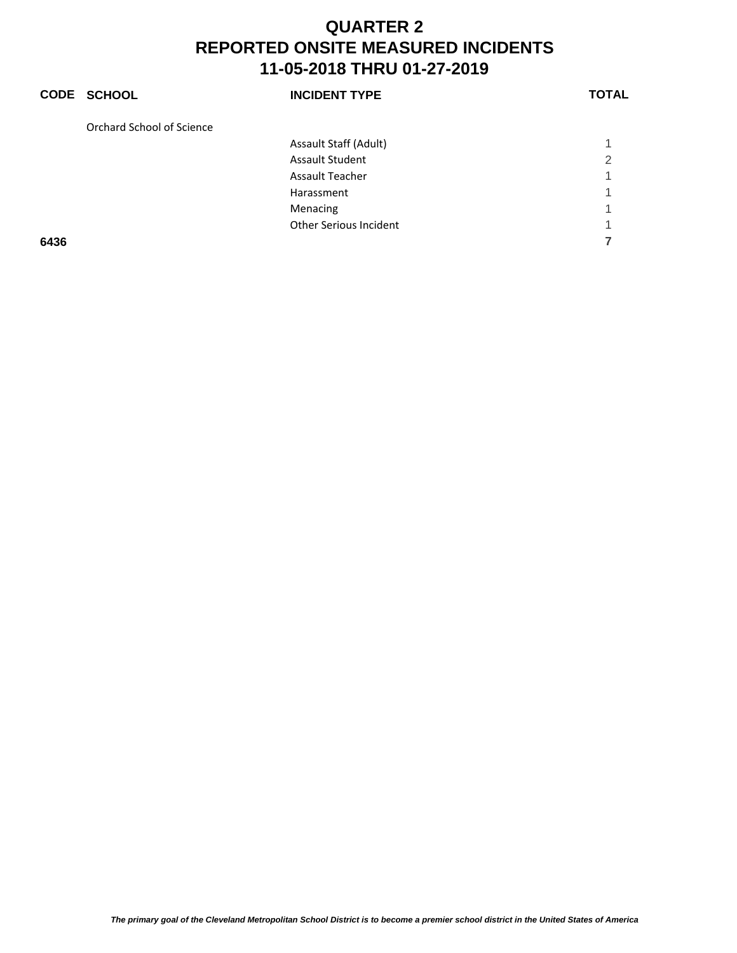|      | <b>CODE SCHOOL</b>        | <b>INCIDENT TYPE</b>          | <b>TOTAL</b> |
|------|---------------------------|-------------------------------|--------------|
|      | Orchard School of Science |                               |              |
|      |                           | Assault Staff (Adult)         |              |
|      |                           | <b>Assault Student</b>        | 2            |
|      |                           | <b>Assault Teacher</b>        |              |
|      |                           | Harassment                    |              |
|      |                           | Menacing                      |              |
|      |                           | <b>Other Serious Incident</b> |              |
| 6436 |                           |                               |              |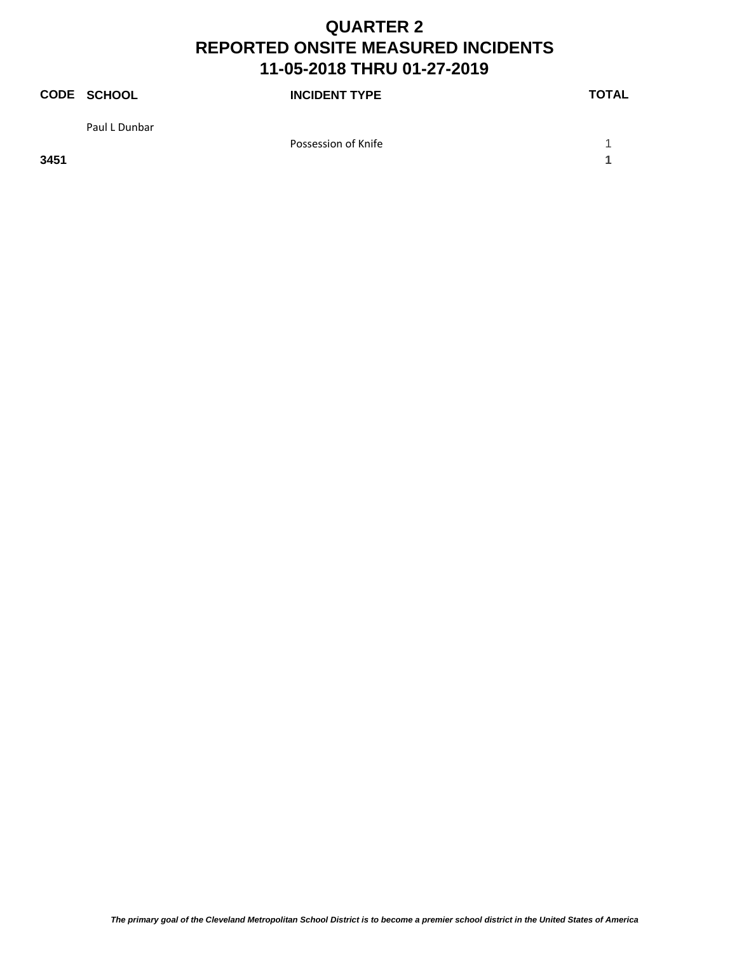|      | CODE SCHOOL   | <b>INCIDENT TYPE</b> | <b>TOTAL</b> |
|------|---------------|----------------------|--------------|
|      | Paul L Dunbar |                      |              |
|      |               | Possession of Knife  |              |
| 3451 |               |                      |              |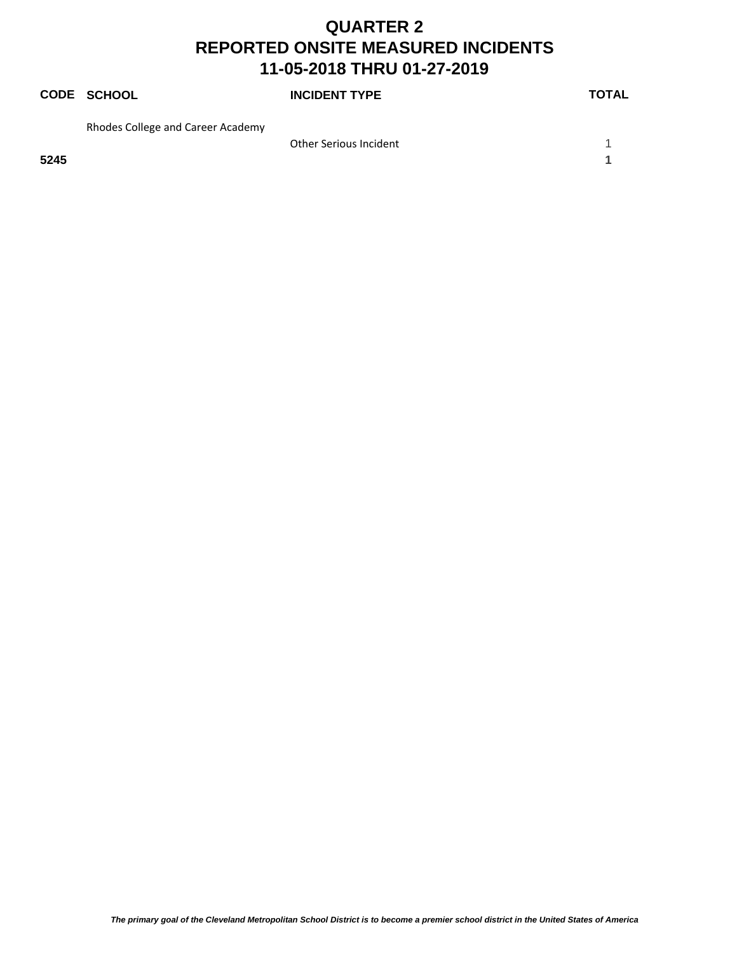|      | <b>CODE SCHOOL</b>                | <b>INCIDENT TYPE</b>   | <b>TOTAL</b> |
|------|-----------------------------------|------------------------|--------------|
|      | Rhodes College and Career Academy |                        |              |
|      |                                   | Other Serious Incident |              |
| 5245 |                                   |                        |              |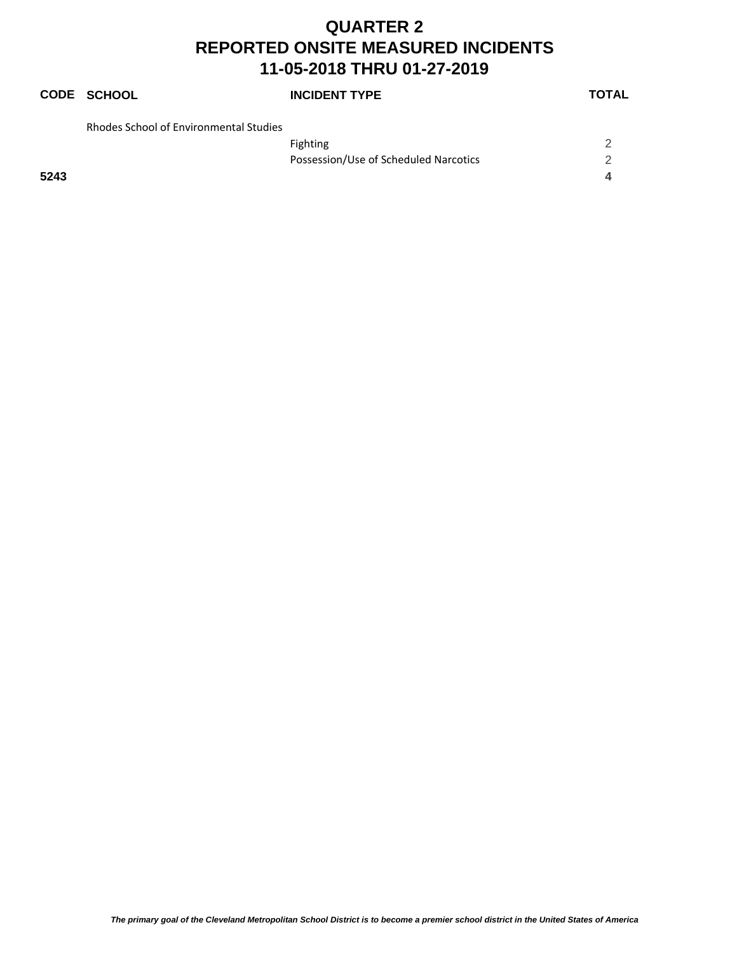## **CODE SCHOOL INCIDENT TYPE TOTAL**

| <b>Rhodes School of Environmental Studies</b> |  |
|-----------------------------------------------|--|

|      | <b>Fighting</b>                       |  |
|------|---------------------------------------|--|
|      | Possession/Use of Scheduled Narcotics |  |
| 5243 |                                       |  |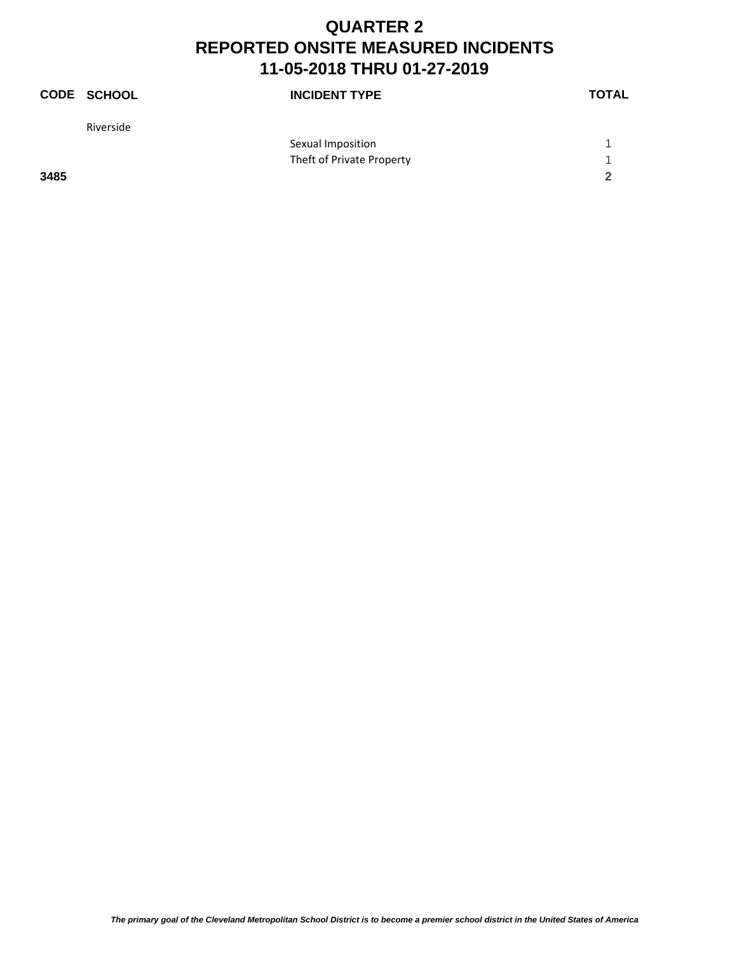|      | <b>CODE SCHOOL</b> | <b>INCIDENT TYPE</b>      | <b>TOTAL</b> |
|------|--------------------|---------------------------|--------------|
|      | Riverside          |                           |              |
|      |                    | Sexual Imposition         |              |
|      |                    | Theft of Private Property |              |
| 3485 |                    |                           | $\mathbf{c}$ |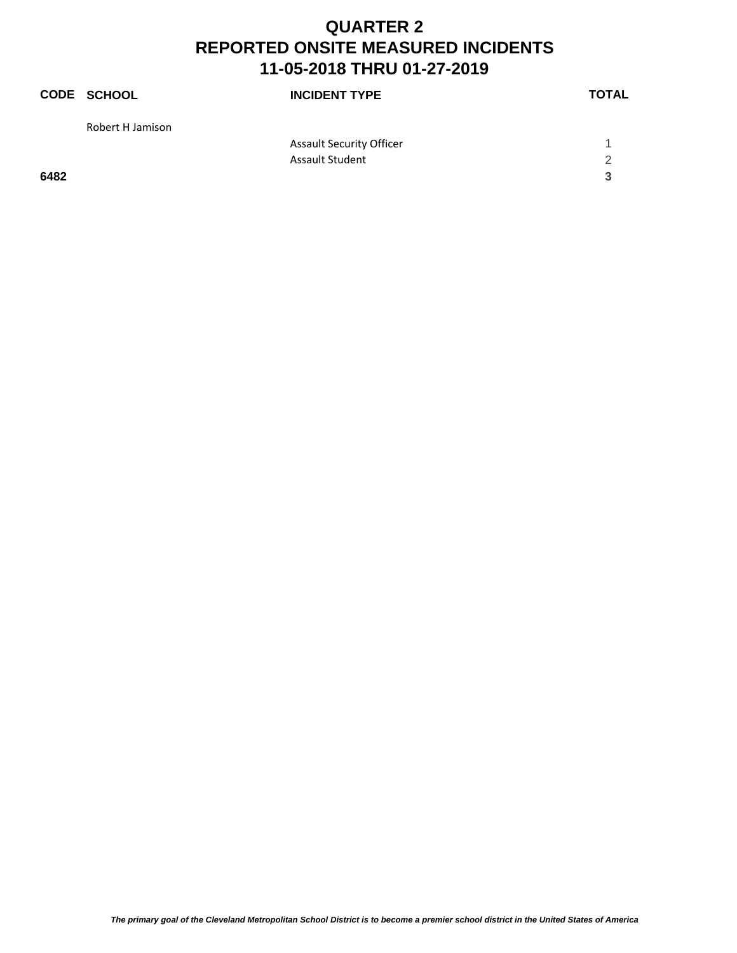|      | <b>CODE SCHOOL</b> | <b>INCIDENT TYPE</b>            | <b>TOTAL</b> |
|------|--------------------|---------------------------------|--------------|
|      | Robert H Jamison   |                                 |              |
|      |                    | <b>Assault Security Officer</b> |              |
|      |                    | <b>Assault Student</b>          | 2            |
| 6482 |                    |                                 | 3            |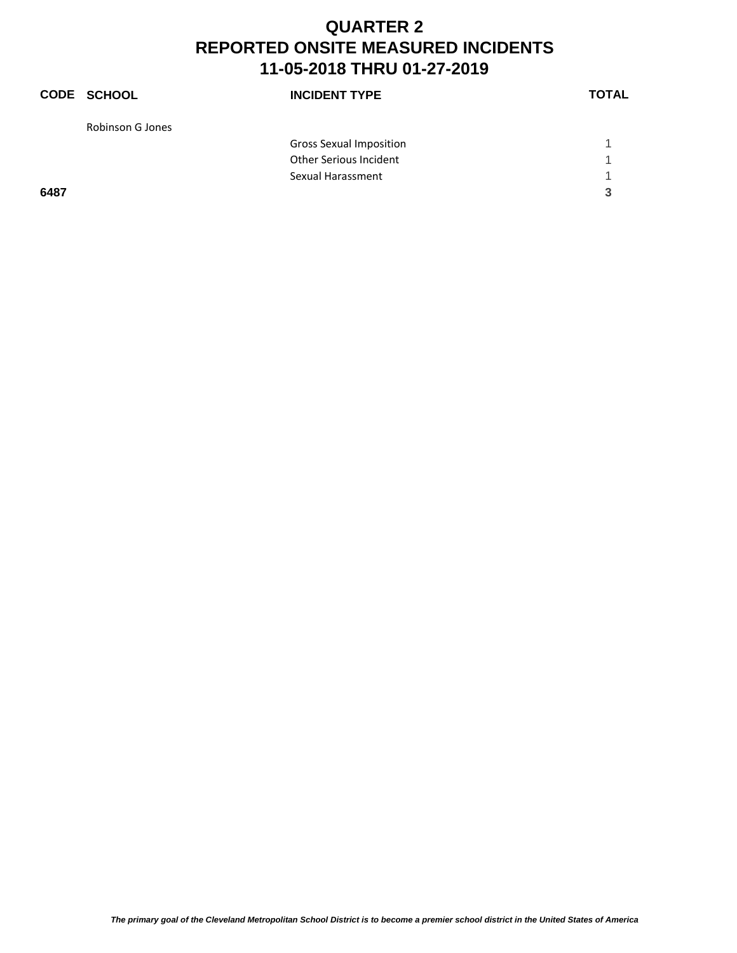|      | <b>CODE SCHOOL</b> | <b>INCIDENT TYPE</b>           | <b>TOTAL</b> |
|------|--------------------|--------------------------------|--------------|
|      | Robinson G Jones   |                                |              |
|      |                    | <b>Gross Sexual Imposition</b> |              |
|      |                    | <b>Other Serious Incident</b>  |              |
|      |                    | Sexual Harassment              | -1           |
| 6487 |                    |                                | 3            |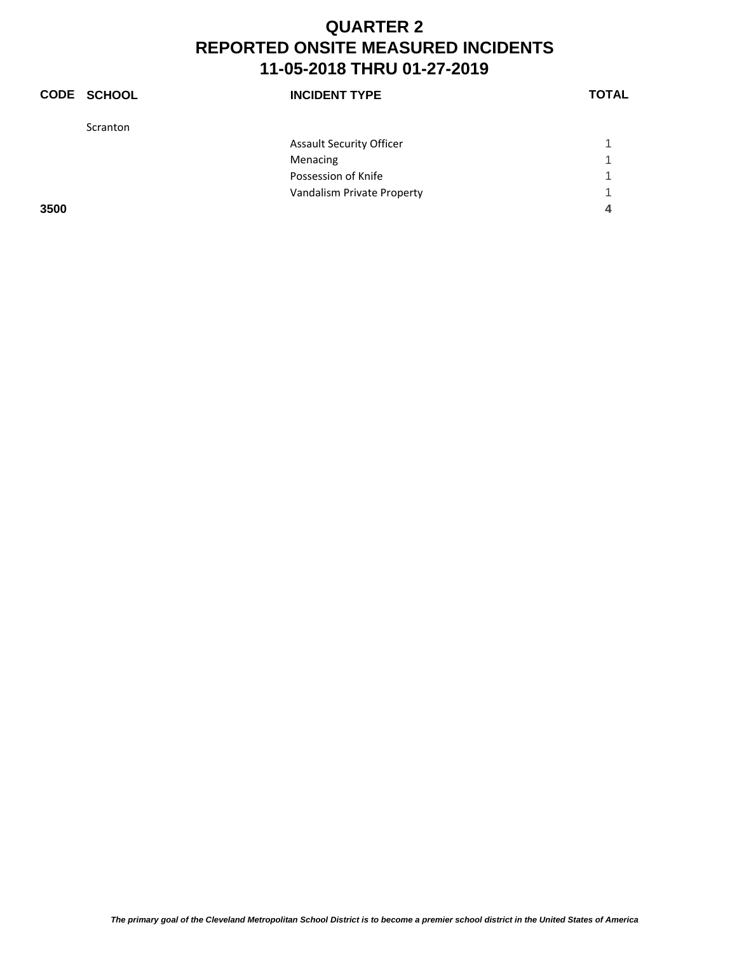|      | <b>CODE SCHOOL</b> | <b>INCIDENT TYPE</b>            | <b>TOTAL</b> |
|------|--------------------|---------------------------------|--------------|
|      | Scranton           |                                 |              |
|      |                    | <b>Assault Security Officer</b> |              |
|      |                    | Menacing                        | 1            |
|      |                    | Possession of Knife             | 1            |
|      |                    | Vandalism Private Property      | ◀            |
| 3500 |                    |                                 | 4            |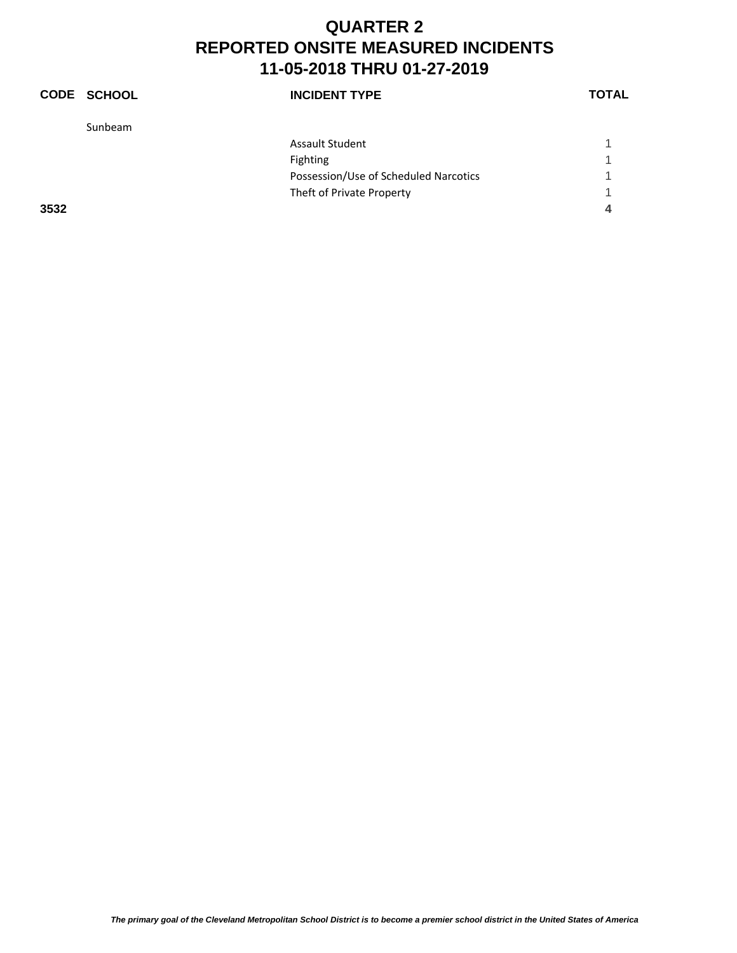|      | <b>CODE SCHOOL</b> | <b>INCIDENT TYPE</b>                  | <b>TOTAL</b> |
|------|--------------------|---------------------------------------|--------------|
|      | Sunbeam            |                                       |              |
|      |                    | <b>Assault Student</b>                |              |
|      |                    | Fighting                              |              |
|      |                    | Possession/Use of Scheduled Narcotics |              |
|      |                    | Theft of Private Property             | 1            |
| 3532 |                    |                                       | 4            |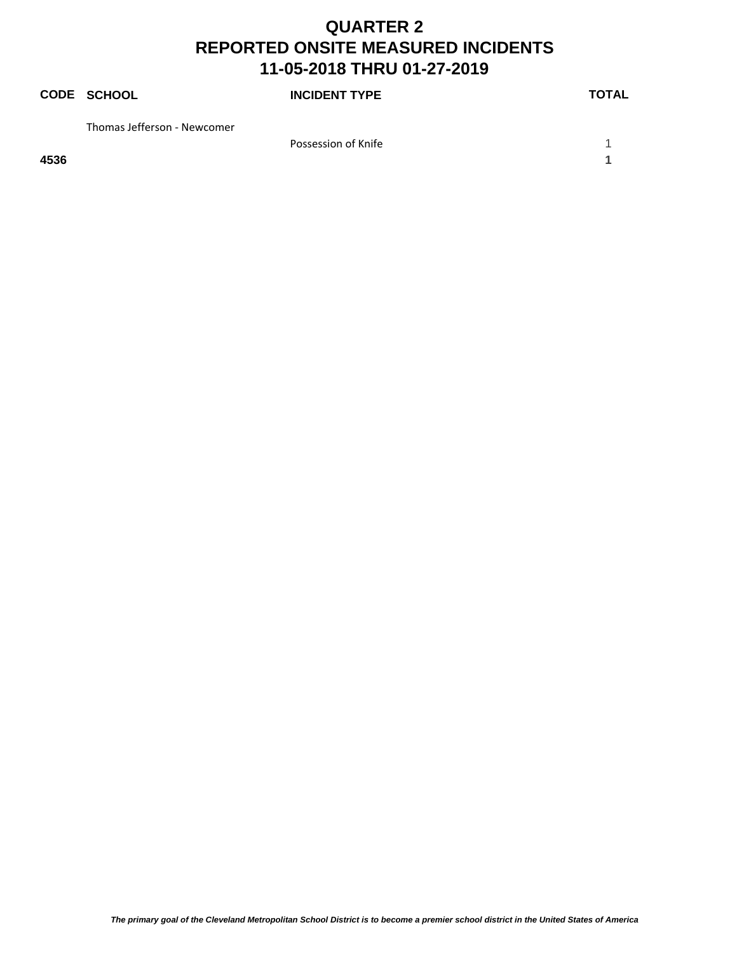|      | <b>CODE SCHOOL</b>          | <b>INCIDENT TYPE</b> | <b>TOTAL</b> |
|------|-----------------------------|----------------------|--------------|
|      | Thomas Jefferson - Newcomer |                      |              |
|      |                             | Possession of Knife  |              |
| 4536 |                             |                      |              |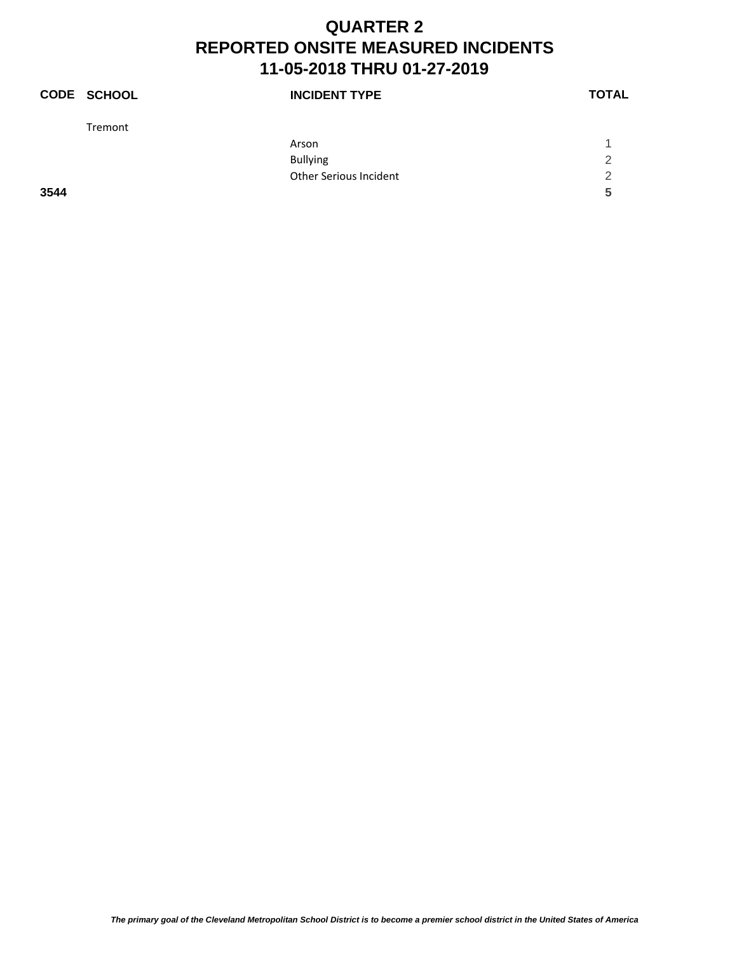|      | <b>CODE SCHOOL</b> | <b>INCIDENT TYPE</b>          | <b>TOTAL</b>  |
|------|--------------------|-------------------------------|---------------|
|      | Tremont            |                               |               |
|      |                    | Arson                         |               |
|      |                    | <b>Bullying</b>               | $\mathcal{P}$ |
|      |                    | <b>Other Serious Incident</b> | 2             |
| 3544 |                    |                               | 5             |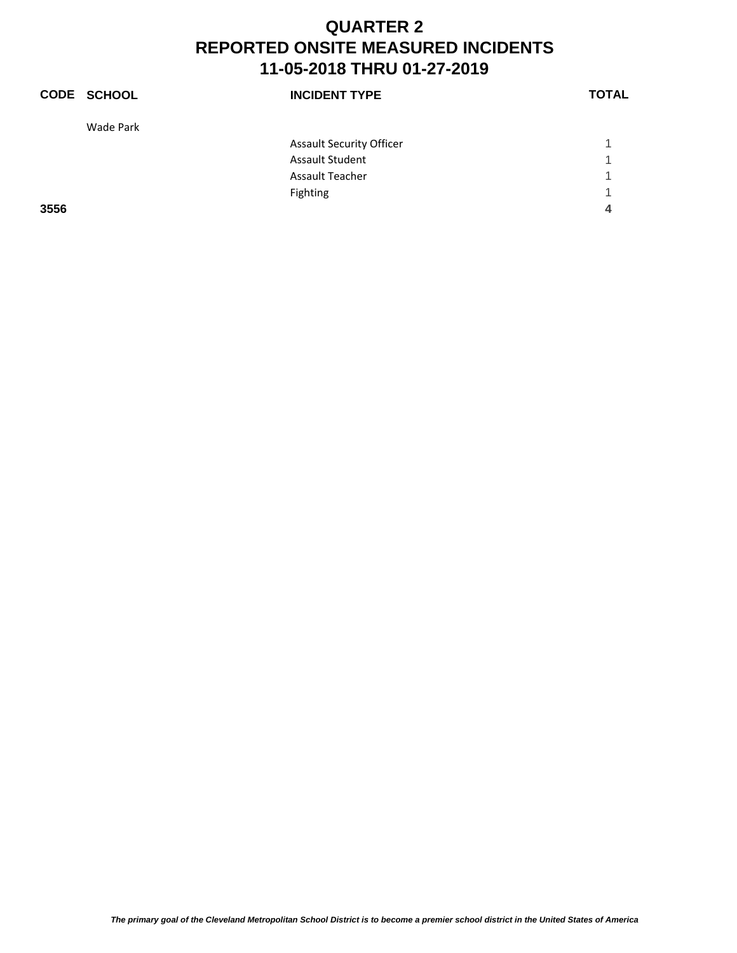|      | <b>CODE SCHOOL</b> | <b>INCIDENT TYPE</b>            | <b>TOTAL</b> |
|------|--------------------|---------------------------------|--------------|
|      | Wade Park          |                                 |              |
|      |                    | <b>Assault Security Officer</b> |              |
|      |                    | <b>Assault Student</b>          | 1            |
|      |                    | <b>Assault Teacher</b>          | 1            |
|      |                    | Fighting                        | 1            |
| 3556 |                    |                                 | 4            |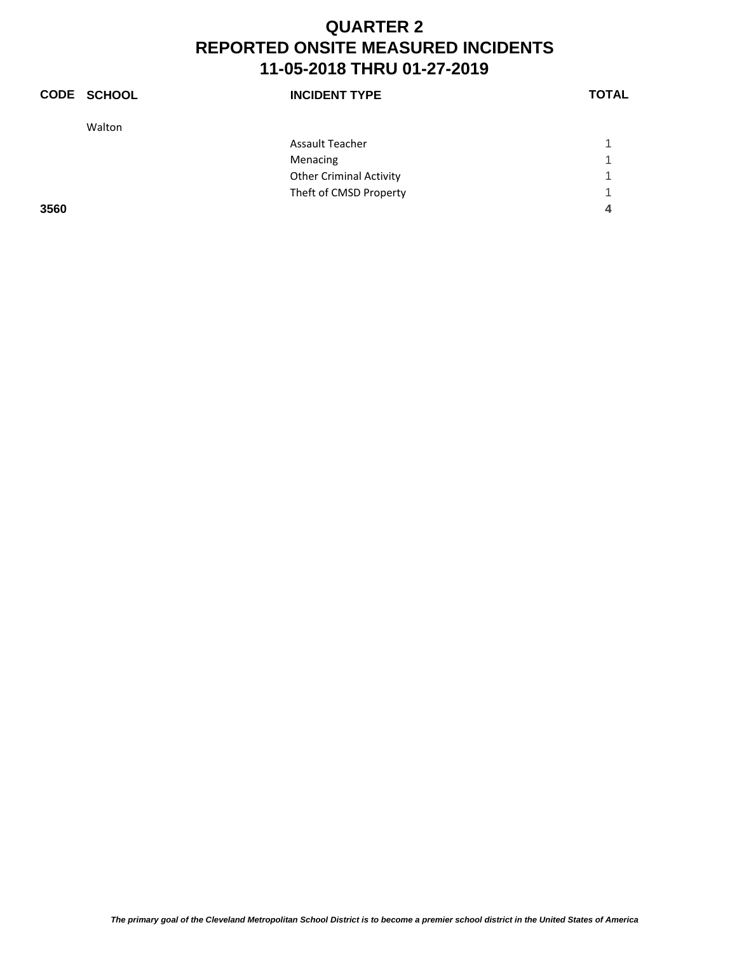|      | <b>CODE SCHOOL</b> | <b>INCIDENT TYPE</b>           | <b>TOTAL</b> |
|------|--------------------|--------------------------------|--------------|
|      | Walton             |                                |              |
|      |                    | <b>Assault Teacher</b>         |              |
|      |                    | Menacing                       | 1            |
|      |                    | <b>Other Criminal Activity</b> | 1            |
|      |                    | Theft of CMSD Property         | 4            |
| 3560 |                    |                                | 4            |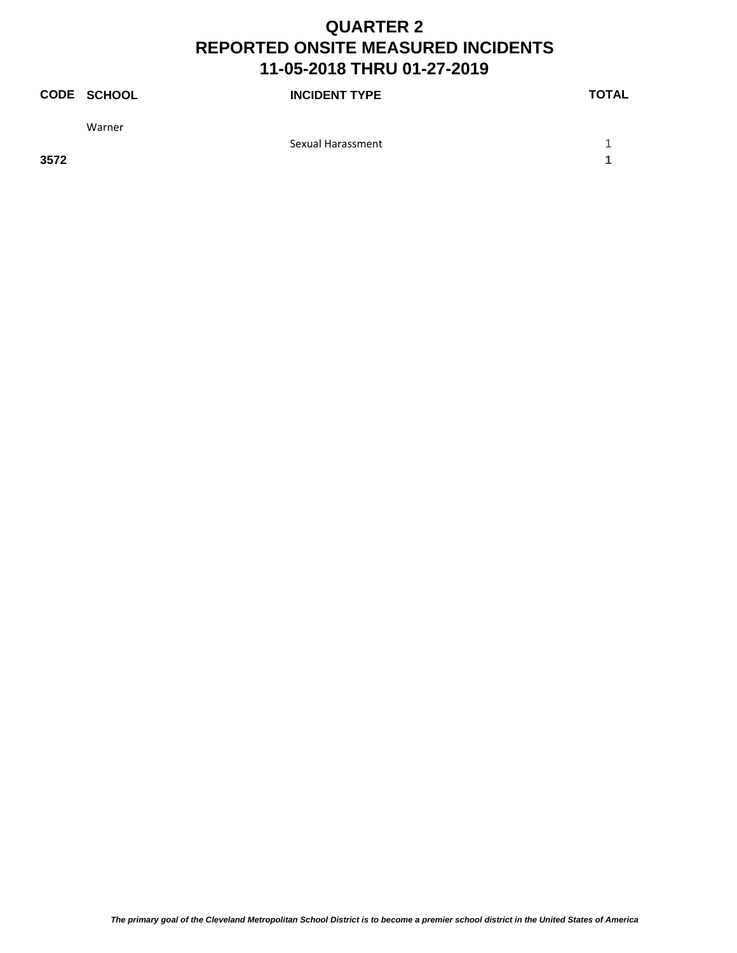|      | <b>CODE SCHOOL</b> | <b>INCIDENT TYPE</b> | <b>TOTAL</b> |
|------|--------------------|----------------------|--------------|
|      | Warner             |                      |              |
|      |                    | Sexual Harassment    |              |
| 3572 |                    |                      |              |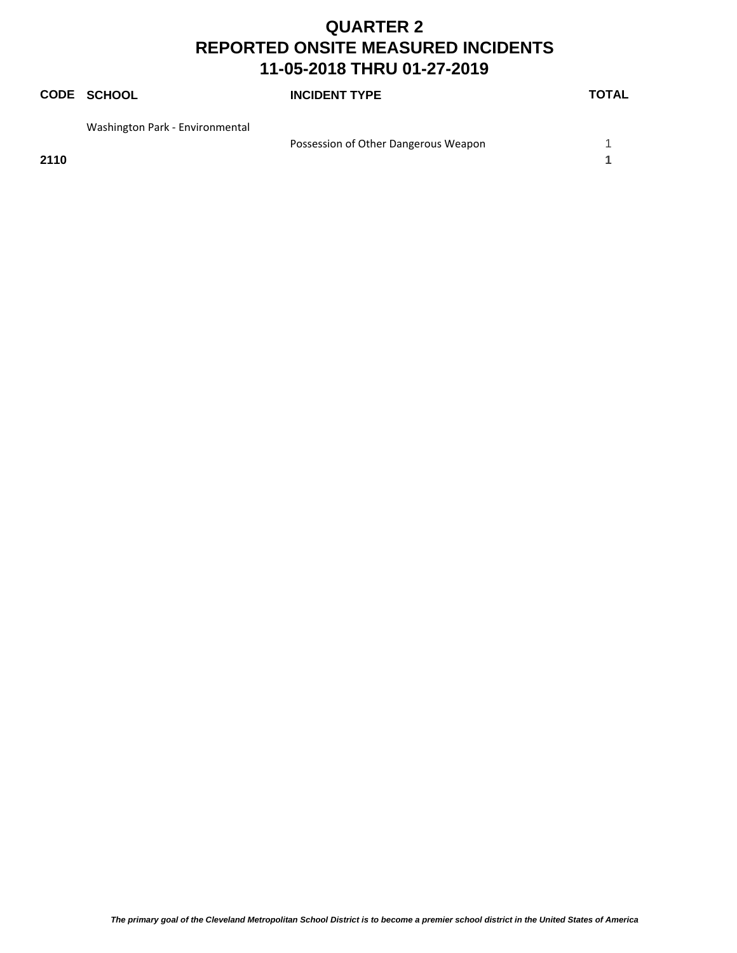# **CODE SCHOOL INCIDENT TYPE TOTAL** Washington Park ‐ Environmental Possession of Other Dangerous Weapon 1

**2110 1**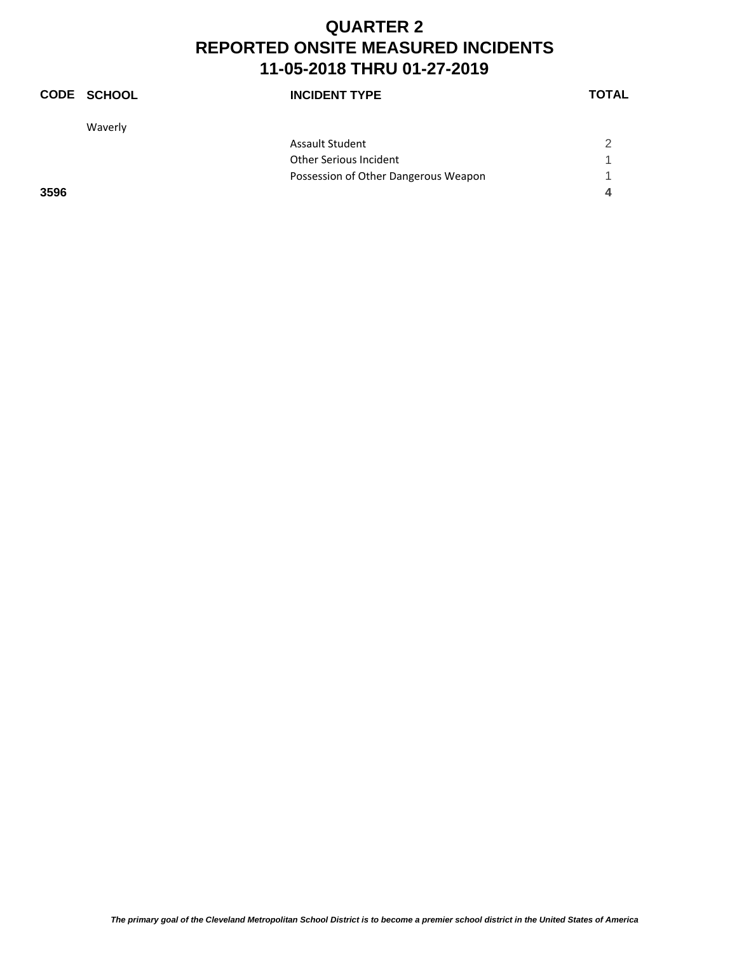|      | <b>CODE SCHOOL</b> | <b>INCIDENT TYPE</b>                 | <b>TOTAL</b> |
|------|--------------------|--------------------------------------|--------------|
|      | Waverly            |                                      |              |
|      |                    | <b>Assault Student</b>               | 2            |
|      |                    | Other Serious Incident               |              |
|      |                    | Possession of Other Dangerous Weapon | 1            |
| 3596 |                    |                                      | 4            |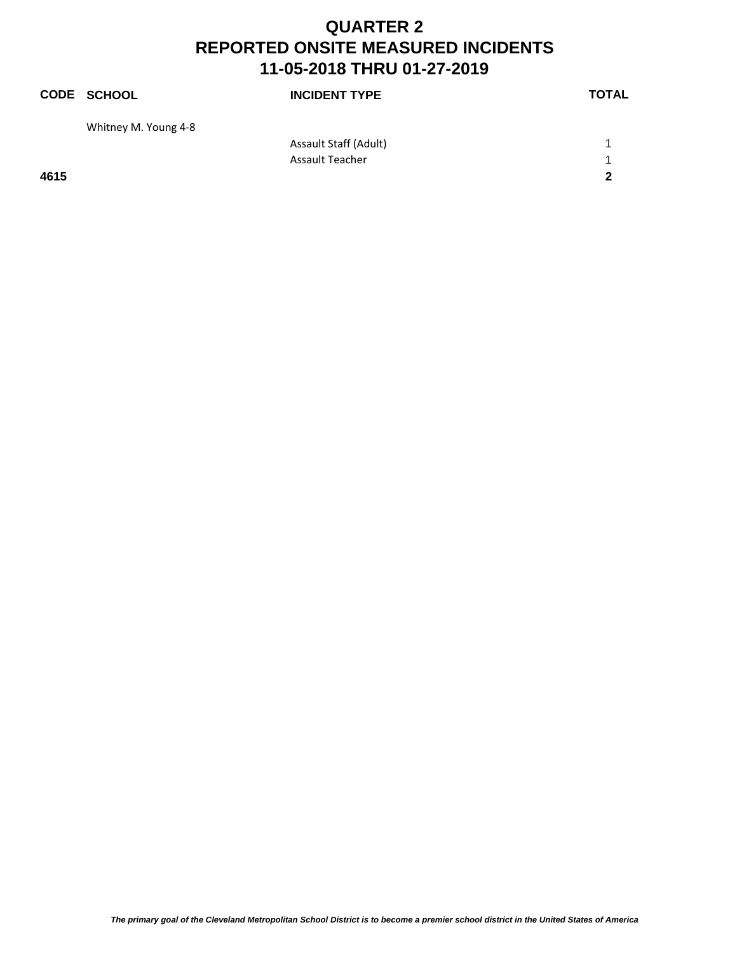|      | <b>CODE SCHOOL</b>   | <b>INCIDENT TYPE</b>   | <b>TOTAL</b> |
|------|----------------------|------------------------|--------------|
|      | Whitney M. Young 4-8 |                        |              |
|      |                      | Assault Staff (Adult)  |              |
|      |                      | <b>Assault Teacher</b> | 1            |
| 4615 |                      |                        | $\mathbf{2}$ |
|      |                      |                        |              |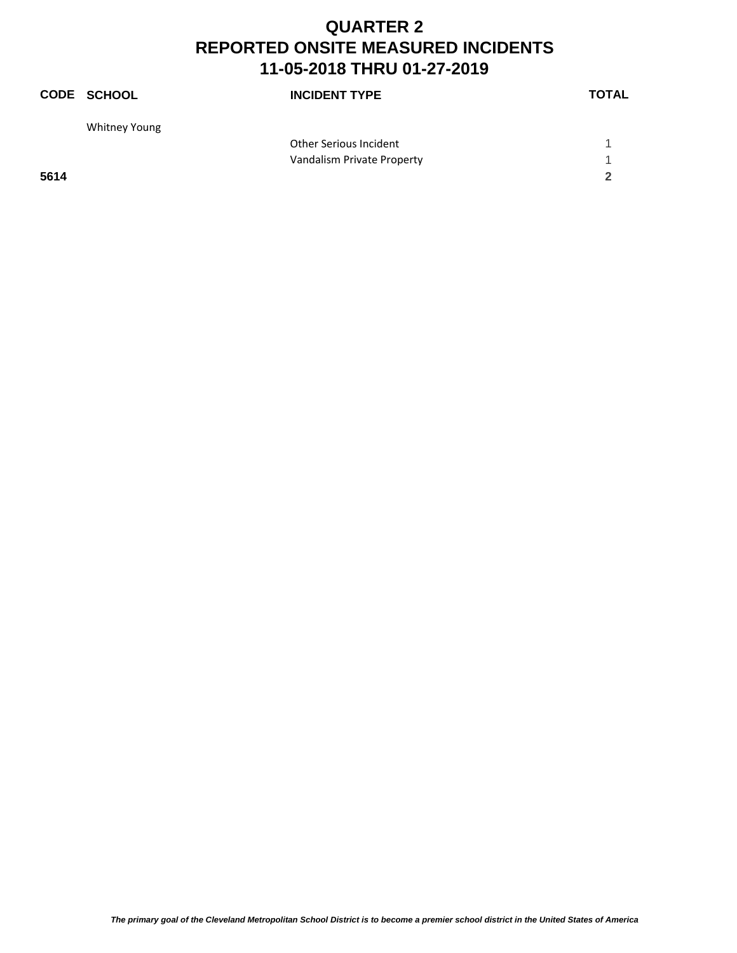|      | <b>CODE SCHOOL</b> | <b>INCIDENT TYPE</b>       | <b>TOTAL</b> |
|------|--------------------|----------------------------|--------------|
|      | Whitney Young      |                            |              |
|      |                    | Other Serious Incident     |              |
|      |                    | Vandalism Private Property | 1            |
| 5614 |                    |                            | 2            |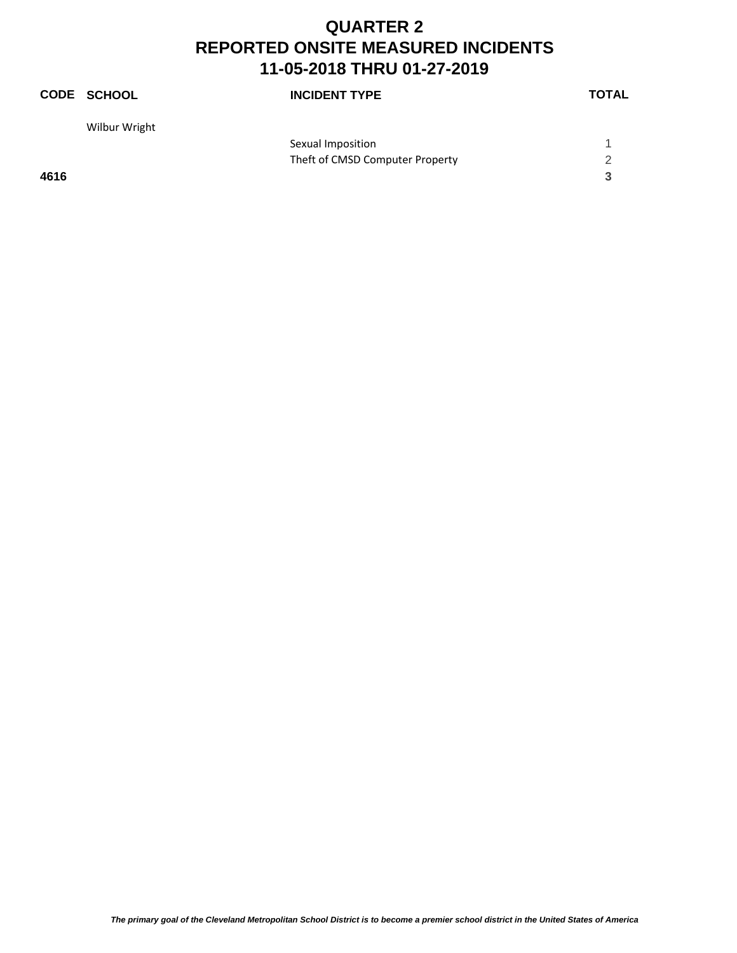|      | <b>CODE SCHOOL</b> | <b>INCIDENT TYPE</b>            | <b>TOTAL</b> |
|------|--------------------|---------------------------------|--------------|
|      | Wilbur Wright      |                                 |              |
|      |                    | Sexual Imposition               |              |
|      |                    | Theft of CMSD Computer Property | 2            |
| 4616 |                    |                                 | 3            |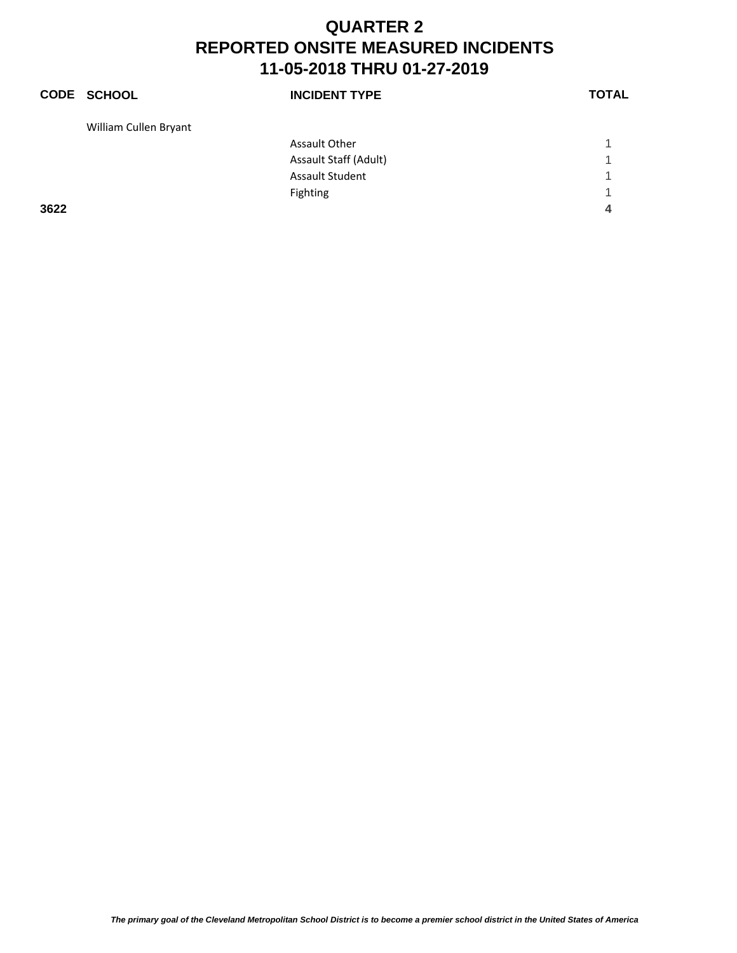|      | <b>CODE SCHOOL</b>    | <b>INCIDENT TYPE</b>   | <b>TOTAL</b> |
|------|-----------------------|------------------------|--------------|
|      | William Cullen Bryant |                        |              |
|      |                       | <b>Assault Other</b>   |              |
|      |                       | Assault Staff (Adult)  | 1            |
|      |                       | <b>Assault Student</b> | 1            |
|      |                       | Fighting               | 1            |
| 3622 |                       |                        | 4            |

*The primary goal of the Cleveland Metropolitan School District is to become a premier school district in the United States of America*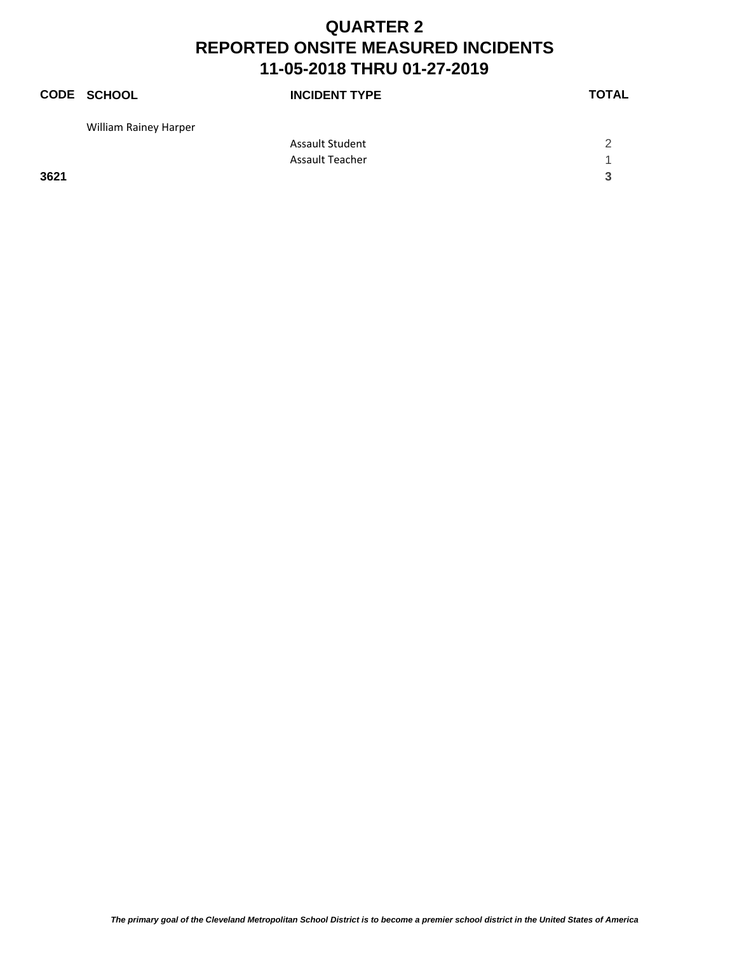|      | <b>CODE SCHOOL</b>           | <b>INCIDENT TYPE</b>   | <b>TOTAL</b> |
|------|------------------------------|------------------------|--------------|
|      | <b>William Rainey Harper</b> |                        |              |
|      |                              | <b>Assault Student</b> | 2            |
|      |                              | <b>Assault Teacher</b> | ◀            |
| 3621 |                              |                        | 3            |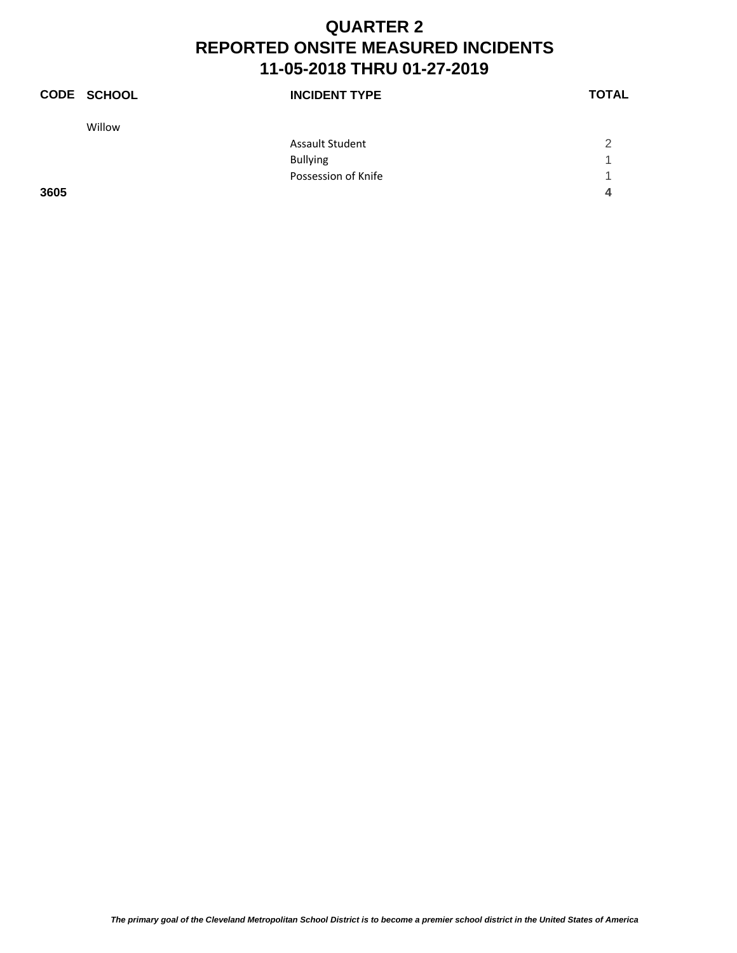|      | <b>CODE SCHOOL</b> | <b>INCIDENT TYPE</b>   | <b>TOTAL</b>   |
|------|--------------------|------------------------|----------------|
|      | Willow             |                        |                |
|      |                    | <b>Assault Student</b> | $\mathfrak{p}$ |
|      |                    | <b>Bullying</b>        | 1              |
|      |                    | Possession of Knife    | 1              |
| 3605 |                    |                        | 4              |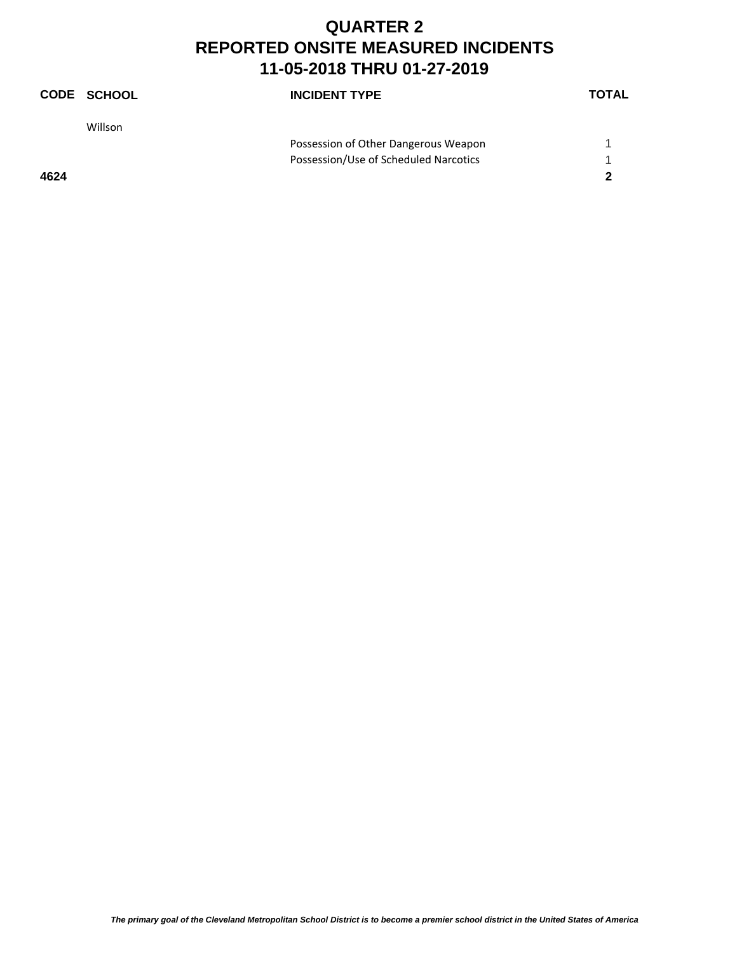|      | <b>CODE SCHOOL</b> | <b>INCIDENT TYPE</b>                  | <b>TOTAL</b> |
|------|--------------------|---------------------------------------|--------------|
|      | Willson            |                                       |              |
|      |                    | Possession of Other Dangerous Weapon  |              |
|      |                    | Possession/Use of Scheduled Narcotics |              |
| 4624 |                    |                                       | 2            |
|      |                    |                                       |              |